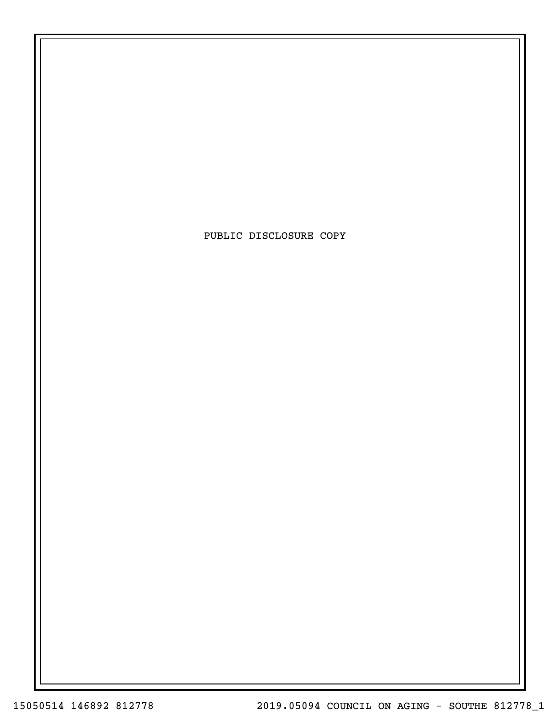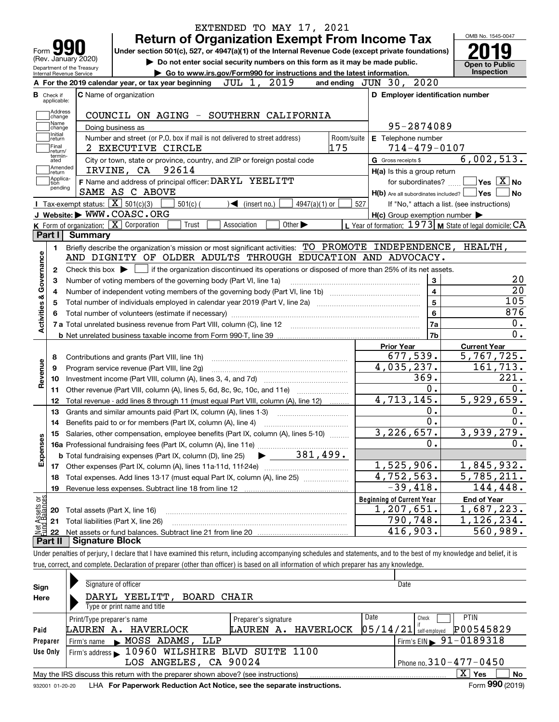|                                                          | EXTENDED TO MAY 17, 2021                                                                                                                                                                                                                                                                                               |                                                             | OMB No. 1545-0047                                                            |
|----------------------------------------------------------|------------------------------------------------------------------------------------------------------------------------------------------------------------------------------------------------------------------------------------------------------------------------------------------------------------------------|-------------------------------------------------------------|------------------------------------------------------------------------------|
|                                                          | <b>Return of Organization Exempt From Income Tax</b>                                                                                                                                                                                                                                                                   |                                                             |                                                                              |
| Form $\mathbf{y}$<br>(Rev. January 2020)                 | Under section 501(c), 527, or 4947(a)(1) of the Internal Revenue Code (except private foundations)                                                                                                                                                                                                                     |                                                             |                                                                              |
| Department of the Treasury                               | Do not enter social security numbers on this form as it may be made public.                                                                                                                                                                                                                                            |                                                             | <b>Open to Public</b>                                                        |
| Internal Revenue Service                                 | Go to www.irs.gov/Form990 for instructions and the latest information.<br>2019<br>JUL 1,<br>A For the 2019 calendar year, or tax year beginning                                                                                                                                                                        | and ending JUN 30, 2020                                     | Inspection                                                                   |
|                                                          |                                                                                                                                                                                                                                                                                                                        |                                                             |                                                                              |
| <b>B</b> Check if<br>applicable:                         | <b>C</b> Name of organization                                                                                                                                                                                                                                                                                          | D Employer identification number                            |                                                                              |
| Address                                                  | COUNCIL ON AGING - SOUTHERN CALIFORNIA                                                                                                                                                                                                                                                                                 |                                                             |                                                                              |
| change<br>Name                                           | Doing business as                                                                                                                                                                                                                                                                                                      | 95-2874089                                                  |                                                                              |
| change<br>Initial                                        | Number and street (or P.O. box if mail is not delivered to street address)<br>Room/suite                                                                                                                                                                                                                               | E Telephone number                                          |                                                                              |
| return<br>Final                                          | 175<br>2 EXECUTIVE CIRCLE                                                                                                                                                                                                                                                                                              | $714 - 479 - 0107$                                          |                                                                              |
| return/<br>termin-<br>ated                               | City or town, state or province, country, and ZIP or foreign postal code                                                                                                                                                                                                                                               | G Gross receipts \$                                         | 6,002,513.                                                                   |
| Amended<br>return                                        | IRVINE, CA 92614                                                                                                                                                                                                                                                                                                       | H(a) Is this a group return                                 |                                                                              |
| Applica-<br>Ition                                        | F Name and address of principal officer: DARYL YEELITT                                                                                                                                                                                                                                                                 | for subordinates?                                           | $ {\mathsf Y}{\mathsf e}{\mathsf s} \ \overline{{\mathsf X}}$ No             |
| pending                                                  | SAME AS C ABOVE                                                                                                                                                                                                                                                                                                        | $H(b)$ Are all subordinates included? $\Box$ Yes $\Box$     | No                                                                           |
| <b>Tax-exempt status:</b> $\boxed{\mathbf{X}}$ 501(c)(3) | $501(c)$ (<br>$\sqrt{\frac{2}{1}}$ (insert no.)<br>4947(a)(1) or                                                                                                                                                                                                                                                       | 527<br>If "No," attach a list. (see instructions)           |                                                                              |
|                                                          | J Website: WWW.COASC.ORG                                                                                                                                                                                                                                                                                               | $H(c)$ Group exemption number $\blacktriangleright$         |                                                                              |
| K Form of organization: X Corporation                    | Trust<br>Other $\blacktriangleright$<br>Association                                                                                                                                                                                                                                                                    | L Year of formation: $1973$ M State of legal domicile: $CA$ |                                                                              |
| Part I<br><b>Summary</b>                                 |                                                                                                                                                                                                                                                                                                                        |                                                             |                                                                              |
| 1.                                                       | Briefly describe the organization's mission or most significant activities: TO PROMOTE INDEPENDENCE, HEALTH,                                                                                                                                                                                                           |                                                             |                                                                              |
|                                                          | AND DIGNITY OF OLDER ADULTS THROUGH EDUCATION AND ADVOCACY.                                                                                                                                                                                                                                                            |                                                             |                                                                              |
| Governance<br>2                                          | Check this box $\blacktriangleright$ $\Box$ if the organization discontinued its operations or disposed of more than 25% of its net assets.                                                                                                                                                                            |                                                             |                                                                              |
| з                                                        | Number of voting members of the governing body (Part VI, line 1a)                                                                                                                                                                                                                                                      | 3                                                           | 20                                                                           |
| 4                                                        |                                                                                                                                                                                                                                                                                                                        | $\overline{\mathbf{4}}$                                     | $\overline{20}$                                                              |
| <b>Activities &amp;</b><br>5                             |                                                                                                                                                                                                                                                                                                                        | 5                                                           | 105                                                                          |
| 6                                                        |                                                                                                                                                                                                                                                                                                                        | 6                                                           | 876                                                                          |
|                                                          |                                                                                                                                                                                                                                                                                                                        | 7a                                                          | 0.                                                                           |
|                                                          |                                                                                                                                                                                                                                                                                                                        | 7b                                                          | $\overline{0}$ .                                                             |
|                                                          |                                                                                                                                                                                                                                                                                                                        | <b>Prior Year</b>                                           | <b>Current Year</b>                                                          |
| 8                                                        | Contributions and grants (Part VIII, line 1h)                                                                                                                                                                                                                                                                          | 677,539.                                                    | 5,767,725.                                                                   |
| evenue<br>9                                              | Program service revenue (Part VIII, line 2g)                                                                                                                                                                                                                                                                           | 4,035,237.<br>369.                                          | 161,713.<br>221.                                                             |
| 10<br>∝                                                  |                                                                                                                                                                                                                                                                                                                        | $0$ .                                                       | 0.                                                                           |
| 11                                                       | Other revenue (Part VIII, column (A), lines 5, 6d, 8c, 9c, 10c, and 11e)                                                                                                                                                                                                                                               | 4,713,145.                                                  | 5,929,659.                                                                   |
| 12                                                       | Total revenue - add lines 8 through 11 (must equal Part VIII, column (A), line 12)                                                                                                                                                                                                                                     | $0$ .                                                       | 0.                                                                           |
| 13                                                       | Grants and similar amounts paid (Part IX, column (A), lines 1-3)                                                                                                                                                                                                                                                       | $\overline{0}$ .                                            |                                                                              |
| 14                                                       | Benefits paid to or for members (Part IX, column (A), line 4)                                                                                                                                                                                                                                                          |                                                             |                                                                              |
|                                                          |                                                                                                                                                                                                                                                                                                                        |                                                             |                                                                              |
| 15                                                       | Salaries, other compensation, employee benefits (Part IX, column (A), lines 5-10)                                                                                                                                                                                                                                      | 3,226,657.                                                  |                                                                              |
|                                                          |                                                                                                                                                                                                                                                                                                                        | 0.                                                          |                                                                              |
|                                                          | 15 Salaries, order components, $\frac{1}{2}$ , $\frac{1}{2}$ , $\frac{1}{2}$ , $\frac{1}{2}$ , $\frac{1}{2}$ , $\frac{1}{2}$ , $\frac{1}{2}$ , $\frac{1}{2}$ , $\frac{1}{2}$ , $\frac{1}{2}$ , $\frac{1}{2}$ , $\frac{1}{2}$ , $\frac{1}{2}$ , $\frac{1}{2}$ , $\frac{1}{2}$ , $\frac{1}{2}$ , $\frac{1}{2}$ , $\frac$ |                                                             |                                                                              |
| 17                                                       |                                                                                                                                                                                                                                                                                                                        | 1,525,906.                                                  |                                                                              |
| 18                                                       | Total expenses. Add lines 13-17 (must equal Part IX, column (A), line 25)                                                                                                                                                                                                                                              | $\overline{4}$ , 752, 563.                                  |                                                                              |
| 19                                                       |                                                                                                                                                                                                                                                                                                                        | $-39,418.$                                                  | $\overline{0}$ .<br>3,939,279.<br>0.<br>1,845,932.<br>5,785,211.<br>144,448. |
|                                                          |                                                                                                                                                                                                                                                                                                                        | <b>Beginning of Current Year</b>                            | <b>End of Year</b>                                                           |
| 20                                                       | Total assets (Part X, line 16)                                                                                                                                                                                                                                                                                         | 1,207,651.                                                  |                                                                              |
| 21                                                       | Total liabilities (Part X, line 26)                                                                                                                                                                                                                                                                                    | 790,748.                                                    | 1,687,223.<br>1,126,234.<br>560,989.                                         |
| Expenses<br>t Assets or<br>d.Balances<br>22<br>Part II   | <b>Signature Block</b>                                                                                                                                                                                                                                                                                                 | 416,903.                                                    |                                                                              |
|                                                          | Under penalties of perjury, I declare that I have examined this return, including accompanying schedules and statements, and to the best of my knowledge and belief, it is                                                                                                                                             |                                                             |                                                                              |

| Sign     | Signature of officer                                                                                                                        |                      | Date                                       |  |  |  |  |  |  |  |  |  |
|----------|---------------------------------------------------------------------------------------------------------------------------------------------|----------------------|--------------------------------------------|--|--|--|--|--|--|--|--|--|
| Here     | DARYL YEELITT,<br>BOARD CHAIR                                                                                                               |                      |                                            |  |  |  |  |  |  |  |  |  |
|          | Type or print name and title                                                                                                                |                      |                                            |  |  |  |  |  |  |  |  |  |
|          | Print/Type preparer's name                                                                                                                  | Preparer's signature | <b>PTIN</b><br>Date<br>Check               |  |  |  |  |  |  |  |  |  |
| Paid     | P00545829<br> 05/14/21 <br>LAUREN A. HAVERLOCK<br>LAUREN A. HAVERLOCK<br>self-emploved                                                      |                      |                                            |  |  |  |  |  |  |  |  |  |
| Preparer | MOSS ADAMS, LLP<br>Firm's name<br>$\blacksquare$                                                                                            |                      | $1$ Firm's EIN $\triangleright$ 91-0189318 |  |  |  |  |  |  |  |  |  |
| Use Only | Firm's address 10960 WILSHIRE BLVD SUITE 1100                                                                                               |                      |                                            |  |  |  |  |  |  |  |  |  |
|          | Phone no. $310 - 477 - 0450$<br>LOS ANGELES, CA 90024                                                                                       |                      |                                            |  |  |  |  |  |  |  |  |  |
|          | May the IRS discuss this return with the preparer shown above? (see instructions)                                                           |                      | $\mathbf{x}$<br>Yes<br>No                  |  |  |  |  |  |  |  |  |  |
|          | $F = 000 \text{ (0010)}$<br>t de la componenta de la componenta de la componenta de la componenta de la componenta de la componenta de la c |                      |                                            |  |  |  |  |  |  |  |  |  |

932001 01-20-20 **For Paperwork Reduction Act Notice, see the separate instructions.** LHA Form (2019)

**990**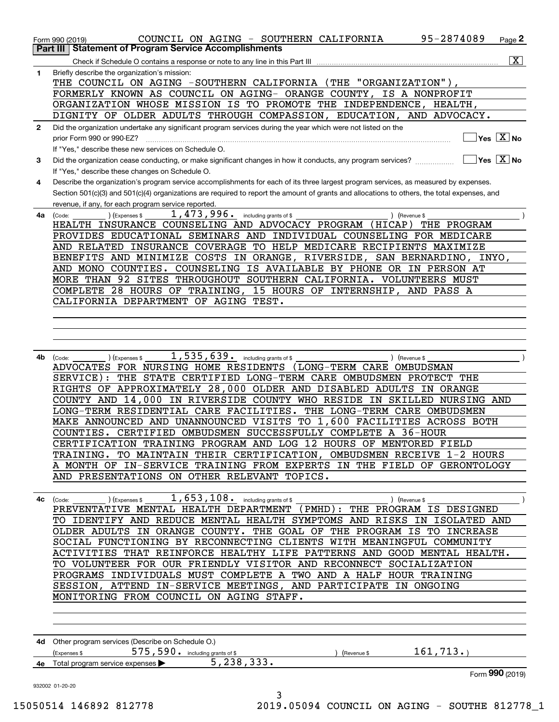| 1  | $\overline{\mathbf{x}}$<br>Briefly describe the organization's mission:                                                                                                            |
|----|------------------------------------------------------------------------------------------------------------------------------------------------------------------------------------|
|    | THE COUNCIL ON AGING -SOUTHERN CALIFORNIA (THE "ORGANIZATION"),                                                                                                                    |
|    | FORMERLY KNOWN AS COUNCIL ON AGING- ORANGE COUNTY, IS A NONPROFIT                                                                                                                  |
|    | ORGANIZATION WHOSE MISSION IS TO PROMOTE THE INDEPENDENCE, HEALTH,                                                                                                                 |
|    | DIGNITY OF OLDER ADULTS THROUGH COMPASSION, EDUCATION, AND ADVOCACY.                                                                                                               |
| 2  | Did the organization undertake any significant program services during the year which were not listed on the                                                                       |
|    | $\sqrt{}$ Yes $\sqrt{X}$ No                                                                                                                                                        |
|    | If "Yes," describe these new services on Schedule O.                                                                                                                               |
| 3  | $\overline{\mathsf{Yes} \mathrel{\;\;\overline{\mathbf{X}}\;}}$ No<br>Did the organization cease conducting, or make significant changes in how it conducts, any program services? |
|    | If "Yes," describe these changes on Schedule O.                                                                                                                                    |
| 4  | Describe the organization's program service accomplishments for each of its three largest program services, as measured by expenses.                                               |
|    | Section 501(c)(3) and 501(c)(4) organizations are required to report the amount of grants and allocations to others, the total expenses, and                                       |
|    | revenue, if any, for each program service reported.                                                                                                                                |
| 4a | 1,473,996. including grants of \$<br>(Expenses \$<br>) (Revenue \$<br>(Code:                                                                                                       |
|    | HEALTH INSURANCE COUNSELING AND ADVOCACY PROGRAM (HICAP)<br>THE PROGRAM                                                                                                            |
|    | PROVIDES EDUCATIONAL SEMINARS AND INDIVIDUAL COUNSELING FOR MEDICARE                                                                                                               |
|    | AND RELATED INSURANCE COVERAGE TO HELP MEDICARE RECIPIENTS MAXIMIZE                                                                                                                |
|    | BENEFITS AND MINIMIZE COSTS IN ORANGE, RIVERSIDE, SAN BERNARDINO, INYO,                                                                                                            |
|    | AND MONO COUNTIES. COUNSELING IS AVAILABLE BY PHONE OR IN PERSON AT                                                                                                                |
|    | MORE THAN 92 SITES THROUGHOUT SOUTHERN CALIFORNIA. VOLUNTEERS MUST                                                                                                                 |
|    | COMPLETE 28 HOURS OF TRAINING, 15 HOURS OF INTERNSHIP, AND PASS A                                                                                                                  |
|    | CALIFORNIA DEPARTMENT OF AGING TEST.                                                                                                                                               |
|    |                                                                                                                                                                                    |
|    |                                                                                                                                                                                    |
|    |                                                                                                                                                                                    |
|    | 1,535,639. including grants of \$                                                                                                                                                  |
| 4b | (Code:<br>(Expenses \$<br>) (Revenue \$<br>ADVOCATES FOR NURSING HOME RESIDENTS (LONG-TERM CARE OMBUDSMAN                                                                          |
|    | SERVICE): THE STATE CERTIFIED LONG-TERM CARE OMBUDSMEN PROTECT THE                                                                                                                 |
|    | RIGHTS OF APPROXIMATELY 28,000 OLDER AND DISABLED ADULTS IN ORANGE                                                                                                                 |
|    | COUNTY AND 14,000 IN RIVERSIDE COUNTY WHO RESIDE IN SKILLED NURSING AND                                                                                                            |
|    | LONG-TERM RESIDENTIAL CARE FACILITIES. THE LONG-TERM CARE OMBUDSMEN                                                                                                                |
|    | MAKE ANNOUNCED AND UNANNOUNCED VISITS TO 1,600 FACILITIES ACROSS BOTH                                                                                                              |
|    | COUNTIES. CERTIFIED OMBUDSMEN SUCCESSFULLY COMPLETE A 36-HOUR                                                                                                                      |
|    | CERTIFICATION TRAINING PROGRAM AND LOG 12 HOURS OF MENTORED FIELD                                                                                                                  |
|    | TRAINING. TO MAINTAIN THEIR CERTIFICATION, OMBUDSMEN RECEIVE 1-2 HOURS                                                                                                             |
|    | A MONTH OF IN-SERVICE TRAINING FROM EXPERTS IN THE FIELD OF GERONTOLOGY                                                                                                            |
|    | AND PRESENTATIONS ON OTHER RELEVANT TOPICS.                                                                                                                                        |
|    |                                                                                                                                                                                    |
|    | 1, 653, 108. including grants of \$<br>) (Expenses \$<br>) (Revenue \$<br>$4c$ (Code:                                                                                              |
|    | PREVENTATIVE MENTAL HEALTH DEPARTMENT (PMHD): THE PROGRAM IS DESIGNED                                                                                                              |
|    | TO IDENTIFY AND REDUCE MENTAL HEALTH SYMPTOMS AND RISKS IN ISOLATED AND                                                                                                            |
|    | OLDER ADULTS IN ORANGE COUNTY. THE GOAL OF THE PROGRAM IS TO INCREASE                                                                                                              |
|    | SOCIAL FUNCTIONING BY RECONNECTING CLIENTS WITH MEANINGFUL COMMUNITY                                                                                                               |
|    | ACTIVITIES THAT REINFORCE HEALTHY LIFE PATTERNS AND GOOD MENTAL HEALTH.                                                                                                            |
|    | TO VOLUNTEER FOR OUR FRIENDLY VISITOR AND RECONNECT SOCIALIZATION                                                                                                                  |
|    | PROGRAMS INDIVIDUALS MUST COMPLETE A TWO AND A HALF HOUR TRAINING                                                                                                                  |
|    | SESSION, ATTEND IN-SERVICE MEETINGS, AND PARTICIPATE IN ONGOING                                                                                                                    |
|    | MONITORING FROM COUNCIL ON AGING STAFF.                                                                                                                                            |
|    |                                                                                                                                                                                    |
|    |                                                                                                                                                                                    |
|    |                                                                                                                                                                                    |
|    |                                                                                                                                                                                    |
|    | 4d Other program services (Describe on Schedule O.)                                                                                                                                |
|    | 575, 590. including grants of \$<br>161, 713.<br>(Expenses \$<br>) (Revenue \$                                                                                                     |
|    | 5, 238, 333.<br>4e Total program service expenses ><br>Form 990 (2019)                                                                                                             |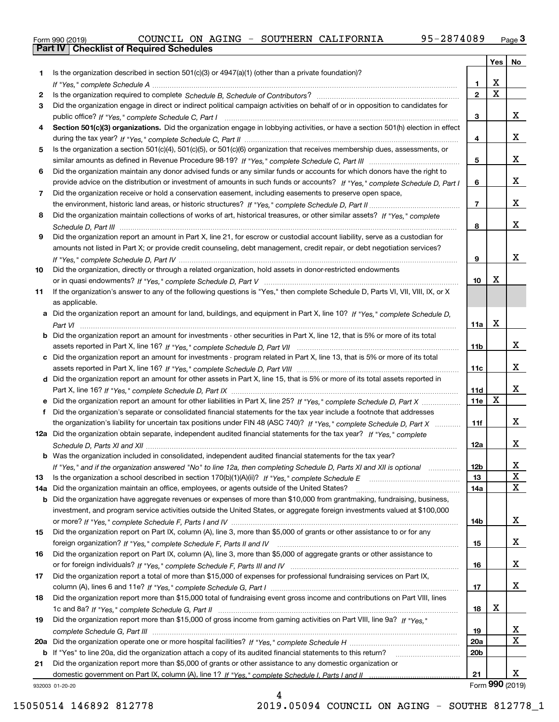|  | Form 990 (2019) |  |
|--|-----------------|--|

|     |                                                                                                                                  |                 |             | Yes   No        |
|-----|----------------------------------------------------------------------------------------------------------------------------------|-----------------|-------------|-----------------|
| 1.  | Is the organization described in section 501(c)(3) or 4947(a)(1) (other than a private foundation)?                              |                 |             |                 |
|     |                                                                                                                                  | 1.              | X           |                 |
| 2   |                                                                                                                                  | $\mathbf{2}$    | $\mathbf X$ |                 |
| 3   | Did the organization engage in direct or indirect political campaign activities on behalf of or in opposition to candidates for  |                 |             |                 |
|     |                                                                                                                                  | 3               |             | x               |
| 4   | Section 501(c)(3) organizations. Did the organization engage in lobbying activities, or have a section 501(h) election in effect |                 |             |                 |
|     |                                                                                                                                  | 4               |             | x               |
| 5   | Is the organization a section 501(c)(4), 501(c)(5), or 501(c)(6) organization that receives membership dues, assessments, or     |                 |             |                 |
|     |                                                                                                                                  | 5               |             | x               |
| 6   | Did the organization maintain any donor advised funds or any similar funds or accounts for which donors have the right to        |                 |             |                 |
|     | provide advice on the distribution or investment of amounts in such funds or accounts? If "Yes," complete Schedule D, Part I     | 6               |             | x               |
| 7   | Did the organization receive or hold a conservation easement, including easements to preserve open space,                        |                 |             |                 |
|     |                                                                                                                                  | $\overline{7}$  |             | x               |
| 8   | Did the organization maintain collections of works of art, historical treasures, or other similar assets? If "Yes," complete     |                 |             |                 |
|     |                                                                                                                                  | 8               |             | x               |
| 9   | Did the organization report an amount in Part X, line 21, for escrow or custodial account liability, serve as a custodian for    |                 |             |                 |
|     | amounts not listed in Part X; or provide credit counseling, debt management, credit repair, or debt negotiation services?        |                 |             |                 |
|     |                                                                                                                                  | 9               |             | x               |
| 10  | Did the organization, directly or through a related organization, hold assets in donor-restricted endowments                     | 10              | x           |                 |
|     |                                                                                                                                  |                 |             |                 |
| 11  | If the organization's answer to any of the following questions is "Yes," then complete Schedule D, Parts VI, VII, VIII, IX, or X |                 |             |                 |
|     | as applicable.                                                                                                                   |                 |             |                 |
| a   | Did the organization report an amount for land, buildings, and equipment in Part X, line 10? If "Yes," complete Schedule D.      | 11a             | X           |                 |
|     | Did the organization report an amount for investments - other securities in Part X, line 12, that is 5% or more of its total     |                 |             |                 |
|     |                                                                                                                                  | 11 <sub>b</sub> |             | x               |
|     | c Did the organization report an amount for investments - program related in Part X, line 13, that is 5% or more of its total    |                 |             |                 |
|     |                                                                                                                                  | 11c             |             | x               |
|     | d Did the organization report an amount for other assets in Part X, line 15, that is 5% or more of its total assets reported in  |                 |             |                 |
|     |                                                                                                                                  | 11d             |             | x               |
|     | e Did the organization report an amount for other liabilities in Part X, line 25? If "Yes," complete Schedule D, Part X          | 11e             | $\mathbf X$ |                 |
| f   | Did the organization's separate or consolidated financial statements for the tax year include a footnote that addresses          |                 |             |                 |
|     | the organization's liability for uncertain tax positions under FIN 48 (ASC 740)? If "Yes," complete Schedule D, Part X           | 11f             |             | x               |
|     | 12a Did the organization obtain separate, independent audited financial statements for the tax year? If "Yes," complete          |                 |             |                 |
|     |                                                                                                                                  | 12a             |             | x               |
|     | <b>b</b> Was the organization included in consolidated, independent audited financial statements for the tax year?               |                 |             |                 |
|     | If "Yes," and if the organization answered "No" to line 12a, then completing Schedule D, Parts XI and XII is optional            | 12 <sub>b</sub> |             | х               |
| 13  |                                                                                                                                  | 13              |             | X               |
| 14a | Did the organization maintain an office, employees, or agents outside of the United States?                                      | 14a             |             | X               |
| b   | Did the organization have aggregate revenues or expenses of more than \$10,000 from grantmaking, fundraising, business,          |                 |             |                 |
|     | investment, and program service activities outside the United States, or aggregate foreign investments valued at \$100,000       |                 |             |                 |
|     |                                                                                                                                  | 14b             |             | x               |
| 15  | Did the organization report on Part IX, column (A), line 3, more than \$5,000 of grants or other assistance to or for any        |                 |             |                 |
|     |                                                                                                                                  | 15              |             | x               |
| 16  | Did the organization report on Part IX, column (A), line 3, more than \$5,000 of aggregate grants or other assistance to         |                 |             |                 |
|     |                                                                                                                                  | 16              |             | x               |
| 17  | Did the organization report a total of more than \$15,000 of expenses for professional fundraising services on Part IX,          |                 |             |                 |
|     |                                                                                                                                  | 17              |             | x               |
| 18  | Did the organization report more than \$15,000 total of fundraising event gross income and contributions on Part VIII, lines     |                 |             |                 |
|     |                                                                                                                                  | 18              | х           |                 |
| 19  | Did the organization report more than \$15,000 of gross income from gaming activities on Part VIII, line 9a? If "Yes."           |                 |             |                 |
|     |                                                                                                                                  | 19              |             | X,              |
| 20a |                                                                                                                                  | 20a             |             | X               |
|     | <b>b</b> If "Yes" to line 20a, did the organization attach a copy of its audited financial statements to this return?            | 20 <sub>b</sub> |             |                 |
| 21  | Did the organization report more than \$5,000 of grants or other assistance to any domestic organization or                      |                 |             |                 |
|     |                                                                                                                                  | 21              |             | x               |
|     | 932003 01-20-20                                                                                                                  |                 |             | Form 990 (2019) |

932003 01-20-20

4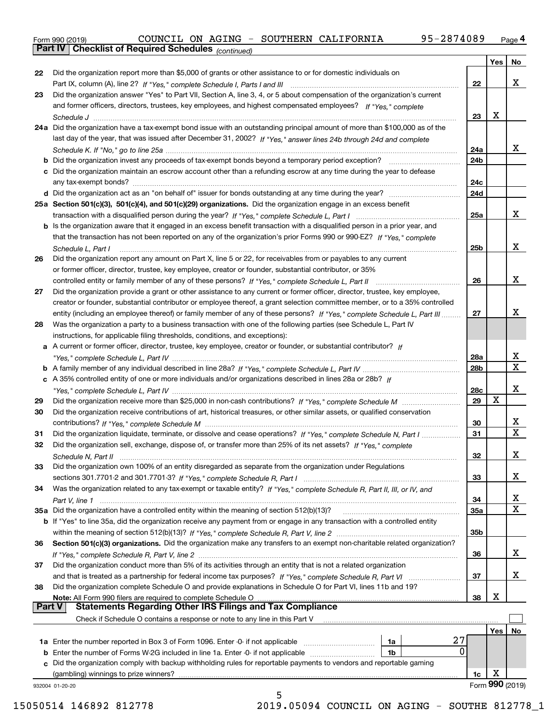|  | Form 990 (2019) |  |
|--|-----------------|--|
|  |                 |  |

*(continued)*

|               |                                                                                                                                                                                                                                        |                 | Yes | No              |
|---------------|----------------------------------------------------------------------------------------------------------------------------------------------------------------------------------------------------------------------------------------|-----------------|-----|-----------------|
| 22            | Did the organization report more than \$5,000 of grants or other assistance to or for domestic individuals on                                                                                                                          |                 |     |                 |
|               |                                                                                                                                                                                                                                        | 22              |     | х               |
| 23            | Did the organization answer "Yes" to Part VII, Section A, line 3, 4, or 5 about compensation of the organization's current                                                                                                             |                 |     |                 |
|               | and former officers, directors, trustees, key employees, and highest compensated employees? If "Yes," complete                                                                                                                         |                 |     |                 |
|               |                                                                                                                                                                                                                                        | 23              | х   |                 |
|               | 24a Did the organization have a tax-exempt bond issue with an outstanding principal amount of more than \$100,000 as of the                                                                                                            |                 |     |                 |
|               | last day of the year, that was issued after December 31, 2002? If "Yes," answer lines 24b through 24d and complete                                                                                                                     |                 |     |                 |
|               |                                                                                                                                                                                                                                        | 24a             |     | х               |
|               | <b>b</b> Did the organization invest any proceeds of tax-exempt bonds beyond a temporary period exception?                                                                                                                             | 24b             |     |                 |
|               | c Did the organization maintain an escrow account other than a refunding escrow at any time during the year to defease                                                                                                                 |                 |     |                 |
|               |                                                                                                                                                                                                                                        | 24c             |     |                 |
|               |                                                                                                                                                                                                                                        | 24d             |     |                 |
|               | 25a Section 501(c)(3), 501(c)(4), and 501(c)(29) organizations. Did the organization engage in an excess benefit                                                                                                                       |                 |     |                 |
|               |                                                                                                                                                                                                                                        | 25a             |     | х               |
|               | b Is the organization aware that it engaged in an excess benefit transaction with a disqualified person in a prior year, and                                                                                                           |                 |     |                 |
|               | that the transaction has not been reported on any of the organization's prior Forms 990 or 990-EZ? If "Yes," complete                                                                                                                  |                 |     |                 |
|               |                                                                                                                                                                                                                                        | 25 <sub>b</sub> |     | х               |
| 26            | Schedule L, Part I<br>Did the organization report any amount on Part X, line 5 or 22, for receivables from or payables to any current                                                                                                  |                 |     |                 |
|               | or former officer, director, trustee, key employee, creator or founder, substantial contributor, or 35%                                                                                                                                |                 |     |                 |
|               |                                                                                                                                                                                                                                        | 26              |     | х               |
| 27            | Did the organization provide a grant or other assistance to any current or former officer, director, trustee, key employee,                                                                                                            |                 |     |                 |
|               | creator or founder, substantial contributor or employee thereof, a grant selection committee member, or to a 35% controlled                                                                                                            |                 |     |                 |
|               | entity (including an employee thereof) or family member of any of these persons? If "Yes," complete Schedule L, Part III                                                                                                               | 27              |     | х               |
| 28            | Was the organization a party to a business transaction with one of the following parties (see Schedule L, Part IV                                                                                                                      |                 |     |                 |
|               | instructions, for applicable filing thresholds, conditions, and exceptions):                                                                                                                                                           |                 |     |                 |
|               | a A current or former officer, director, trustee, key employee, creator or founder, or substantial contributor? If                                                                                                                     |                 |     |                 |
|               |                                                                                                                                                                                                                                        | 28a             |     | х               |
|               |                                                                                                                                                                                                                                        | 28b             |     | $\mathbf x$     |
|               |                                                                                                                                                                                                                                        |                 |     |                 |
|               | c A 35% controlled entity of one or more individuals and/or organizations described in lines 28a or 28b? If                                                                                                                            |                 |     | х               |
|               |                                                                                                                                                                                                                                        | 28c<br>29       | X   |                 |
| 29            | Did the organization receive contributions of art, historical treasures, or other similar assets, or qualified conservation                                                                                                            |                 |     |                 |
| 30            |                                                                                                                                                                                                                                        |                 |     | х               |
|               |                                                                                                                                                                                                                                        | 30              |     | X               |
| 31            | Did the organization liquidate, terminate, or dissolve and cease operations? If "Yes," complete Schedule N, Part I<br>Did the organization sell, exchange, dispose of, or transfer more than 25% of its net assets? If "Yes," complete | 31              |     |                 |
| 32            |                                                                                                                                                                                                                                        | 32              |     | х               |
|               |                                                                                                                                                                                                                                        |                 |     |                 |
| 33            | Did the organization own 100% of an entity disregarded as separate from the organization under Regulations                                                                                                                             |                 |     | х               |
|               |                                                                                                                                                                                                                                        | 33              |     |                 |
| 34            | Was the organization related to any tax-exempt or taxable entity? If "Yes," complete Schedule R, Part II, III, or IV, and                                                                                                              |                 |     | x               |
|               | 35a Did the organization have a controlled entity within the meaning of section 512(b)(13)?                                                                                                                                            | 34<br>35а       |     | X               |
|               |                                                                                                                                                                                                                                        |                 |     |                 |
|               | <b>b</b> If "Yes" to line 35a, did the organization receive any payment from or engage in any transaction with a controlled entity                                                                                                     | 35b             |     |                 |
|               |                                                                                                                                                                                                                                        |                 |     |                 |
| 36            | Section 501(c)(3) organizations. Did the organization make any transfers to an exempt non-charitable related organization?                                                                                                             |                 |     | x               |
|               | Did the organization conduct more than 5% of its activities through an entity that is not a related organization                                                                                                                       | 36              |     |                 |
| 37            |                                                                                                                                                                                                                                        | 37              |     | х               |
|               |                                                                                                                                                                                                                                        |                 |     |                 |
| 38            | Did the organization complete Schedule O and provide explanations in Schedule O for Part VI, lines 11b and 19?<br>Note: All Form 990 filers are required to complete Schedule O                                                        | 38              | х   |                 |
| <b>Part V</b> | <b>Statements Regarding Other IRS Filings and Tax Compliance</b>                                                                                                                                                                       |                 |     |                 |
|               | Check if Schedule O contains a response or note to any line in this Part V                                                                                                                                                             |                 |     |                 |
|               |                                                                                                                                                                                                                                        |                 | Yes | No              |
|               | 27<br>1a                                                                                                                                                                                                                               |                 |     |                 |
|               | 0<br><b>b</b> Enter the number of Forms W-2G included in line 1a. Enter -0- if not applicable<br>1b                                                                                                                                    |                 |     |                 |
|               | c Did the organization comply with backup withholding rules for reportable payments to vendors and reportable gaming                                                                                                                   |                 |     |                 |
|               | (gambling) winnings to prize winners?                                                                                                                                                                                                  | 1c              | х   |                 |
|               | 932004 01-20-20                                                                                                                                                                                                                        |                 |     | Form 990 (2019) |
|               | 5                                                                                                                                                                                                                                      |                 |     |                 |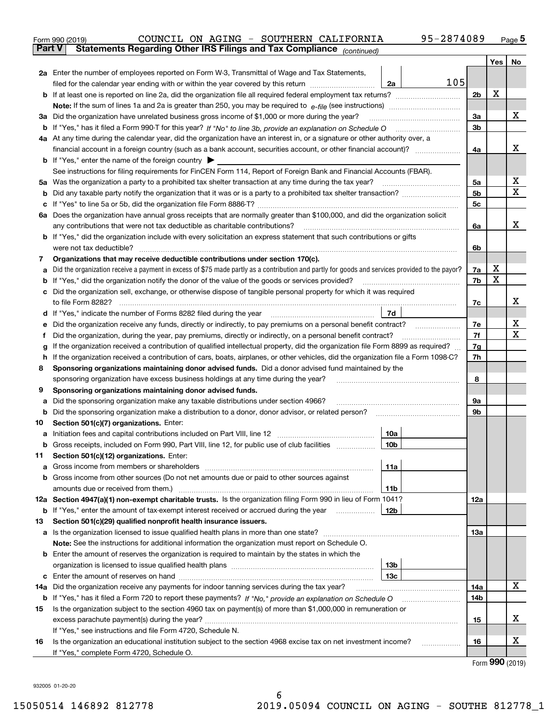|               | COUNCIL ON AGING - SOUTHERN CALIFORNIA<br>95-2874089<br>Form 990 (2019)                                                                               |                |      | $_{\text{Page}}$ 5 |  |  |  |  |
|---------------|-------------------------------------------------------------------------------------------------------------------------------------------------------|----------------|------|--------------------|--|--|--|--|
| <b>Part V</b> | Statements Regarding Other IRS Filings and Tax Compliance (continued)                                                                                 |                |      |                    |  |  |  |  |
|               |                                                                                                                                                       |                | Yes  | No                 |  |  |  |  |
|               | 2a Enter the number of employees reported on Form W-3, Transmittal of Wage and Tax Statements,                                                        |                |      |                    |  |  |  |  |
|               | 105<br>filed for the calendar year ending with or within the year covered by this return<br>2a                                                        |                |      |                    |  |  |  |  |
|               |                                                                                                                                                       | 2b             | х    |                    |  |  |  |  |
|               |                                                                                                                                                       |                |      |                    |  |  |  |  |
| За            | Did the organization have unrelated business gross income of \$1,000 or more during the year?                                                         | 3a             |      | x                  |  |  |  |  |
|               |                                                                                                                                                       | 3b             |      |                    |  |  |  |  |
|               | 4a At any time during the calendar year, did the organization have an interest in, or a signature or other authority over, a                          |                |      |                    |  |  |  |  |
|               |                                                                                                                                                       | 4a             |      | х                  |  |  |  |  |
|               | <b>b</b> If "Yes," enter the name of the foreign country $\blacktriangleright$                                                                        |                |      |                    |  |  |  |  |
|               | See instructions for filing requirements for FinCEN Form 114, Report of Foreign Bank and Financial Accounts (FBAR).                                   |                |      | х                  |  |  |  |  |
| 5a            | Was the organization a party to a prohibited tax shelter transaction at any time during the tax year?                                                 |                |      |                    |  |  |  |  |
| b             |                                                                                                                                                       | 5 <sub>b</sub> |      | X                  |  |  |  |  |
| с             |                                                                                                                                                       | 5c             |      |                    |  |  |  |  |
|               | 6a Does the organization have annual gross receipts that are normally greater than \$100,000, and did the organization solicit                        |                |      |                    |  |  |  |  |
|               | any contributions that were not tax deductible as charitable contributions?                                                                           | 6a             |      | x                  |  |  |  |  |
|               | <b>b</b> If "Yes," did the organization include with every solicitation an express statement that such contributions or gifts                         |                |      |                    |  |  |  |  |
|               | were not tax deductible?                                                                                                                              | 6b             |      |                    |  |  |  |  |
| 7             | Organizations that may receive deductible contributions under section 170(c).                                                                         |                |      |                    |  |  |  |  |
| а             | Did the organization receive a payment in excess of \$75 made partly as a contribution and partly for goods and services provided to the payor?       | 7a             | X    |                    |  |  |  |  |
| b             | If "Yes," did the organization notify the donor of the value of the goods or services provided?                                                       | 7b             | X    |                    |  |  |  |  |
| с             | Did the organization sell, exchange, or otherwise dispose of tangible personal property for which it was required                                     |                |      |                    |  |  |  |  |
|               |                                                                                                                                                       | 7c             |      | х                  |  |  |  |  |
|               | 7d<br>d If "Yes," indicate the number of Forms 8282 filed during the year [11,111] The set response to the number of Forms 8282 filed during the year |                |      |                    |  |  |  |  |
| е             |                                                                                                                                                       | 7e             |      | х<br>X             |  |  |  |  |
| f             | Did the organization, during the year, pay premiums, directly or indirectly, on a personal benefit contract?                                          | 7f<br>7g       |      |                    |  |  |  |  |
|               | If the organization received a contribution of qualified intellectual property, did the organization file Form 8899 as required?<br>g                 |                |      |                    |  |  |  |  |
| h             | If the organization received a contribution of cars, boats, airplanes, or other vehicles, did the organization file a Form 1098-C?                    | 7h             |      |                    |  |  |  |  |
| 8             | Sponsoring organizations maintaining donor advised funds. Did a donor advised fund maintained by the                                                  |                |      |                    |  |  |  |  |
|               | sponsoring organization have excess business holdings at any time during the year?<br>Sponsoring organizations maintaining donor advised funds.       | 8              |      |                    |  |  |  |  |
| 9             | Did the sponsoring organization make any taxable distributions under section 4966?                                                                    | 9а             |      |                    |  |  |  |  |
| а<br>b        | Did the sponsoring organization make a distribution to a donor, donor advisor, or related person?                                                     | 9b             |      |                    |  |  |  |  |
| 10            | Section 501(c)(7) organizations. Enter:                                                                                                               |                |      |                    |  |  |  |  |
|               | 10a                                                                                                                                                   |                |      |                    |  |  |  |  |
|               | 10 <sub>b</sub><br>Gross receipts, included on Form 990, Part VIII, line 12, for public use of club facilities                                        |                |      |                    |  |  |  |  |
| 11            | Section 501(c)(12) organizations. Enter:                                                                                                              |                |      |                    |  |  |  |  |
| a             | Gross income from members or shareholders<br>11a                                                                                                      |                |      |                    |  |  |  |  |
| b             | Gross income from other sources (Do not net amounts due or paid to other sources against                                                              |                |      |                    |  |  |  |  |
|               | 11b                                                                                                                                                   |                |      |                    |  |  |  |  |
|               | 12a Section 4947(a)(1) non-exempt charitable trusts. Is the organization filing Form 990 in lieu of Form 1041?                                        | 12a            |      |                    |  |  |  |  |
|               | 12 <sub>b</sub><br><b>b</b> If "Yes," enter the amount of tax-exempt interest received or accrued during the year                                     |                |      |                    |  |  |  |  |
| 13            | Section 501(c)(29) qualified nonprofit health insurance issuers.                                                                                      |                |      |                    |  |  |  |  |
| a             | Is the organization licensed to issue qualified health plans in more than one state?                                                                  | 13a            |      |                    |  |  |  |  |
|               | Note: See the instructions for additional information the organization must report on Schedule O.                                                     |                |      |                    |  |  |  |  |
| b             | Enter the amount of reserves the organization is required to maintain by the states in which the                                                      |                |      |                    |  |  |  |  |
|               | 13 <sub>b</sub>                                                                                                                                       |                |      |                    |  |  |  |  |
|               | 13c                                                                                                                                                   |                |      |                    |  |  |  |  |
| 14a           | Did the organization receive any payments for indoor tanning services during the tax year?                                                            | 14a            |      | x                  |  |  |  |  |
|               | <b>b</b> If "Yes," has it filed a Form 720 to report these payments? If "No," provide an explanation on Schedule O                                    | 14b            |      |                    |  |  |  |  |
| 15            | Is the organization subject to the section 4960 tax on payment(s) of more than \$1,000,000 in remuneration or                                         |                |      |                    |  |  |  |  |
|               |                                                                                                                                                       | 15             |      | х                  |  |  |  |  |
|               | If "Yes," see instructions and file Form 4720, Schedule N.                                                                                            |                |      |                    |  |  |  |  |
| 16            | Is the organization an educational institution subject to the section 4968 excise tax on net investment income?                                       | 16             |      | х                  |  |  |  |  |
|               | If "Yes," complete Form 4720, Schedule O.                                                                                                             |                | nnn. |                    |  |  |  |  |

Form (2019) **990**

932005 01-20-20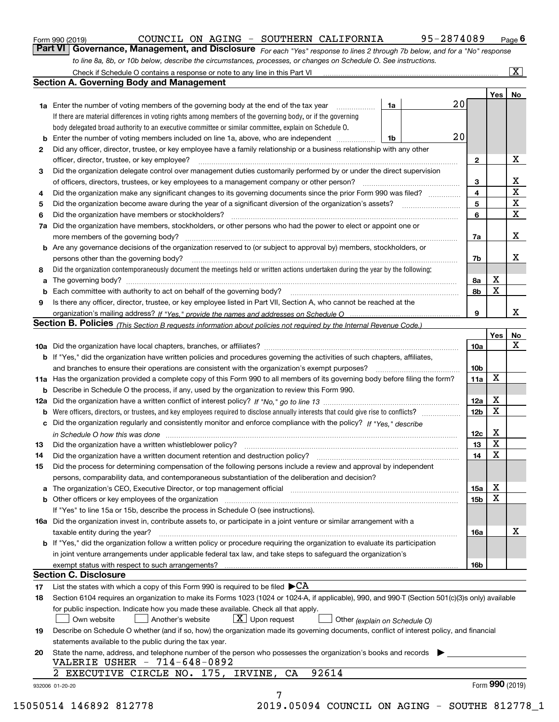| Form 990 (2019) |  |  |
|-----------------|--|--|
|                 |  |  |

| DUNCIL ON AGING - |  |  | SOUTHERN CALIFORNIA |  |
|-------------------|--|--|---------------------|--|
|                   |  |  |                     |  |

*For each "Yes" response to lines 2 through 7b below, and for a "No" response to line 8a, 8b, or 10b below, describe the circumstances, processes, or changes on Schedule O. See instructions.* Form 990 (2019) **COUNCIL ON AGING - SOUTHERN CALIFORNIA** 95-2874089 Page 6<br>**Part VI Governance, Management, and Disclosure** For each "Yes" response to lines 2 through 7b below, and for a "No" response

|    |                                                                                                                                                                                                                             |    | 20 |                         | Yes | No                           |
|----|-----------------------------------------------------------------------------------------------------------------------------------------------------------------------------------------------------------------------------|----|----|-------------------------|-----|------------------------------|
|    | <b>1a</b> Enter the number of voting members of the governing body at the end of the tax year <i>manumum</i><br>If there are material differences in voting rights among members of the governing body, or if the governing | 1a |    |                         |     |                              |
|    | body delegated broad authority to an executive committee or similar committee, explain on Schedule O.                                                                                                                       |    |    |                         |     |                              |
|    |                                                                                                                                                                                                                             |    | 20 |                         |     |                              |
|    | <b>b</b> Enter the number of voting members included on line 1a, above, who are independent <i>manumum</i>                                                                                                                  | 1b |    |                         |     |                              |
| 2  | Did any officer, director, trustee, or key employee have a family relationship or a business relationship with any other                                                                                                    |    |    |                         |     | х                            |
|    | officer, director, trustee, or key employee?                                                                                                                                                                                |    |    | $\mathbf{2}$            |     |                              |
| 3  | Did the organization delegate control over management duties customarily performed by or under the direct supervision                                                                                                       |    |    |                         |     |                              |
|    | of officers, directors, trustees, or key employees to a management company or other person?                                                                                                                                 |    |    | 3                       |     | X<br>$\overline{\mathbf{x}}$ |
| 4  | Did the organization make any significant changes to its governing documents since the prior Form 990 was filed?                                                                                                            |    |    | $\overline{\mathbf{4}}$ |     | $\mathbf{X}$                 |
| 5  |                                                                                                                                                                                                                             |    |    | 5                       |     |                              |
| 6  | Did the organization have members or stockholders?                                                                                                                                                                          |    |    | 6                       |     | X                            |
| 7a | Did the organization have members, stockholders, or other persons who had the power to elect or appoint one or                                                                                                              |    |    |                         |     |                              |
|    |                                                                                                                                                                                                                             |    |    | 7a                      |     | х                            |
|    | <b>b</b> Are any governance decisions of the organization reserved to (or subject to approval by) members, stockholders, or                                                                                                 |    |    |                         |     |                              |
|    | persons other than the governing body?                                                                                                                                                                                      |    |    | 7b                      |     | х                            |
| 8  | Did the organization contemporaneously document the meetings held or written actions undertaken during the year by the following:                                                                                           |    |    |                         |     |                              |
| a  |                                                                                                                                                                                                                             |    |    | 8a                      | X   |                              |
|    |                                                                                                                                                                                                                             |    |    | 8b                      | X   |                              |
| 9  | Is there any officer, director, trustee, or key employee listed in Part VII, Section A, who cannot be reached at the                                                                                                        |    |    |                         |     |                              |
|    |                                                                                                                                                                                                                             |    |    | 9                       |     | x                            |
|    | <b>Section B. Policies</b> (This Section B requests information about policies not required by the Internal Revenue Code.)                                                                                                  |    |    |                         |     |                              |
|    |                                                                                                                                                                                                                             |    |    |                         | Yes | No                           |
|    |                                                                                                                                                                                                                             |    |    | 10a                     |     | X                            |
|    | <b>b</b> If "Yes," did the organization have written policies and procedures governing the activities of such chapters, affiliates,                                                                                         |    |    |                         |     |                              |
|    |                                                                                                                                                                                                                             |    |    | 10 <sub>b</sub>         |     |                              |
|    | 11a Has the organization provided a complete copy of this Form 990 to all members of its governing body before filing the form?                                                                                             |    |    | 11a                     | X   |                              |
|    | <b>b</b> Describe in Schedule O the process, if any, used by the organization to review this Form 990.                                                                                                                      |    |    |                         |     |                              |
|    |                                                                                                                                                                                                                             |    |    | 12a                     | X   |                              |
| b  | Were officers, directors, or trustees, and key employees required to disclose annually interests that could give rise to conflicts?                                                                                         |    |    | 12 <sub>b</sub>         | X   |                              |
|    | c Did the organization regularly and consistently monitor and enforce compliance with the policy? If "Yes." describe                                                                                                        |    |    |                         |     |                              |
|    | in Schedule O how this was done manufactured and continuum control of the Schedule O how this was done manufactured and the state of the Schedule O how this was done                                                       |    |    | 12c                     | Х   |                              |
| 13 |                                                                                                                                                                                                                             |    |    | 13                      | X   |                              |
| 14 | Did the organization have a written document retention and destruction policy? manufactured and the organization have a written document retention and destruction policy?                                                  |    |    | 14                      | X   |                              |
| 15 | Did the process for determining compensation of the following persons include a review and approval by independent                                                                                                          |    |    |                         |     |                              |
|    | persons, comparability data, and contemporaneous substantiation of the deliberation and decision?                                                                                                                           |    |    |                         |     |                              |
|    |                                                                                                                                                                                                                             |    |    | 15a                     | х   |                              |
|    |                                                                                                                                                                                                                             |    |    | 15b                     | X   |                              |
|    | If "Yes" to line 15a or 15b, describe the process in Schedule O (see instructions).                                                                                                                                         |    |    |                         |     |                              |
|    | 16a Did the organization invest in, contribute assets to, or participate in a joint venture or similar arrangement with a                                                                                                   |    |    |                         |     |                              |
|    | taxable entity during the year?                                                                                                                                                                                             |    |    | 16a                     |     | х                            |
|    | b If "Yes," did the organization follow a written policy or procedure requiring the organization to evaluate its participation                                                                                              |    |    |                         |     |                              |
|    | in joint venture arrangements under applicable federal tax law, and take steps to safeguard the organization's                                                                                                              |    |    |                         |     |                              |
|    | exempt status with respect to such arrangements?                                                                                                                                                                            |    |    | 16b                     |     |                              |
|    | <b>Section C. Disclosure</b>                                                                                                                                                                                                |    |    |                         |     |                              |
| 17 | List the states with which a copy of this Form 990 is required to be filed $\blacktriangleright$ CA                                                                                                                         |    |    |                         |     |                              |
| 18 | Section 6104 requires an organization to make its Forms 1023 (1024 or 1024-A, if applicable), 990, and 990-T (Section 501(c)(3)s only) available                                                                            |    |    |                         |     |                              |
|    | for public inspection. Indicate how you made these available. Check all that apply.                                                                                                                                         |    |    |                         |     |                              |
|    | $X$ Upon request<br>Own website<br>Another's website                                                                                                                                                                        |    |    |                         |     |                              |
| 19 | Other (explain on Schedule O)<br>Describe on Schedule O whether (and if so, how) the organization made its governing documents, conflict of interest policy, and financial                                                  |    |    |                         |     |                              |
|    |                                                                                                                                                                                                                             |    |    |                         |     |                              |
|    | statements available to the public during the tax year.                                                                                                                                                                     |    |    |                         |     |                              |
| 20 | State the name, address, and telephone number of the person who possesses the organization's books and records<br>VALERIE USHER - 714-648-0892                                                                              |    |    |                         |     |                              |
|    |                                                                                                                                                                                                                             |    |    |                         |     |                              |
|    | 92614<br>2 EXECUTIVE CIRCLE NO. 175, IRVINE,<br>CA                                                                                                                                                                          |    |    |                         |     |                              |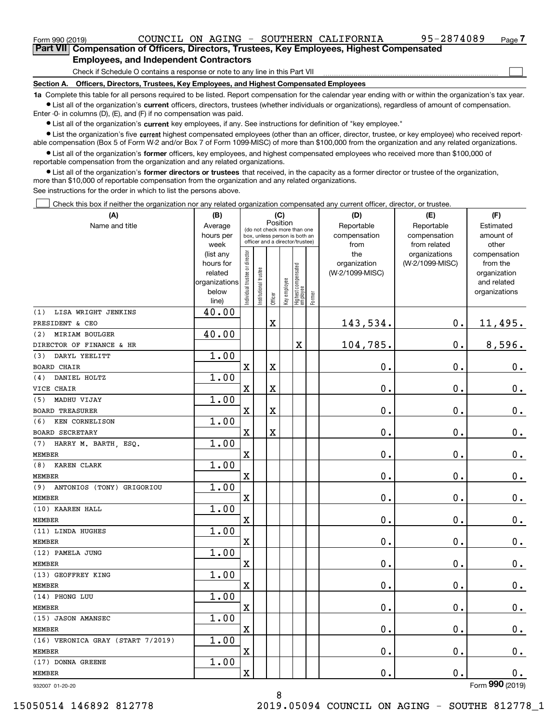$\mathcal{L}^{\text{max}}$ 

| Form 990 (2019) |                                                                                            |  |  | COUNCIL ON AGING - SOUTHERN CALIFORNIA | 95-2874089 | Page 7 |
|-----------------|--------------------------------------------------------------------------------------------|--|--|----------------------------------------|------------|--------|
|                 | Part VII Compensation of Officers, Directors, Trustees, Key Employees, Highest Compensated |  |  |                                        |            |        |
|                 | Employees, and Independent Contractors                                                     |  |  |                                        |            |        |

#### **Employees, and Independent Contractors**

Check if Schedule O contains a response or note to any line in this Part VII

**Section A. Officers, Directors, Trustees, Key Employees, and Highest Compensated Employees**

**1a**  Complete this table for all persons required to be listed. Report compensation for the calendar year ending with or within the organization's tax year. **•** List all of the organization's current officers, directors, trustees (whether individuals or organizations), regardless of amount of compensation.

Enter -0- in columns (D), (E), and (F) if no compensation was paid.

 $\bullet$  List all of the organization's  $\,$ current key employees, if any. See instructions for definition of "key employee."

**•** List the organization's five current highest compensated employees (other than an officer, director, trustee, or key employee) who received reportable compensation (Box 5 of Form W-2 and/or Box 7 of Form 1099-MISC) of more than \$100,000 from the organization and any related organizations.

**•** List all of the organization's former officers, key employees, and highest compensated employees who received more than \$100,000 of reportable compensation from the organization and any related organizations.

**former directors or trustees**  ¥ List all of the organization's that received, in the capacity as a former director or trustee of the organization, more than \$10,000 of reportable compensation from the organization and any related organizations.

See instructions for the order in which to list the persons above.

Check this box if neither the organization nor any related organization compensated any current officer, director, or trustee.  $\mathcal{L}^{\text{max}}$ 

| (A)                               | (B)                      |                               |                                                                  | (C)                     |              |                                  |        | (D)             | (E)             | (F)                         |
|-----------------------------------|--------------------------|-------------------------------|------------------------------------------------------------------|-------------------------|--------------|----------------------------------|--------|-----------------|-----------------|-----------------------------|
| Name and title                    | Average                  |                               | (do not check more than one                                      | Position                |              |                                  |        | Reportable      | Reportable      | Estimated                   |
|                                   | hours per                |                               | box, unless person is both an<br>officer and a director/trustee) |                         |              |                                  |        | compensation    | compensation    | amount of                   |
|                                   | week                     |                               |                                                                  |                         |              |                                  |        | from            | from related    | other                       |
|                                   | (list any                |                               |                                                                  |                         |              |                                  |        | the             | organizations   | compensation                |
|                                   | hours for                |                               |                                                                  |                         |              |                                  |        | organization    | (W-2/1099-MISC) | from the                    |
|                                   | related<br>organizations |                               |                                                                  |                         |              |                                  |        | (W-2/1099-MISC) |                 | organization<br>and related |
|                                   | below                    |                               |                                                                  |                         |              |                                  |        |                 |                 | organizations               |
|                                   | line)                    | ndividual trustee or director | Institutional trustee                                            | Officer                 | Key employee | Highest compensated<br> employee | Former |                 |                 |                             |
| LISA WRIGHT JENKINS<br>(1)        | 40.00                    |                               |                                                                  |                         |              |                                  |        |                 |                 |                             |
| PRESIDENT & CEO                   |                          |                               |                                                                  | $\mathbf X$             |              |                                  |        | 143,534.        | $\mathbf 0$ .   | 11,495.                     |
| <b>MIRIAM BOULGER</b><br>(2)      | 40.00                    |                               |                                                                  |                         |              |                                  |        |                 |                 |                             |
| DIRECTOR OF FINANCE & HR          |                          |                               |                                                                  |                         |              | X                                |        | 104,785.        | 0.              | 8,596.                      |
| DARYL YEELITT<br>(3)              | 1.00                     |                               |                                                                  |                         |              |                                  |        |                 |                 |                             |
| <b>BOARD CHAIR</b>                |                          | $\rm X$                       |                                                                  | $\mathbf X$             |              |                                  |        | 0.              | $\mathbf 0$ .   | $\mathbf 0$ .               |
| DANIEL HOLTZ<br>(4)               | 1.00                     |                               |                                                                  |                         |              |                                  |        |                 |                 |                             |
| VICE CHAIR                        |                          | $\overline{\mathbf{X}}$       |                                                                  | $\mathbf X$             |              |                                  |        | 0.              | $\mathbf 0$ .   | $\mathbf 0$ .               |
| MADHU VIJAY<br>(5)                | 1.00                     |                               |                                                                  |                         |              |                                  |        |                 |                 |                             |
| <b>BOARD TREASURER</b>            |                          | $\mathbf X$                   |                                                                  | $\overline{\mathbf{X}}$ |              |                                  |        | 0.              | $\mathbf 0$ .   | $\mathbf 0$ .               |
| KEN CORNELISON<br>(6)             | 1.00                     |                               |                                                                  |                         |              |                                  |        |                 |                 |                             |
| <b>BOARD SECRETARY</b>            |                          | $\overline{\mathbf{X}}$       |                                                                  | $\mathbf X$             |              |                                  |        | $\mathbf 0$ .   | $\mathbf 0$ .   | $0_{.}$                     |
| (7)<br>HARRY M. BARTH, ESQ.       | 1.00                     |                               |                                                                  |                         |              |                                  |        |                 |                 |                             |
| <b>MEMBER</b>                     |                          | $\overline{\text{X}}$         |                                                                  |                         |              |                                  |        | $\mathbf 0$ .   | $\mathbf 0$ .   | $0_{.}$                     |
| KAREN CLARK<br>(8)                | 1.00                     |                               |                                                                  |                         |              |                                  |        |                 |                 |                             |
| <b>MEMBER</b>                     |                          | X                             |                                                                  |                         |              |                                  |        | 0.              | $\mathbf 0$ .   | $\mathbf 0$ .               |
| (9)<br>ANTONIOS (TONY) GRIGORIOU  | 1.00                     |                               |                                                                  |                         |              |                                  |        |                 |                 |                             |
| <b>MEMBER</b>                     |                          | $\overline{\mathbf{X}}$       |                                                                  |                         |              |                                  |        | 0.              | 0.              | $0_{.}$                     |
| (10) KAAREN HALL                  | 1.00                     |                               |                                                                  |                         |              |                                  |        |                 |                 |                             |
| <b>MEMBER</b>                     |                          | $\overline{\text{X}}$         |                                                                  |                         |              |                                  |        | 0.              | $\mathbf 0$ .   | 0.                          |
| (11) LINDA HUGHES                 | 1.00                     |                               |                                                                  |                         |              |                                  |        |                 |                 |                             |
| <b>MEMBER</b>                     |                          | X                             |                                                                  |                         |              |                                  |        | 0.              | 0.              | $\mathbf 0$ .               |
| (12) PAMELA JUNG                  | 1.00                     |                               |                                                                  |                         |              |                                  |        |                 |                 |                             |
| <b>MEMBER</b>                     |                          | $\overline{\text{X}}$         |                                                                  |                         |              |                                  |        | 0.              | $\mathbf 0$ .   | $0_{.}$                     |
| (13) GEOFFREY KING                | 1.00                     |                               |                                                                  |                         |              |                                  |        |                 |                 |                             |
| <b>MEMBER</b>                     |                          | X                             |                                                                  |                         |              |                                  |        | 0.              | 0.              | $\mathbf 0$ .               |
| (14) PHONG LUU                    | 1.00                     |                               |                                                                  |                         |              |                                  |        |                 |                 |                             |
| <b>MEMBER</b>                     |                          | $\overline{\text{X}}$         |                                                                  |                         |              |                                  |        | $\mathbf 0$ .   | $\mathbf 0$ .   | $0$ .                       |
| (15) JASON AMANSEC                | 1.00                     |                               |                                                                  |                         |              |                                  |        |                 |                 |                             |
| <b>MEMBER</b>                     |                          | X                             |                                                                  |                         |              |                                  |        | 0.              | 0.              | $\mathbf 0$ .               |
| (16) VERONICA GRAY (START 7/2019) | 1.00                     |                               |                                                                  |                         |              |                                  |        |                 |                 |                             |
| <b>MEMBER</b>                     |                          | $\rm X$                       |                                                                  |                         |              |                                  |        | 0.              | $\mathbf 0$ .   | 0.                          |
| (17) DONNA GREENE                 | 1.00                     |                               |                                                                  |                         |              |                                  |        |                 |                 |                             |
| <b>MEMBER</b>                     |                          | $\overline{\mathbf{X}}$       |                                                                  |                         |              |                                  |        | 0.              | $\mathbf 0$ .   | 0.<br>$\overline{2}$        |

932007 01-20-20

Form (2019) **990**

8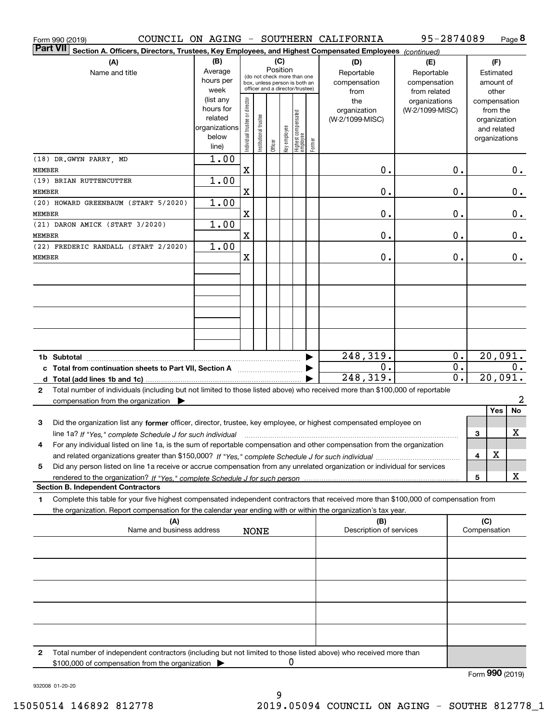| Form 990 (2019)                                                                                                                                 |               |                                |                                                              |          |              |                                  |        | COUNCIL ON AGING - SOUTHERN CALIFORNIA | 95-2874089      |                  |              |               | Page 8  |
|-------------------------------------------------------------------------------------------------------------------------------------------------|---------------|--------------------------------|--------------------------------------------------------------|----------|--------------|----------------------------------|--------|----------------------------------------|-----------------|------------------|--------------|---------------|---------|
| <b>Part VII</b><br>Section A. Officers, Directors, Trustees, Key Employees, and Highest Compensated Employees (continued)                       |               |                                |                                                              |          |              |                                  |        |                                        |                 |                  |              |               |         |
| (A)                                                                                                                                             | (B)           |                                |                                                              | (C)      |              |                                  |        | (D)                                    | (E)             |                  |              | (F)           |         |
| Name and title                                                                                                                                  | Average       |                                |                                                              | Position |              |                                  |        | Reportable                             | Reportable      |                  |              | Estimated     |         |
|                                                                                                                                                 | hours per     |                                | (do not check more than one<br>box, unless person is both an |          |              |                                  |        | compensation                           | compensation    |                  |              | amount of     |         |
|                                                                                                                                                 | week          |                                | officer and a director/trustee)                              |          |              |                                  |        | from                                   | from related    |                  |              | other         |         |
|                                                                                                                                                 | (list any     |                                |                                                              |          |              |                                  |        | the                                    | organizations   |                  |              | compensation  |         |
|                                                                                                                                                 | hours for     |                                |                                                              |          |              |                                  |        | organization                           | (W-2/1099-MISC) |                  |              | from the      |         |
|                                                                                                                                                 | related       |                                |                                                              |          |              |                                  |        | (W-2/1099-MISC)                        |                 |                  |              | organization  |         |
|                                                                                                                                                 | organizations |                                |                                                              |          |              |                                  |        |                                        |                 |                  |              | and related   |         |
|                                                                                                                                                 | below         |                                |                                                              |          |              |                                  |        |                                        |                 |                  |              | organizations |         |
|                                                                                                                                                 | line)         | Individual trustee or director | In stitutional trustee                                       | Officer  | Key employee | Highest compensated<br> employee | Former |                                        |                 |                  |              |               |         |
| (18) DR.GWYN PARRY, MD                                                                                                                          | 1.00          |                                |                                                              |          |              |                                  |        |                                        |                 |                  |              |               |         |
| <b>MEMBER</b>                                                                                                                                   |               | Χ                              |                                                              |          |              |                                  |        | 0.                                     |                 | 0.               |              |               | 0.      |
| (19) BRIAN RUTTENCUTTER                                                                                                                         | 1.00          |                                |                                                              |          |              |                                  |        |                                        |                 |                  |              |               |         |
| <b>MEMBER</b>                                                                                                                                   |               | Χ                              |                                                              |          |              |                                  |        | 0.                                     |                 | 0.               |              |               | $0$ .   |
|                                                                                                                                                 | 1.00          |                                |                                                              |          |              |                                  |        |                                        |                 |                  |              |               |         |
| (20) HOWARD GREENBAUM (START 5/2020)                                                                                                            |               |                                |                                                              |          |              |                                  |        |                                        |                 |                  |              |               |         |
| <b>MEMBER</b>                                                                                                                                   |               | Χ                              |                                                              |          |              |                                  |        | 0.                                     |                 | 0.               |              |               | 0.      |
| (21) DARON AMICK (START 3/2020)                                                                                                                 | 1.00          |                                |                                                              |          |              |                                  |        |                                        |                 |                  |              |               |         |
| <b>MEMBER</b>                                                                                                                                   |               | Χ                              |                                                              |          |              |                                  |        | 0.                                     |                 | 0.               |              |               | $0$ .   |
| (22) FREDERIC RANDALL (START 2/2020)                                                                                                            | 1.00          |                                |                                                              |          |              |                                  |        |                                        |                 |                  |              |               |         |
| <b>MEMBER</b>                                                                                                                                   |               | Χ                              |                                                              |          |              |                                  |        | 0.                                     |                 | 0.               |              |               | $0$ .   |
|                                                                                                                                                 |               |                                |                                                              |          |              |                                  |        |                                        |                 |                  |              |               |         |
|                                                                                                                                                 |               |                                |                                                              |          |              |                                  |        |                                        |                 |                  |              |               |         |
|                                                                                                                                                 |               |                                |                                                              |          |              |                                  |        |                                        |                 |                  |              |               |         |
|                                                                                                                                                 |               |                                |                                                              |          |              |                                  |        |                                        |                 |                  |              |               |         |
|                                                                                                                                                 |               |                                |                                                              |          |              |                                  |        |                                        |                 |                  |              |               |         |
|                                                                                                                                                 |               |                                |                                                              |          |              |                                  |        |                                        |                 |                  |              |               |         |
|                                                                                                                                                 |               |                                |                                                              |          |              |                                  |        |                                        |                 |                  |              |               |         |
|                                                                                                                                                 |               |                                |                                                              |          |              |                                  |        |                                        |                 |                  |              |               |         |
|                                                                                                                                                 |               |                                |                                                              |          |              |                                  |        |                                        |                 |                  |              |               |         |
|                                                                                                                                                 |               |                                |                                                              |          |              |                                  |        | 248,319.                               |                 | $0$ .            |              |               | 20,091. |
| c Total from continuation sheets to Part VII, Section A                                                                                         |               |                                |                                                              |          |              |                                  |        | 0.                                     |                 | $\overline{0}$ . |              |               | $0$ .   |
|                                                                                                                                                 |               |                                |                                                              |          |              |                                  |        | 248, 319.                              |                 | $\overline{0}$ . |              | 20,091.       |         |
| Total number of individuals (including but not limited to those listed above) who received more than \$100,000 of reportable<br>$\mathbf{2}$    |               |                                |                                                              |          |              |                                  |        |                                        |                 |                  |              |               |         |
| compensation from the organization $\blacktriangleright$                                                                                        |               |                                |                                                              |          |              |                                  |        |                                        |                 |                  |              |               | 2       |
|                                                                                                                                                 |               |                                |                                                              |          |              |                                  |        |                                        |                 |                  |              | Yes           | No      |
| 3<br>Did the organization list any former officer, director, trustee, key employee, or highest compensated employee on                          |               |                                |                                                              |          |              |                                  |        |                                        |                 |                  |              |               |         |
| line 1a? If "Yes," complete Schedule J for such individual manufactured contained and the 1a? If "Yes," complete Schedule J for such individual |               |                                |                                                              |          |              |                                  |        |                                        |                 |                  | 3            |               | X       |
| For any individual listed on line 1a, is the sum of reportable compensation and other compensation from the organization                        |               |                                |                                                              |          |              |                                  |        |                                        |                 |                  |              |               |         |
|                                                                                                                                                 |               |                                |                                                              |          |              |                                  |        |                                        |                 |                  | 4            | X             |         |
|                                                                                                                                                 |               |                                |                                                              |          |              |                                  |        |                                        |                 |                  |              |               |         |
| Did any person listed on line 1a receive or accrue compensation from any unrelated organization or individual for services<br>5                 |               |                                |                                                              |          |              |                                  |        |                                        |                 |                  |              |               |         |
|                                                                                                                                                 |               |                                |                                                              |          |              |                                  |        |                                        |                 |                  | 5            |               | х       |
| <b>Section B. Independent Contractors</b>                                                                                                       |               |                                |                                                              |          |              |                                  |        |                                        |                 |                  |              |               |         |
| Complete this table for your five highest compensated independent contractors that received more than \$100,000 of compensation from<br>1       |               |                                |                                                              |          |              |                                  |        |                                        |                 |                  |              |               |         |
| the organization. Report compensation for the calendar year ending with or within the organization's tax year.                                  |               |                                |                                                              |          |              |                                  |        |                                        |                 |                  |              |               |         |
| (A)                                                                                                                                             |               |                                |                                                              |          |              |                                  |        | (B)                                    |                 |                  | (C)          |               |         |
| Name and business address                                                                                                                       |               |                                | <b>NONE</b>                                                  |          |              |                                  |        | Description of services                |                 |                  | Compensation |               |         |
|                                                                                                                                                 |               |                                |                                                              |          |              |                                  |        |                                        |                 |                  |              |               |         |
|                                                                                                                                                 |               |                                |                                                              |          |              |                                  |        |                                        |                 |                  |              |               |         |
|                                                                                                                                                 |               |                                |                                                              |          |              |                                  |        |                                        |                 |                  |              |               |         |
|                                                                                                                                                 |               |                                |                                                              |          |              |                                  |        |                                        |                 |                  |              |               |         |
|                                                                                                                                                 |               |                                |                                                              |          |              |                                  |        |                                        |                 |                  |              |               |         |
|                                                                                                                                                 |               |                                |                                                              |          |              |                                  |        |                                        |                 |                  |              |               |         |
|                                                                                                                                                 |               |                                |                                                              |          |              |                                  |        |                                        |                 |                  |              |               |         |
|                                                                                                                                                 |               |                                |                                                              |          |              |                                  |        |                                        |                 |                  |              |               |         |
|                                                                                                                                                 |               |                                |                                                              |          |              |                                  |        |                                        |                 |                  |              |               |         |
|                                                                                                                                                 |               |                                |                                                              |          |              |                                  |        |                                        |                 |                  |              |               |         |
|                                                                                                                                                 |               |                                |                                                              |          |              |                                  |        |                                        |                 |                  |              |               |         |
| Total number of independent contractors (including but not limited to those listed above) who received more than<br>2                           |               |                                |                                                              |          |              |                                  |        |                                        |                 |                  |              |               |         |
| \$100,000 of compensation from the organization                                                                                                 |               |                                |                                                              |          | 0            |                                  |        |                                        |                 |                  |              |               |         |

Form (2019) **990**

932008 01-20-20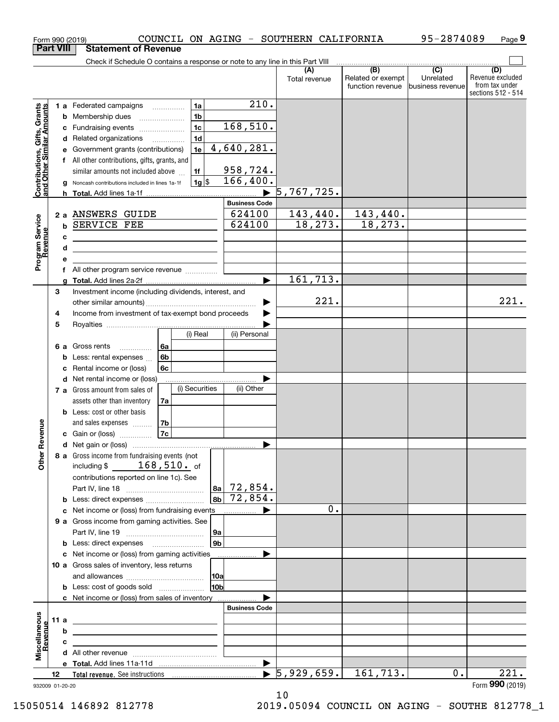|                                                           |                  |   | COUNCIL ON AGING - SOUTHERN CALIFORNIA<br>Form 990 (2019)                     |                      |                      |                                       | 95-2874089                    | Page 9                                                          |
|-----------------------------------------------------------|------------------|---|-------------------------------------------------------------------------------|----------------------|----------------------|---------------------------------------|-------------------------------|-----------------------------------------------------------------|
|                                                           | <b>Part VIII</b> |   | <b>Statement of Revenue</b>                                                   |                      |                      |                                       |                               |                                                                 |
|                                                           |                  |   | Check if Schedule O contains a response or note to any line in this Part VIII |                      |                      | (B)                                   | $\overline{(C)}$              |                                                                 |
|                                                           |                  |   |                                                                               |                      | (A)<br>Total revenue | Related or exempt<br>function revenue | Unrelated<br>business revenue | (D)<br>Revenue excluded<br>from tax under<br>sections 512 - 514 |
|                                                           |                  |   | 1a<br>1 a Federated campaigns                                                 | 210.                 |                      |                                       |                               |                                                                 |
| Contributions, Gifts, Grants<br>and Other Similar Amounts |                  | b | 1 <sub>b</sub><br>Membership dues                                             |                      |                      |                                       |                               |                                                                 |
|                                                           |                  | c | 1 <sub>c</sub><br>Fundraising events                                          | 168,510.             |                      |                                       |                               |                                                                 |
|                                                           |                  | d | 1 <sub>d</sub><br>Related organizations                                       |                      |                      |                                       |                               |                                                                 |
|                                                           |                  |   | 1e<br>Government grants (contributions)                                       | 4,640,281.           |                      |                                       |                               |                                                                 |
|                                                           |                  |   | f All other contributions, gifts, grants, and                                 |                      |                      |                                       |                               |                                                                 |
|                                                           |                  |   | similar amounts not included above<br>1f                                      | <u>958,724.</u>      |                      |                                       |                               |                                                                 |
|                                                           |                  |   | $1g$ \$<br>Noncash contributions included in lines 1a-1f                      | 166,400.             |                      |                                       |                               |                                                                 |
|                                                           |                  |   |                                                                               | <b>Business Code</b> | 5,767,725.           |                                       |                               |                                                                 |
|                                                           |                  |   | 2 a ANSWERS GUIDE                                                             | 624100               | 143,440.             | <u>143,440.</u>                       |                               |                                                                 |
|                                                           |                  | b | SERVICE FEE                                                                   | 624100               | 18, 273.             | 18, 273.                              |                               |                                                                 |
|                                                           |                  | c |                                                                               |                      |                      |                                       |                               |                                                                 |
|                                                           |                  | d |                                                                               |                      |                      |                                       |                               |                                                                 |
| Program Service<br>Revenue                                |                  | е |                                                                               |                      |                      |                                       |                               |                                                                 |
|                                                           |                  | f |                                                                               |                      |                      |                                       |                               |                                                                 |
|                                                           |                  | g |                                                                               |                      | 161,713.             |                                       |                               |                                                                 |
|                                                           | 3                |   | Investment income (including dividends, interest, and                         |                      |                      |                                       |                               |                                                                 |
|                                                           |                  |   |                                                                               |                      | 221.                 |                                       |                               | 221.                                                            |
|                                                           | 4                |   | Income from investment of tax-exempt bond proceeds                            |                      |                      |                                       |                               |                                                                 |
|                                                           | 5                |   | (i) Real                                                                      | (ii) Personal        |                      |                                       |                               |                                                                 |
|                                                           |                  |   |                                                                               |                      |                      |                                       |                               |                                                                 |
|                                                           |                  | b | 6a<br>6 a Gross rents<br>.<br>6b<br>Less: rental expenses                     |                      |                      |                                       |                               |                                                                 |
|                                                           |                  | c | 6c<br>Rental income or (loss)                                                 |                      |                      |                                       |                               |                                                                 |
|                                                           |                  | d | Net rental income or (loss)                                                   |                      |                      |                                       |                               |                                                                 |
|                                                           |                  |   | (i) Securities<br>7 a Gross amount from sales of                              | (ii) Other           |                      |                                       |                               |                                                                 |
|                                                           |                  |   | assets other than inventory<br>7a                                             |                      |                      |                                       |                               |                                                                 |
|                                                           |                  |   | <b>b</b> Less: cost or other basis                                            |                      |                      |                                       |                               |                                                                 |
|                                                           |                  |   | and sales expenses<br>7b                                                      |                      |                      |                                       |                               |                                                                 |
| evenue                                                    |                  |   | 7c<br>c Gain or (loss)                                                        |                      |                      |                                       |                               |                                                                 |
| č                                                         |                  |   |                                                                               |                      |                      |                                       |                               |                                                                 |
| Other                                                     |                  |   | 8 a Gross income from fundraising events (not                                 |                      |                      |                                       |                               |                                                                 |
|                                                           |                  |   | $168,510.$ of<br>including \$                                                 |                      |                      |                                       |                               |                                                                 |
|                                                           |                  |   | contributions reported on line 1c). See<br>  8a                               | 72,854.              |                      |                                       |                               |                                                                 |
|                                                           |                  | b | l 8b l<br>Less: direct expenses                                               | 72,854.              |                      |                                       |                               |                                                                 |
|                                                           |                  | c | Net income or (loss) from fundraising events                                  |                      |                      | 0.                                    |                               |                                                                 |
|                                                           |                  |   | 9 a Gross income from gaming activities. See                                  |                      |                      |                                       |                               |                                                                 |
|                                                           |                  |   | 9a                                                                            |                      |                      |                                       |                               |                                                                 |
|                                                           |                  | b | 9b<br>Less: direct expenses                                                   |                      |                      |                                       |                               |                                                                 |
|                                                           |                  |   | c Net income or (loss) from gaming activities                                 |                      |                      |                                       |                               |                                                                 |
|                                                           |                  |   | 10 a Gross sales of inventory, less returns                                   |                      |                      |                                       |                               |                                                                 |
|                                                           |                  |   | 10a                                                                           |                      |                      |                                       |                               |                                                                 |
|                                                           |                  |   | 10 <sub>b</sub><br><b>b</b> Less: cost of goods sold                          |                      |                      |                                       |                               |                                                                 |
|                                                           |                  |   | c Net income or (loss) from sales of inventory                                | <b>Business Code</b> |                      |                                       |                               |                                                                 |
|                                                           | 11 a             |   |                                                                               |                      |                      |                                       |                               |                                                                 |
|                                                           |                  | b |                                                                               |                      |                      |                                       |                               |                                                                 |
|                                                           |                  | c |                                                                               |                      |                      |                                       |                               |                                                                 |
| Miscellaneous<br>Revenue                                  |                  |   |                                                                               |                      |                      |                                       |                               |                                                                 |
|                                                           |                  |   |                                                                               |                      |                      |                                       |                               |                                                                 |
|                                                           | 12               |   |                                                                               |                      | 5,929,659.           | 161,713.                              | 0.                            | 221.                                                            |
| 932009 01-20-20                                           |                  |   |                                                                               |                      |                      |                                       |                               | Form 990 (2019)                                                 |

932009 01-20-20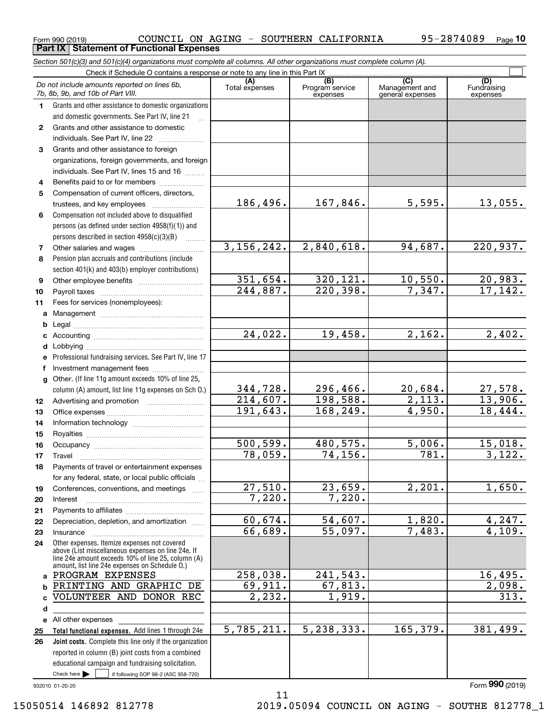|              | Section 501(c)(3) and 501(c)(4) organizations must complete all columns. All other organizations must complete column (A).                                                                                 |                       |                                    |                                           |                                |
|--------------|------------------------------------------------------------------------------------------------------------------------------------------------------------------------------------------------------------|-----------------------|------------------------------------|-------------------------------------------|--------------------------------|
|              | Check if Schedule O contains a response or note to any line in this Part IX                                                                                                                                |                       |                                    |                                           |                                |
|              | Do not include amounts reported on lines 6b,<br>7b, 8b, 9b, and 10b of Part VIII.                                                                                                                          | (A)<br>Total expenses | (B)<br>Program service<br>expenses | (C)<br>Management and<br>general expenses | (D)<br>Fundraising<br>expenses |
| 1.           | Grants and other assistance to domestic organizations                                                                                                                                                      |                       |                                    |                                           |                                |
|              | and domestic governments. See Part IV, line 21                                                                                                                                                             |                       |                                    |                                           |                                |
| $\mathbf{2}$ | Grants and other assistance to domestic                                                                                                                                                                    |                       |                                    |                                           |                                |
|              | individuals. See Part IV, line 22<br><u> 1986 - Johann Stoff, Amerikaansk politiker (</u>                                                                                                                  |                       |                                    |                                           |                                |
| З            | Grants and other assistance to foreign                                                                                                                                                                     |                       |                                    |                                           |                                |
|              | organizations, foreign governments, and foreign                                                                                                                                                            |                       |                                    |                                           |                                |
|              | individuals. See Part IV, lines 15 and 16                                                                                                                                                                  |                       |                                    |                                           |                                |
| 4            | Benefits paid to or for members                                                                                                                                                                            |                       |                                    |                                           |                                |
| 5            | Compensation of current officers, directors,                                                                                                                                                               |                       |                                    |                                           |                                |
|              | trustees, and key employees                                                                                                                                                                                | 186,496.              | 167,846.                           | 5,595.                                    | 13,055.                        |
| 6            | Compensation not included above to disqualified                                                                                                                                                            |                       |                                    |                                           |                                |
|              | persons (as defined under section 4958(f)(1)) and                                                                                                                                                          |                       |                                    |                                           |                                |
|              | persons described in section 4958(c)(3)(B)                                                                                                                                                                 |                       |                                    |                                           |                                |
| 7            |                                                                                                                                                                                                            | 3, 156, 242.          | 2,840,618.                         | 94,687.                                   | 220,937.                       |
| 8            | Pension plan accruals and contributions (include                                                                                                                                                           |                       |                                    |                                           |                                |
|              | section 401(k) and 403(b) employer contributions)                                                                                                                                                          |                       |                                    |                                           |                                |
| 9            |                                                                                                                                                                                                            | 351,654.              | 320, 121.                          | 10,550.                                   | 20,983.                        |
| 10           |                                                                                                                                                                                                            | $244,887$ .           | 220,398.                           | 7,347.                                    | 17, 142.                       |
| 11           | Fees for services (nonemployees):                                                                                                                                                                          |                       |                                    |                                           |                                |
| a            |                                                                                                                                                                                                            |                       |                                    |                                           |                                |
| b            |                                                                                                                                                                                                            |                       | 19,458.                            | 2,162.                                    |                                |
| c            |                                                                                                                                                                                                            | 24,022.               |                                    |                                           | 2,402.                         |
| d            |                                                                                                                                                                                                            |                       |                                    |                                           |                                |
|              | e Professional fundraising services. See Part IV, line 17                                                                                                                                                  |                       |                                    |                                           |                                |
| f            |                                                                                                                                                                                                            |                       |                                    |                                           |                                |
|              | g Other. (If line 11g amount exceeds 10% of line 25,<br>column (A) amount, list line 11g expenses on Sch O.)                                                                                               | 344,728.              | 296,466.                           | 20,684.                                   | 27,578.                        |
| 12           |                                                                                                                                                                                                            | 214,607.              | 198,588.                           | 2,113.                                    | 13,906.                        |
| 13           |                                                                                                                                                                                                            | 191,643.              | 168,249.                           | 4,950.                                    | 18,444.                        |
| 14           |                                                                                                                                                                                                            |                       |                                    |                                           |                                |
| 15           |                                                                                                                                                                                                            |                       |                                    |                                           |                                |
| 16           |                                                                                                                                                                                                            | 500, 599.             | 480,575.                           | 5,006.                                    | 15,018.                        |
| 17           |                                                                                                                                                                                                            | 78,059.               | 74, 156.                           | 781.                                      | 3,122.                         |
| 18           | Payments of travel or entertainment expenses                                                                                                                                                               |                       |                                    |                                           |                                |
|              | for any federal, state, or local public officials                                                                                                                                                          |                       |                                    |                                           |                                |
| 19           | Conferences, conventions, and meetings                                                                                                                                                                     | 27,510.               | 23,659.                            | 2, 201.                                   | 1,650.                         |
| 20           | Interest                                                                                                                                                                                                   | 7,220.                | 7,220.                             |                                           |                                |
| 21           |                                                                                                                                                                                                            |                       |                                    |                                           |                                |
| 22           | Depreciation, depletion, and amortization                                                                                                                                                                  | 60,674.               | 54,607.                            | 1,820.                                    | 4,247.                         |
| 23           | Insurance                                                                                                                                                                                                  | 66,689.               | 55,097.                            | 7,483.                                    | 4,109.                         |
| 24           | Other expenses. Itemize expenses not covered<br>above (List miscellaneous expenses on line 24e. If<br>line 24e amount exceeds 10% of line 25, column (A)<br>amount, list line 24e expenses on Schedule O.) |                       |                                    |                                           |                                |
| a            | PROGRAM EXPENSES                                                                                                                                                                                           | 258, 038.             | 241,543.                           |                                           | 16, 495.                       |
|              | PRINTING AND GRAPHIC DE                                                                                                                                                                                    | 69,911.               | 67,813.                            |                                           | $\overline{2}$ ,098.           |
|              | VOLUNTEER AND DONOR REC                                                                                                                                                                                    | 2,232.                | 1,919.                             |                                           | 313.                           |
| d            |                                                                                                                                                                                                            |                       |                                    |                                           |                                |
|              | e All other expenses                                                                                                                                                                                       |                       |                                    |                                           |                                |
| 25           | Total functional expenses. Add lines 1 through 24e                                                                                                                                                         | 5,785,211.            | 5,238,333.                         | 165,379.                                  | 381,499.                       |
| 26           | Joint costs. Complete this line only if the organization                                                                                                                                                   |                       |                                    |                                           |                                |
|              | reported in column (B) joint costs from a combined                                                                                                                                                         |                       |                                    |                                           |                                |
|              | educational campaign and fundraising solicitation.                                                                                                                                                         |                       |                                    |                                           |                                |
|              | Check here $\blacktriangleright$<br>if following SOP 98-2 (ASC 958-720)                                                                                                                                    |                       |                                    |                                           |                                |

11

Form 990 (2019) Page **Part IX Statement of Functional Expenses**

COUNCIL ON AGING - SOUTHERN CALIFORNIA 95-2874089

932010 01-20-20

Form (2019) **990**

**10**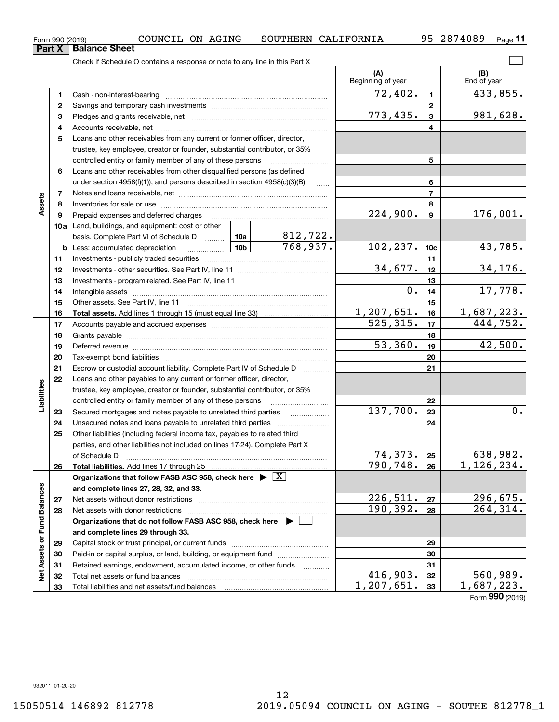|                   | 5  | Loans and other receivables from any current or former officer, director,                  |                   |          |                            |                 |                               |
|-------------------|----|--------------------------------------------------------------------------------------------|-------------------|----------|----------------------------|-----------------|-------------------------------|
|                   |    | trustee, key employee, creator or founder, substantial contributor, or 35%                 |                   |          |                            |                 |                               |
|                   |    | controlled entity or family member of any of these persons                                 |                   |          |                            | 5               |                               |
|                   | 6  | Loans and other receivables from other disqualified persons (as defined                    |                   |          |                            |                 |                               |
|                   |    | under section $4958(f)(1)$ , and persons described in section $4958(c)(3)(B)$              |                   | $\ldots$ |                            | 6               |                               |
|                   | 7  |                                                                                            |                   |          |                            | $\overline{7}$  |                               |
| Assets            | 8  |                                                                                            |                   |          |                            | 8               |                               |
|                   | 9  | Prepaid expenses and deferred charges                                                      | 224,900.          | 9        | 176,001.                   |                 |                               |
|                   |    | 10a Land, buildings, and equipment: cost or other                                          |                   |          |                            |                 |                               |
|                   |    | basis. Complete Part VI of Schedule D  10a                                                 |                   | 812,722. |                            |                 |                               |
|                   |    | <u>  1</u> 0b<br><b>b</b> Less: accumulated depreciation                                   |                   | 768,937. | 102,237.                   | 10 <sub>c</sub> | 43,785.                       |
|                   | 11 |                                                                                            |                   |          |                            | 11              |                               |
|                   | 12 |                                                                                            |                   |          | 34,677.                    | 12              | 34, 176.                      |
|                   | 13 |                                                                                            |                   |          |                            | 13              |                               |
|                   | 14 | Intangible assets www.communication.com/www.communication.com/www.com/www.com/www.com/     |                   |          | $\overline{0}$ .           | 14              | 17,778.                       |
|                   | 15 |                                                                                            |                   |          |                            | 15              |                               |
|                   | 16 | <b>Total assets.</b> Add lines 1 through 15 (must equal line 33) <i></i>                   |                   |          | 1,207,651.                 | 16              | 1,687,223.                    |
|                   | 17 |                                                                                            |                   |          | 525, 315.                  | 17              | 444,752.                      |
|                   | 18 |                                                                                            |                   |          | 18                         |                 |                               |
|                   | 19 |                                                                                            |                   |          | 53,360.                    | 19              | 42,500.                       |
|                   | 20 |                                                                                            |                   |          |                            | 20              |                               |
|                   | 21 | Escrow or custodial account liability. Complete Part IV of Schedule D                      | 1.1.1.1.1.1.1.1.1 |          | 21                         |                 |                               |
|                   | 22 | Loans and other payables to any current or former officer, director,                       |                   |          |                            |                 |                               |
|                   |    | trustee, key employee, creator or founder, substantial contributor, or 35%                 |                   |          |                            |                 |                               |
| Liabilities       |    | controlled entity or family member of any of these persons                                 |                   |          | 22                         |                 |                               |
|                   | 23 | Secured mortgages and notes payable to unrelated third parties                             |                   |          | 137,700.                   | 23              | $\overline{0}$ .              |
|                   | 24 | Unsecured notes and loans payable to unrelated third parties                               |                   |          |                            | 24              |                               |
|                   | 25 | Other liabilities (including federal income tax, payables to related third                 |                   |          |                            |                 |                               |
|                   |    | parties, and other liabilities not included on lines 17-24). Complete Part X               |                   |          |                            |                 |                               |
|                   |    | of Schedule D                                                                              |                   |          | $\frac{74,373.}{790,748.}$ | 25              | $\frac{638,982.}{1,126,234.}$ |
|                   | 26 | <b>Total liabilities.</b> Add lines 17 through 25                                          |                   |          |                            | 26              |                               |
|                   |    | Organizations that follow FASB ASC 958, check here $\blacktriangleright \lfloor X \rfloor$ |                   |          |                            |                 |                               |
|                   |    | and complete lines 27, 28, 32, and 33.                                                     |                   |          |                            |                 |                               |
|                   | 27 |                                                                                            |                   |          | <u>226,511.</u>            | 27              | $\frac{296,675.}{264,314.}$   |
|                   | 28 |                                                                                            |                   |          | 190, 392.                  | 28              |                               |
| or Fund Balances  |    | Organizations that do not follow FASB ASC 958, check here ▶ │                              |                   |          |                            |                 |                               |
|                   |    | and complete lines 29 through 33.                                                          |                   |          |                            |                 |                               |
|                   | 29 |                                                                                            |                   |          |                            | 29              |                               |
| <b>Net Assets</b> | 30 |                                                                                            |                   |          |                            | 30              |                               |
|                   | 31 | Retained earnings, endowment, accumulated income, or other funds                           |                   |          |                            | 31              |                               |
|                   | 32 |                                                                                            |                   |          | 416,903.                   | 32              | 560,989.                      |
|                   | 33 |                                                                                            |                   |          | 1,207,651.                 | 33              | 1,687,223.                    |
|                   |    |                                                                                            |                   |          |                            |                 | Form 990 (2019)               |

12

**1**Cash - non-interest-bearing ~~~~~~~~~~~~~~~~~~~~~~~~~ **2**Savings and temporary cash investments ~~~~~~~~~~~~~~~~~~ **3** Pledges and grants receivable, net  $\ldots$  **multimes contained and grants receivable**, net **multimes contained and grants receivable**, net **multimes contained and grants receivable** 

Accounts receivable, net ~~~~~~~~~~~~~~~~~~~~~~~~~~

Check if Schedule O contains a response or note to any line in this Part X

**11**

 $\mathcal{L}^{\text{max}}$ 

 $72,402.$  1 433,855.

773,435. 981,628.

**(A) (B)**

Beginning of year | | End of year

**Part X** | Balance Sheet

**4**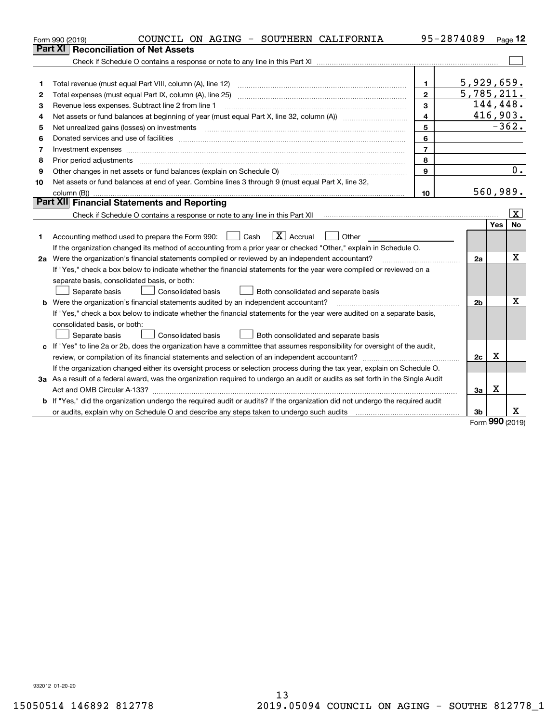|    | COUNCIL ON AGING - SOUTHERN CALIFORNIA<br>Form 990 (2019)                                                                                                                                                                      |                         | 95-2874089     |     | Page 12                 |
|----|--------------------------------------------------------------------------------------------------------------------------------------------------------------------------------------------------------------------------------|-------------------------|----------------|-----|-------------------------|
|    | <b>Reconciliation of Net Assets</b><br>Part XI I                                                                                                                                                                               |                         |                |     |                         |
|    |                                                                                                                                                                                                                                |                         |                |     |                         |
|    |                                                                                                                                                                                                                                |                         |                |     |                         |
| 1  | Total revenue (must equal Part VIII, column (A), line 12)                                                                                                                                                                      | $\mathbf{1}$            | 5,929,659.     |     |                         |
| 2  |                                                                                                                                                                                                                                | $\overline{2}$          | 5,785,211.     |     |                         |
| З  | Revenue less expenses. Subtract line 2 from line 1                                                                                                                                                                             | $\mathbf{3}$            |                |     | 144,448.                |
| 4  |                                                                                                                                                                                                                                | $\overline{\mathbf{4}}$ |                |     | 416,903.                |
| 5  |                                                                                                                                                                                                                                | 5                       |                |     | $-362.$                 |
| 6  | Donated services and use of facilities [111] Donated and the service of facilities [11] Donated services and use of facilities [11] Donated and the service of the service of the service of the service of the service of the | 6                       |                |     |                         |
| 7  |                                                                                                                                                                                                                                | $\overline{7}$          |                |     |                         |
| 8  | Prior period adjustments material contents and content of the content of the content of the content of the content of the content of the content of the content of the content of the content of the content of the content of | 8                       |                |     |                         |
| 9  | Other changes in net assets or fund balances (explain on Schedule O)                                                                                                                                                           | 9                       |                |     | 0.                      |
| 10 | Net assets or fund balances at end of year. Combine lines 3 through 9 (must equal Part X, line 32,                                                                                                                             |                         |                |     |                         |
|    |                                                                                                                                                                                                                                | 10                      |                |     | 560,989.                |
|    | Part XII Financial Statements and Reporting                                                                                                                                                                                    |                         |                |     |                         |
|    |                                                                                                                                                                                                                                |                         |                |     | $\overline{\mathbf{X}}$ |
|    |                                                                                                                                                                                                                                |                         |                | Yes | <b>No</b>               |
| 1  | $\boxed{\mathbf{X}}$ Accrual<br>Accounting method used to prepare the Form 990: <u>June</u> Cash<br>Other                                                                                                                      |                         |                |     |                         |
|    | If the organization changed its method of accounting from a prior year or checked "Other," explain in Schedule O.                                                                                                              |                         |                |     |                         |
|    | 2a Were the organization's financial statements compiled or reviewed by an independent accountant?                                                                                                                             |                         | 2a             |     | x                       |
|    | If "Yes," check a box below to indicate whether the financial statements for the year were compiled or reviewed on a                                                                                                           |                         |                |     |                         |
|    | separate basis, consolidated basis, or both:                                                                                                                                                                                   |                         |                |     |                         |
|    | Both consolidated and separate basis<br>Separate basis<br><b>Consolidated basis</b>                                                                                                                                            |                         |                |     |                         |
|    | <b>b</b> Were the organization's financial statements audited by an independent accountant?                                                                                                                                    |                         | 2 <sub>b</sub> |     | х                       |
|    | If "Yes," check a box below to indicate whether the financial statements for the year were audited on a separate basis,                                                                                                        |                         |                |     |                         |
|    | consolidated basis, or both:                                                                                                                                                                                                   |                         |                |     |                         |
|    | Separate basis<br>Consolidated basis<br>Both consolidated and separate basis                                                                                                                                                   |                         |                |     |                         |
| c  | If "Yes" to line 2a or 2b, does the organization have a committee that assumes responsibility for oversight of the audit,                                                                                                      |                         |                |     |                         |
|    |                                                                                                                                                                                                                                |                         | 2c             | х   |                         |
|    | If the organization changed either its oversight process or selection process during the tax year, explain on Schedule O.                                                                                                      |                         |                |     |                         |
|    | 3a As a result of a federal award, was the organization required to undergo an audit or audits as set forth in the Single Audit                                                                                                |                         |                |     |                         |
|    |                                                                                                                                                                                                                                |                         | За             | X   |                         |
|    | b If "Yes," did the organization undergo the required audit or audits? If the organization did not undergo the required audit                                                                                                  |                         |                |     |                         |
|    |                                                                                                                                                                                                                                |                         | 3 <sub>b</sub> |     | x.                      |

Form (2019) **990**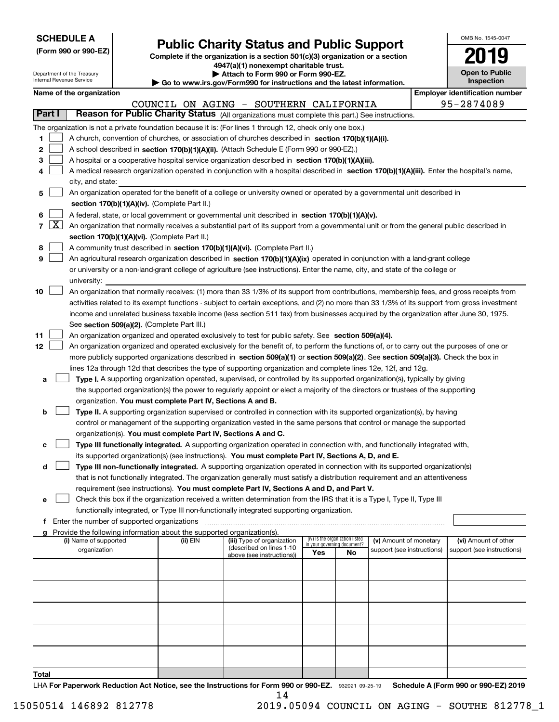| <b>SCHEDULE A</b> |
|-------------------|
|-------------------|

Department of the Treasury Internal Revenue Service

| (Form 990 or 990-EZ) |  |  |  |  |
|----------------------|--|--|--|--|
|----------------------|--|--|--|--|

## **Public Charity Status and Public Support**

**Complete if the organization is a section 501(c)(3) organization or a section 4947(a)(1) nonexempt charitable trust. | Attach to Form 990 or Form 990-EZ.** 

| ▸ Go to www.irs.gov/Form990 for instructions and the latest information. |
|--------------------------------------------------------------------------|
|--------------------------------------------------------------------------|

| OMB No. 1545-0047                   |
|-------------------------------------|
| 2019                                |
| <b>Open to Public</b><br>Inspection |

|  | Name of the organization |
|--|--------------------------|
|  |                          |
|  |                          |

|       |                    | Name of the organization                                                                                                                                                                                                                                  |          |                                                       |     |                                                                |                            |  | <b>Employer identification number</b> |  |  |  |
|-------|--------------------|-----------------------------------------------------------------------------------------------------------------------------------------------------------------------------------------------------------------------------------------------------------|----------|-------------------------------------------------------|-----|----------------------------------------------------------------|----------------------------|--|---------------------------------------|--|--|--|
|       |                    |                                                                                                                                                                                                                                                           |          | COUNCIL ON AGING - SOUTHERN CALIFORNIA                |     |                                                                |                            |  | 95-2874089                            |  |  |  |
|       | Part I             | Reason for Public Charity Status (All organizations must complete this part.) See instructions.                                                                                                                                                           |          |                                                       |     |                                                                |                            |  |                                       |  |  |  |
|       |                    | The organization is not a private foundation because it is: (For lines 1 through 12, check only one box.)                                                                                                                                                 |          |                                                       |     |                                                                |                            |  |                                       |  |  |  |
| 1.    |                    | A church, convention of churches, or association of churches described in section 170(b)(1)(A)(i).                                                                                                                                                        |          |                                                       |     |                                                                |                            |  |                                       |  |  |  |
| 2     |                    | A school described in section 170(b)(1)(A)(ii). (Attach Schedule E (Form 990 or 990-EZ).)                                                                                                                                                                 |          |                                                       |     |                                                                |                            |  |                                       |  |  |  |
| з     |                    | A hospital or a cooperative hospital service organization described in section 170(b)(1)(A)(iii).                                                                                                                                                         |          |                                                       |     |                                                                |                            |  |                                       |  |  |  |
| 4     |                    | A medical research organization operated in conjunction with a hospital described in section 170(b)(1)(A)(iii). Enter the hospital's name,                                                                                                                |          |                                                       |     |                                                                |                            |  |                                       |  |  |  |
|       |                    | city, and state:                                                                                                                                                                                                                                          |          |                                                       |     |                                                                |                            |  |                                       |  |  |  |
| 5     |                    | An organization operated for the benefit of a college or university owned or operated by a governmental unit described in                                                                                                                                 |          |                                                       |     |                                                                |                            |  |                                       |  |  |  |
|       |                    | section 170(b)(1)(A)(iv). (Complete Part II.)                                                                                                                                                                                                             |          |                                                       |     |                                                                |                            |  |                                       |  |  |  |
| 6     |                    | A federal, state, or local government or governmental unit described in section 170(b)(1)(A)(v).                                                                                                                                                          |          |                                                       |     |                                                                |                            |  |                                       |  |  |  |
| 7     | $\boxed{\text{X}}$ | An organization that normally receives a substantial part of its support from a governmental unit or from the general public described in                                                                                                                 |          |                                                       |     |                                                                |                            |  |                                       |  |  |  |
|       |                    | section 170(b)(1)(A)(vi). (Complete Part II.)                                                                                                                                                                                                             |          |                                                       |     |                                                                |                            |  |                                       |  |  |  |
| 8     |                    | A community trust described in section 170(b)(1)(A)(vi). (Complete Part II.)                                                                                                                                                                              |          |                                                       |     |                                                                |                            |  |                                       |  |  |  |
| 9     |                    | An agricultural research organization described in section 170(b)(1)(A)(ix) operated in conjunction with a land-grant college                                                                                                                             |          |                                                       |     |                                                                |                            |  |                                       |  |  |  |
|       |                    | or university or a non-land-grant college of agriculture (see instructions). Enter the name, city, and state of the college or                                                                                                                            |          |                                                       |     |                                                                |                            |  |                                       |  |  |  |
|       |                    | university:                                                                                                                                                                                                                                               |          |                                                       |     |                                                                |                            |  |                                       |  |  |  |
| 10    |                    | An organization that normally receives: (1) more than 33 1/3% of its support from contributions, membership fees, and gross receipts from                                                                                                                 |          |                                                       |     |                                                                |                            |  |                                       |  |  |  |
|       |                    | activities related to its exempt functions - subject to certain exceptions, and (2) no more than 33 1/3% of its support from gross investment                                                                                                             |          |                                                       |     |                                                                |                            |  |                                       |  |  |  |
|       |                    | income and unrelated business taxable income (less section 511 tax) from businesses acquired by the organization after June 30, 1975.                                                                                                                     |          |                                                       |     |                                                                |                            |  |                                       |  |  |  |
|       |                    | See section 509(a)(2). (Complete Part III.)                                                                                                                                                                                                               |          |                                                       |     |                                                                |                            |  |                                       |  |  |  |
| 11    |                    | An organization organized and operated exclusively to test for public safety. See section 509(a)(4).                                                                                                                                                      |          |                                                       |     |                                                                |                            |  |                                       |  |  |  |
| 12    |                    | An organization organized and operated exclusively for the benefit of, to perform the functions of, or to carry out the purposes of one or                                                                                                                |          |                                                       |     |                                                                |                            |  |                                       |  |  |  |
|       |                    | more publicly supported organizations described in section 509(a)(1) or section 509(a)(2). See section 509(a)(3). Check the box in                                                                                                                        |          |                                                       |     |                                                                |                            |  |                                       |  |  |  |
|       |                    | lines 12a through 12d that describes the type of supporting organization and complete lines 12e, 12f, and 12g.                                                                                                                                            |          |                                                       |     |                                                                |                            |  |                                       |  |  |  |
| a     |                    | Type I. A supporting organization operated, supervised, or controlled by its supported organization(s), typically by giving                                                                                                                               |          |                                                       |     |                                                                |                            |  |                                       |  |  |  |
|       |                    | the supported organization(s) the power to regularly appoint or elect a majority of the directors or trustees of the supporting                                                                                                                           |          |                                                       |     |                                                                |                            |  |                                       |  |  |  |
|       |                    | organization. You must complete Part IV, Sections A and B.                                                                                                                                                                                                |          |                                                       |     |                                                                |                            |  |                                       |  |  |  |
| b     |                    | Type II. A supporting organization supervised or controlled in connection with its supported organization(s), by having                                                                                                                                   |          |                                                       |     |                                                                |                            |  |                                       |  |  |  |
|       |                    | control or management of the supporting organization vested in the same persons that control or manage the supported                                                                                                                                      |          |                                                       |     |                                                                |                            |  |                                       |  |  |  |
|       |                    | organization(s). You must complete Part IV, Sections A and C.                                                                                                                                                                                             |          |                                                       |     |                                                                |                            |  |                                       |  |  |  |
| с     |                    | Type III functionally integrated. A supporting organization operated in connection with, and functionally integrated with,                                                                                                                                |          |                                                       |     |                                                                |                            |  |                                       |  |  |  |
|       |                    | its supported organization(s) (see instructions). You must complete Part IV, Sections A, D, and E.                                                                                                                                                        |          |                                                       |     |                                                                |                            |  |                                       |  |  |  |
| d     |                    | Type III non-functionally integrated. A supporting organization operated in connection with its supported organization(s)<br>that is not functionally integrated. The organization generally must satisfy a distribution requirement and an attentiveness |          |                                                       |     |                                                                |                            |  |                                       |  |  |  |
|       |                    | requirement (see instructions). You must complete Part IV, Sections A and D, and Part V.                                                                                                                                                                  |          |                                                       |     |                                                                |                            |  |                                       |  |  |  |
|       |                    |                                                                                                                                                                                                                                                           |          |                                                       |     |                                                                |                            |  |                                       |  |  |  |
| е     |                    | Check this box if the organization received a written determination from the IRS that it is a Type I, Type II, Type III<br>functionally integrated, or Type III non-functionally integrated supporting organization.                                      |          |                                                       |     |                                                                |                            |  |                                       |  |  |  |
| f     |                    | Enter the number of supported organizations                                                                                                                                                                                                               |          |                                                       |     |                                                                |                            |  |                                       |  |  |  |
|       |                    | Provide the following information about the supported organization(s).                                                                                                                                                                                    |          |                                                       |     |                                                                |                            |  |                                       |  |  |  |
|       |                    | (i) Name of supported                                                                                                                                                                                                                                     | (ii) EIN | (iii) Type of organization                            |     | (iv) Is the organization listed<br>in your governing document? | (v) Amount of monetary     |  | (vi) Amount of other                  |  |  |  |
|       |                    | organization                                                                                                                                                                                                                                              |          | (described on lines 1-10<br>above (see instructions)) | Yes | No.                                                            | support (see instructions) |  | support (see instructions)            |  |  |  |
|       |                    |                                                                                                                                                                                                                                                           |          |                                                       |     |                                                                |                            |  |                                       |  |  |  |
|       |                    |                                                                                                                                                                                                                                                           |          |                                                       |     |                                                                |                            |  |                                       |  |  |  |
|       |                    |                                                                                                                                                                                                                                                           |          |                                                       |     |                                                                |                            |  |                                       |  |  |  |
|       |                    |                                                                                                                                                                                                                                                           |          |                                                       |     |                                                                |                            |  |                                       |  |  |  |
|       |                    |                                                                                                                                                                                                                                                           |          |                                                       |     |                                                                |                            |  |                                       |  |  |  |
|       |                    |                                                                                                                                                                                                                                                           |          |                                                       |     |                                                                |                            |  |                                       |  |  |  |
|       |                    |                                                                                                                                                                                                                                                           |          |                                                       |     |                                                                |                            |  |                                       |  |  |  |
|       |                    |                                                                                                                                                                                                                                                           |          |                                                       |     |                                                                |                            |  |                                       |  |  |  |
|       |                    |                                                                                                                                                                                                                                                           |          |                                                       |     |                                                                |                            |  |                                       |  |  |  |
|       |                    |                                                                                                                                                                                                                                                           |          |                                                       |     |                                                                |                            |  |                                       |  |  |  |
| Total |                    |                                                                                                                                                                                                                                                           |          |                                                       |     |                                                                |                            |  |                                       |  |  |  |

LHA For Paperwork Reduction Act Notice, see the Instructions for Form 990 or 990-EZ. 932021 09-25-19 Schedule A (Form 990 or 990-EZ) 2019 14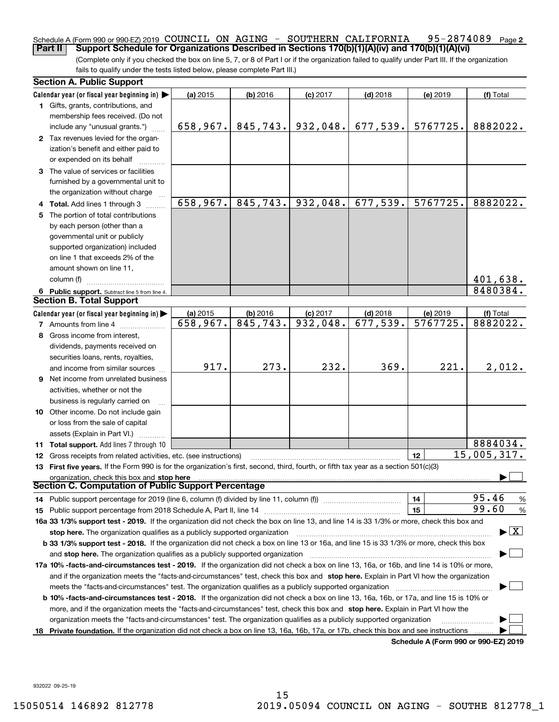#### **2** Schedule A (Form 990 or 990-EZ) 2019  $\,$  COUNCIL ON AGING –  $\,$  SOUTHERN <code>CALIFORNIA 95–2874089</code> <code>Page</code> **Part II Support Schedule for Organizations Described in Sections 170(b)(1)(A)(iv) and 170(b)(1)(A)(vi)**

(Complete only if you checked the box on line 5, 7, or 8 of Part I or if the organization failed to qualify under Part III. If the organization fails to qualify under the tests listed below, please complete Part III.)

|    | <b>Section A. Public Support</b>                                                                                                                                                                                               |          |            |                         |            |                                      |                                          |
|----|--------------------------------------------------------------------------------------------------------------------------------------------------------------------------------------------------------------------------------|----------|------------|-------------------------|------------|--------------------------------------|------------------------------------------|
|    | Calendar year (or fiscal year beginning in) $\blacktriangleright$                                                                                                                                                              | (a) 2015 | $(b)$ 2016 | $(c)$ 2017              | $(d)$ 2018 | (e) 2019                             | (f) Total                                |
|    | <b>1</b> Gifts, grants, contributions, and                                                                                                                                                                                     |          |            |                         |            |                                      |                                          |
|    | membership fees received. (Do not                                                                                                                                                                                              |          |            |                         |            |                                      |                                          |
|    | include any "unusual grants.")                                                                                                                                                                                                 | 658,967. | 845,743.   | 932,048.                | 677,539.   | 5767725.                             | 8882022.                                 |
|    | 2 Tax revenues levied for the organ-                                                                                                                                                                                           |          |            |                         |            |                                      |                                          |
|    | ization's benefit and either paid to                                                                                                                                                                                           |          |            |                         |            |                                      |                                          |
|    | or expended on its behalf                                                                                                                                                                                                      |          |            |                         |            |                                      |                                          |
|    | 3 The value of services or facilities                                                                                                                                                                                          |          |            |                         |            |                                      |                                          |
|    | furnished by a governmental unit to                                                                                                                                                                                            |          |            |                         |            |                                      |                                          |
|    | the organization without charge                                                                                                                                                                                                |          |            |                         |            |                                      |                                          |
|    | 4 Total. Add lines 1 through 3                                                                                                                                                                                                 | 658,967. | 845,743.   | 932,048.                | 677,539.   | 5767725.                             | 8882022.                                 |
| 5. | The portion of total contributions                                                                                                                                                                                             |          |            |                         |            |                                      |                                          |
|    | by each person (other than a                                                                                                                                                                                                   |          |            |                         |            |                                      |                                          |
|    | governmental unit or publicly                                                                                                                                                                                                  |          |            |                         |            |                                      |                                          |
|    | supported organization) included                                                                                                                                                                                               |          |            |                         |            |                                      |                                          |
|    | on line 1 that exceeds 2% of the                                                                                                                                                                                               |          |            |                         |            |                                      |                                          |
|    | amount shown on line 11,                                                                                                                                                                                                       |          |            |                         |            |                                      |                                          |
|    | column (f)                                                                                                                                                                                                                     |          |            |                         |            |                                      | 401,638.                                 |
|    | 6 Public support. Subtract line 5 from line 4.                                                                                                                                                                                 |          |            |                         |            |                                      | 8480384.                                 |
|    | <b>Section B. Total Support</b>                                                                                                                                                                                                |          |            |                         |            |                                      |                                          |
|    | Calendar year (or fiscal year beginning in) $\blacktriangleright$                                                                                                                                                              | (a) 2015 | $(b)$ 2016 | $(c)$ 2017              | $(d)$ 2018 | (e) 2019                             | (f) Total                                |
|    | <b>7</b> Amounts from line 4                                                                                                                                                                                                   | 658,967. | 845,743.   | $\overline{932}$ , 048. | 677,539.   | 5767725.                             | 8882022.                                 |
| 8  | Gross income from interest,                                                                                                                                                                                                    |          |            |                         |            |                                      |                                          |
|    | dividends, payments received on                                                                                                                                                                                                |          |            |                         |            |                                      |                                          |
|    | securities loans, rents, royalties,                                                                                                                                                                                            |          |            |                         |            |                                      |                                          |
|    | and income from similar sources                                                                                                                                                                                                | 917.     | 273.       | 232.                    | 369.       | 221.                                 | 2,012.                                   |
|    | <b>9</b> Net income from unrelated business                                                                                                                                                                                    |          |            |                         |            |                                      |                                          |
|    | activities, whether or not the                                                                                                                                                                                                 |          |            |                         |            |                                      |                                          |
|    | business is regularly carried on                                                                                                                                                                                               |          |            |                         |            |                                      |                                          |
|    | 10 Other income. Do not include gain                                                                                                                                                                                           |          |            |                         |            |                                      |                                          |
|    | or loss from the sale of capital                                                                                                                                                                                               |          |            |                         |            |                                      |                                          |
|    | assets (Explain in Part VI.)                                                                                                                                                                                                   |          |            |                         |            |                                      |                                          |
|    | 11 Total support. Add lines 7 through 10                                                                                                                                                                                       |          |            |                         |            |                                      | 8884034.                                 |
|    | <b>12</b> Gross receipts from related activities, etc. (see instructions)                                                                                                                                                      |          |            |                         |            | 12                                   | 15,005,317.                              |
|    | 13 First five years. If the Form 990 is for the organization's first, second, third, fourth, or fifth tax year as a section 501(c)(3)                                                                                          |          |            |                         |            |                                      |                                          |
|    | organization, check this box and stop here                                                                                                                                                                                     |          |            |                         |            |                                      |                                          |
|    | Section C. Computation of Public Support Percentage                                                                                                                                                                            |          |            |                         |            |                                      |                                          |
|    | 14 Public support percentage for 2019 (line 6, column (f) divided by line 11, column (f) <i></i>                                                                                                                               |          |            |                         |            | 14                                   | 95.46<br>%                               |
|    | 15 Public support percentage from 2018 Schedule A, Part II, line 14 [11] [11] manument continuum manument of Public support percentage from 2018 Schedule A, Part II, line 14 [11] manument continuum manument of Public suppo |          |            |                         |            | 15                                   | 99.60<br>$\%$                            |
|    | 16a 33 1/3% support test - 2019. If the organization did not check the box on line 13, and line 14 is 33 1/3% or more, check this box and                                                                                      |          |            |                         |            |                                      |                                          |
|    | stop here. The organization qualifies as a publicly supported organization                                                                                                                                                     |          |            |                         |            |                                      | $\blacktriangleright$ $\boxed{\text{X}}$ |
|    | b 33 1/3% support test - 2018. If the organization did not check a box on line 13 or 16a, and line 15 is 33 1/3% or more, check this box                                                                                       |          |            |                         |            |                                      |                                          |
|    | and stop here. The organization qualifies as a publicly supported organization [11] [11] [12] [12] [12] [12] [                                                                                                                 |          |            |                         |            |                                      |                                          |
|    | 17a 10% -facts-and-circumstances test - 2019. If the organization did not check a box on line 13, 16a, or 16b, and line 14 is 10% or more,                                                                                     |          |            |                         |            |                                      |                                          |
|    | and if the organization meets the "facts-and-circumstances" test, check this box and stop here. Explain in Part VI how the organization                                                                                        |          |            |                         |            |                                      |                                          |
|    |                                                                                                                                                                                                                                |          |            |                         |            |                                      |                                          |
|    | <b>b 10% -facts-and-circumstances test - 2018.</b> If the organization did not check a box on line 13, 16a, 16b, or 17a, and line 15 is 10% or                                                                                 |          |            |                         |            |                                      |                                          |
|    | more, and if the organization meets the "facts-and-circumstances" test, check this box and stop here. Explain in Part VI how the                                                                                               |          |            |                         |            |                                      |                                          |
|    | organization meets the "facts-and-circumstances" test. The organization qualifies as a publicly supported organization                                                                                                         |          |            |                         |            |                                      |                                          |
|    | 18 Private foundation. If the organization did not check a box on line 13, 16a, 16b, 17a, or 17b, check this box and see instructions                                                                                          |          |            |                         |            |                                      |                                          |
|    |                                                                                                                                                                                                                                |          |            |                         |            | Schedule A (Form 990 or 990-EZ) 2019 |                                          |

932022 09-25-19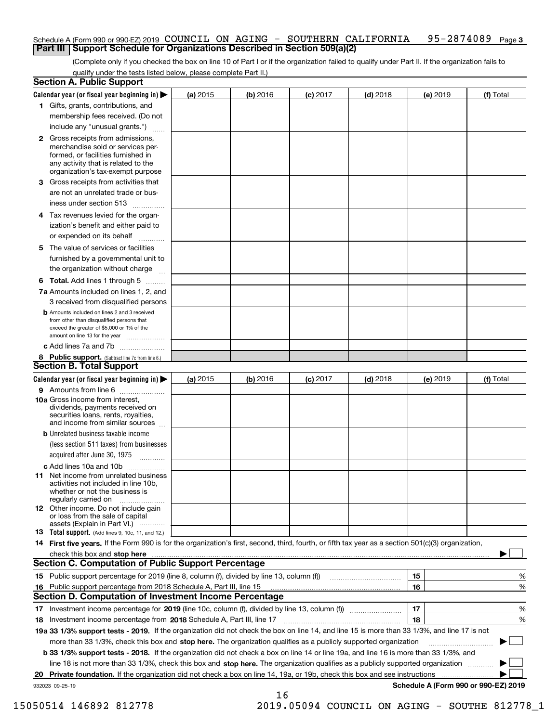#### Schedule A (Form 990 or 990-EZ) 2019 <code>COUNCIL ON AGING – SOUTHERN CALIFORNIA 95–2874089</code> Page 3 **Part III Support Schedule for Organizations Described in Section 509(a)(2)**

(Complete only if you checked the box on line 10 of Part I or if the organization failed to qualify under Part II. If the organization fails to qualify under the tests listed below, please complete Part II.)

|    | <b>Section A. Public Support</b>                                                                                                                                                         |          |            |            |            |          |                                      |
|----|------------------------------------------------------------------------------------------------------------------------------------------------------------------------------------------|----------|------------|------------|------------|----------|--------------------------------------|
|    | Calendar year (or fiscal year beginning in) $\blacktriangleright$                                                                                                                        | (a) 2015 | $(b)$ 2016 | $(c)$ 2017 | $(d)$ 2018 | (e) 2019 | (f) Total                            |
|    | 1 Gifts, grants, contributions, and                                                                                                                                                      |          |            |            |            |          |                                      |
|    | membership fees received. (Do not                                                                                                                                                        |          |            |            |            |          |                                      |
|    | include any "unusual grants.")                                                                                                                                                           |          |            |            |            |          |                                      |
|    | 2 Gross receipts from admissions,<br>merchandise sold or services per-<br>formed, or facilities furnished in<br>any activity that is related to the<br>organization's tax-exempt purpose |          |            |            |            |          |                                      |
|    | 3 Gross receipts from activities that<br>are not an unrelated trade or bus-                                                                                                              |          |            |            |            |          |                                      |
|    | iness under section 513                                                                                                                                                                  |          |            |            |            |          |                                      |
|    | 4 Tax revenues levied for the organ-                                                                                                                                                     |          |            |            |            |          |                                      |
|    | ization's benefit and either paid to<br>or expended on its behalf<br>.                                                                                                                   |          |            |            |            |          |                                      |
|    | 5 The value of services or facilities                                                                                                                                                    |          |            |            |            |          |                                      |
|    | furnished by a governmental unit to                                                                                                                                                      |          |            |            |            |          |                                      |
|    | the organization without charge                                                                                                                                                          |          |            |            |            |          |                                      |
|    | <b>6 Total.</b> Add lines 1 through 5                                                                                                                                                    |          |            |            |            |          |                                      |
|    | 7a Amounts included on lines 1, 2, and<br>3 received from disqualified persons                                                                                                           |          |            |            |            |          |                                      |
|    | <b>b</b> Amounts included on lines 2 and 3 received<br>from other than disqualified persons that<br>exceed the greater of \$5,000 or 1% of the<br>amount on line 13 for the year         |          |            |            |            |          |                                      |
|    | c Add lines 7a and 7b                                                                                                                                                                    |          |            |            |            |          |                                      |
|    | 8 Public support. (Subtract line 7c from line 6.)                                                                                                                                        |          |            |            |            |          |                                      |
|    | <b>Section B. Total Support</b>                                                                                                                                                          |          |            |            |            |          |                                      |
|    | Calendar year (or fiscal year beginning in) $\blacktriangleright$                                                                                                                        | (a) 2015 | (b) 2016   | $(c)$ 2017 | $(d)$ 2018 | (e) 2019 | (f) Total                            |
|    | 9 Amounts from line 6                                                                                                                                                                    |          |            |            |            |          |                                      |
|    | 10a Gross income from interest,<br>dividends, payments received on<br>securities loans, rents, royalties,<br>and income from similar sources                                             |          |            |            |            |          |                                      |
|    | <b>b</b> Unrelated business taxable income<br>(less section 511 taxes) from businesses                                                                                                   |          |            |            |            |          |                                      |
|    | acquired after June 30, 1975                                                                                                                                                             |          |            |            |            |          |                                      |
|    | c Add lines 10a and 10b<br>11 Net income from unrelated business<br>activities not included in line 10b,<br>whether or not the business is<br>regularly carried on                       |          |            |            |            |          |                                      |
|    | 12 Other income. Do not include gain<br>or loss from the sale of capital<br>assets (Explain in Part VI.)                                                                                 |          |            |            |            |          |                                      |
|    | <b>13</b> Total support. (Add lines 9, 10c, 11, and 12.)                                                                                                                                 |          |            |            |            |          |                                      |
|    | 14 First five years. If the Form 990 is for the organization's first, second, third, fourth, or fifth tax year as a section 501(c)(3) organization,                                      |          |            |            |            |          |                                      |
|    | check this box and stop here measurements are constructed as the state of the state of the state of the state o                                                                          |          |            |            |            |          |                                      |
|    | Section C. Computation of Public Support Percentage                                                                                                                                      |          |            |            |            |          |                                      |
|    | 15 Public support percentage for 2019 (line 8, column (f), divided by line 13, column (f))                                                                                               |          |            |            |            | 15       | %                                    |
|    | 16 Public support percentage from 2018 Schedule A, Part III, line 15                                                                                                                     |          |            |            |            | 16       | %                                    |
|    | <b>Section D. Computation of Investment Income Percentage</b>                                                                                                                            |          |            |            |            |          |                                      |
|    | 17 Investment income percentage for 2019 (line 10c, column (f), divided by line 13, column (f))                                                                                          |          |            |            |            | 17       | %                                    |
|    | <b>18</b> Investment income percentage from <b>2018</b> Schedule A, Part III, line 17                                                                                                    |          |            |            |            | 18       | %                                    |
|    | 19a 33 1/3% support tests - 2019. If the organization did not check the box on line 14, and line 15 is more than 33 1/3%, and line 17 is not                                             |          |            |            |            |          |                                      |
|    | more than 33 1/3%, check this box and stop here. The organization qualifies as a publicly supported organization                                                                         |          |            |            |            |          | ▶                                    |
|    | b 33 1/3% support tests - 2018. If the organization did not check a box on line 14 or line 19a, and line 16 is more than 33 1/3%, and                                                    |          |            |            |            |          |                                      |
|    | line 18 is not more than 33 1/3%, check this box and stop here. The organization qualifies as a publicly supported organization                                                          |          |            |            |            |          |                                      |
| 20 | <b>Private foundation.</b> If the organization did not check a box on line 14, 19a, or 19b, check this box and see instructions                                                          |          |            |            |            |          |                                      |
|    | 932023 09-25-19                                                                                                                                                                          |          | 16         |            |            |          | Schedule A (Form 990 or 990-EZ) 2019 |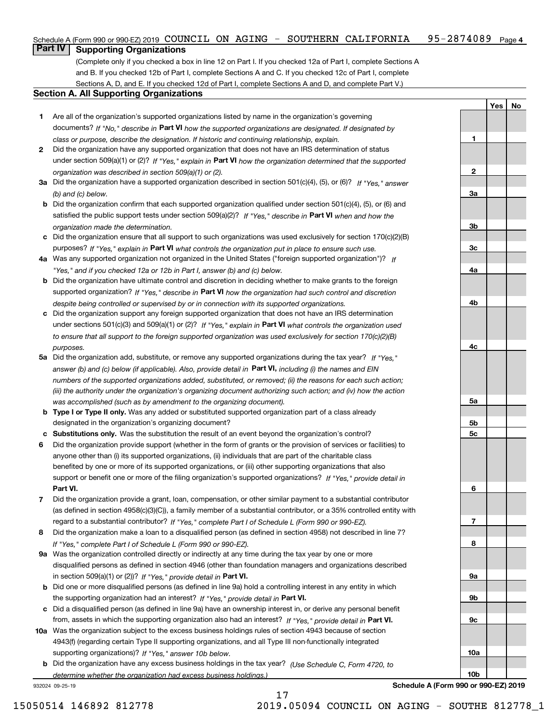| Schedule A (Form 990 or 990-EZ) 2019 COUNCIL ON AGING - SOUTHERN CALIFORNIA |  |  | 95-2874089 <sub>Page 4</sub> |  |
|-----------------------------------------------------------------------------|--|--|------------------------------|--|
| __                                                                          |  |  |                              |  |

### **Part IV** | Supporting Organizations

(Complete only if you checked a box in line 12 on Part I. If you checked 12a of Part I, complete Sections A and B. If you checked 12b of Part I, complete Sections A and C. If you checked 12c of Part I, complete Sections A, D, and E. If you checked 12d of Part I, complete Sections A and D, and complete Part V.)

#### **Section A. All Supporting Organizations**

- **1** Are all of the organization's supported organizations listed by name in the organization's governing documents? If "No," describe in **Part VI** how the supported organizations are designated. If designated by *class or purpose, describe the designation. If historic and continuing relationship, explain.*
- **2** Did the organization have any supported organization that does not have an IRS determination of status under section 509(a)(1) or (2)? If "Yes," explain in Part VI how the organization determined that the supported *organization was described in section 509(a)(1) or (2).*
- **3a** Did the organization have a supported organization described in section 501(c)(4), (5), or (6)? If "Yes," answer *(b) and (c) below.*
- **b** Did the organization confirm that each supported organization qualified under section 501(c)(4), (5), or (6) and satisfied the public support tests under section 509(a)(2)? If "Yes," describe in **Part VI** when and how the *organization made the determination.*
- **c**Did the organization ensure that all support to such organizations was used exclusively for section 170(c)(2)(B) purposes? If "Yes," explain in **Part VI** what controls the organization put in place to ensure such use.
- **4a***If* Was any supported organization not organized in the United States ("foreign supported organization")? *"Yes," and if you checked 12a or 12b in Part I, answer (b) and (c) below.*
- **b** Did the organization have ultimate control and discretion in deciding whether to make grants to the foreign supported organization? If "Yes," describe in **Part VI** how the organization had such control and discretion *despite being controlled or supervised by or in connection with its supported organizations.*
- **c** Did the organization support any foreign supported organization that does not have an IRS determination under sections 501(c)(3) and 509(a)(1) or (2)? If "Yes," explain in **Part VI** what controls the organization used *to ensure that all support to the foreign supported organization was used exclusively for section 170(c)(2)(B) purposes.*
- **5a** Did the organization add, substitute, or remove any supported organizations during the tax year? If "Yes," answer (b) and (c) below (if applicable). Also, provide detail in **Part VI,** including (i) the names and EIN *numbers of the supported organizations added, substituted, or removed; (ii) the reasons for each such action; (iii) the authority under the organization's organizing document authorizing such action; and (iv) how the action was accomplished (such as by amendment to the organizing document).*
- **b** Type I or Type II only. Was any added or substituted supported organization part of a class already designated in the organization's organizing document?
- **cSubstitutions only.**  Was the substitution the result of an event beyond the organization's control?
- **6** Did the organization provide support (whether in the form of grants or the provision of services or facilities) to **Part VI.** *If "Yes," provide detail in* support or benefit one or more of the filing organization's supported organizations? anyone other than (i) its supported organizations, (ii) individuals that are part of the charitable class benefited by one or more of its supported organizations, or (iii) other supporting organizations that also
- **7**Did the organization provide a grant, loan, compensation, or other similar payment to a substantial contributor *If "Yes," complete Part I of Schedule L (Form 990 or 990-EZ).* regard to a substantial contributor? (as defined in section 4958(c)(3)(C)), a family member of a substantial contributor, or a 35% controlled entity with
- **8** Did the organization make a loan to a disqualified person (as defined in section 4958) not described in line 7? *If "Yes," complete Part I of Schedule L (Form 990 or 990-EZ).*
- **9a** Was the organization controlled directly or indirectly at any time during the tax year by one or more in section 509(a)(1) or (2))? If "Yes," *provide detail in* <code>Part VI.</code> disqualified persons as defined in section 4946 (other than foundation managers and organizations described
- **b** Did one or more disqualified persons (as defined in line 9a) hold a controlling interest in any entity in which the supporting organization had an interest? If "Yes," provide detail in P**art VI**.
- **c**Did a disqualified person (as defined in line 9a) have an ownership interest in, or derive any personal benefit from, assets in which the supporting organization also had an interest? If "Yes," provide detail in P**art VI.**
- **10a** Was the organization subject to the excess business holdings rules of section 4943 because of section supporting organizations)? If "Yes," answer 10b below. 4943(f) (regarding certain Type II supporting organizations, and all Type III non-functionally integrated
- **b** Did the organization have any excess business holdings in the tax year? (Use Schedule C, Form 4720, to *determine whether the organization had excess business holdings.)*

17

932024 09-25-19



**YesNo**

**1**

**2**

**Schedule A (Form 990 or 990-EZ) 2019**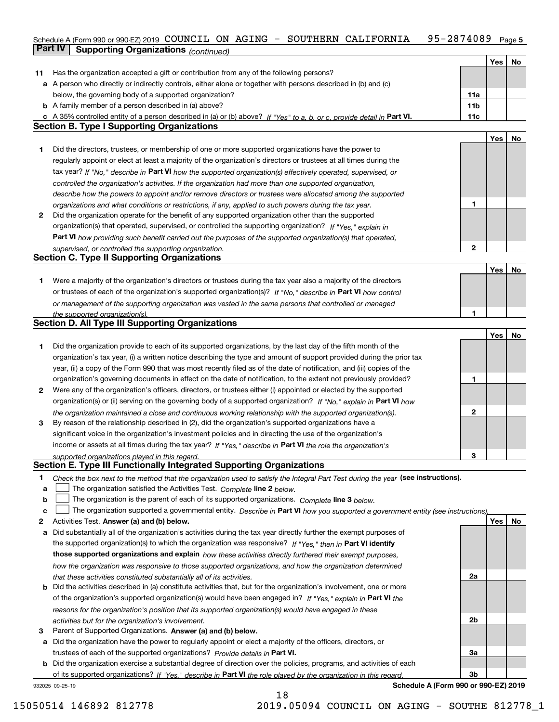### Schedule A (Form 990 or 990-EZ) 2019 <code>COUNCIL ON AGING – SOUTHERN CALIFORNIA 95–2874089</code> Page 5 **Part IV** Supporting Organizations (*continued*)

|    |                                                                                                                                   |                 | Yes | No |
|----|-----------------------------------------------------------------------------------------------------------------------------------|-----------------|-----|----|
| 11 | Has the organization accepted a gift or contribution from any of the following persons?                                           |                 |     |    |
|    | a A person who directly or indirectly controls, either alone or together with persons described in (b) and (c)                    |                 |     |    |
|    | below, the governing body of a supported organization?                                                                            | 11a             |     |    |
|    | <b>b</b> A family member of a person described in (a) above?                                                                      | 11 <sub>b</sub> |     |    |
|    | c A 35% controlled entity of a person described in (a) or (b) above? If "Yes" to a, b, or c, provide detail in Part VI.           | 11c             |     |    |
|    | <b>Section B. Type I Supporting Organizations</b>                                                                                 |                 |     |    |
|    |                                                                                                                                   |                 | Yes | No |
| 1. | Did the directors, trustees, or membership of one or more supported organizations have the power to                               |                 |     |    |
|    | regularly appoint or elect at least a majority of the organization's directors or trustees at all times during the                |                 |     |    |
|    | tax year? If "No," describe in Part VI how the supported organization(s) effectively operated, supervised, or                     |                 |     |    |
|    | controlled the organization's activities. If the organization had more than one supported organization,                           |                 |     |    |
|    | describe how the powers to appoint and/or remove directors or trustees were allocated among the supported                         |                 |     |    |
|    | organizations and what conditions or restrictions, if any, applied to such powers during the tax year.                            | 1               |     |    |
| 2  | Did the organization operate for the benefit of any supported organization other than the supported                               |                 |     |    |
|    |                                                                                                                                   |                 |     |    |
|    | organization(s) that operated, supervised, or controlled the supporting organization? If "Yes," explain in                        |                 |     |    |
|    | Part VI how providing such benefit carried out the purposes of the supported organization(s) that operated,                       |                 |     |    |
|    | supervised, or controlled the supporting organization.<br><b>Section C. Type II Supporting Organizations</b>                      | $\mathbf{2}$    |     |    |
|    |                                                                                                                                   |                 |     |    |
|    |                                                                                                                                   |                 | Yes | No |
| 1. | Were a majority of the organization's directors or trustees during the tax year also a majority of the directors                  |                 |     |    |
|    | or trustees of each of the organization's supported organization(s)? If "No," describe in Part VI how control                     |                 |     |    |
|    | or management of the supporting organization was vested in the same persons that controlled or managed                            |                 |     |    |
|    | the supported organization(s).                                                                                                    | 1               |     |    |
|    | <b>Section D. All Type III Supporting Organizations</b>                                                                           |                 |     |    |
|    |                                                                                                                                   |                 | Yes | No |
| 1. | Did the organization provide to each of its supported organizations, by the last day of the fifth month of the                    |                 |     |    |
|    | organization's tax year, (i) a written notice describing the type and amount of support provided during the prior tax             |                 |     |    |
|    | year, (ii) a copy of the Form 990 that was most recently filed as of the date of notification, and (iii) copies of the            |                 |     |    |
|    | organization's governing documents in effect on the date of notification, to the extent not previously provided?                  | 1               |     |    |
| 2  | Were any of the organization's officers, directors, or trustees either (i) appointed or elected by the supported                  |                 |     |    |
|    | organization(s) or (ii) serving on the governing body of a supported organization? If "No," explain in Part VI how                |                 |     |    |
|    | the organization maintained a close and continuous working relationship with the supported organization(s).                       | $\mathbf{2}$    |     |    |
| 3  | By reason of the relationship described in (2), did the organization's supported organizations have a                             |                 |     |    |
|    | significant voice in the organization's investment policies and in directing the use of the organization's                        |                 |     |    |
|    | income or assets at all times during the tax year? If "Yes," describe in Part VI the role the organization's                      |                 |     |    |
|    | supported organizations played in this regard.                                                                                    | 3               |     |    |
|    | Section E. Type III Functionally Integrated Supporting Organizations                                                              |                 |     |    |
|    |                                                                                                                                   |                 |     |    |
| 1  | Check the box next to the method that the organization used to satisfy the Integral Part Test during the year (see instructions). |                 |     |    |
| a  | The organization satisfied the Activities Test. Complete line 2 below.                                                            |                 |     |    |
| b  | The organization is the parent of each of its supported organizations. Complete line 3 below.                                     |                 |     |    |
| c  | The organization supported a governmental entity. Describe in Part VI how you supported a government entity (see instructions),   |                 |     |    |
| 2  | Activities Test. Answer (a) and (b) below.                                                                                        |                 | Yes | No |
| а  | Did substantially all of the organization's activities during the tax year directly further the exempt purposes of                |                 |     |    |
|    | the supported organization(s) to which the organization was responsive? If "Yes," then in Part VI identify                        |                 |     |    |
|    | those supported organizations and explain how these activities directly furthered their exempt purposes,                          |                 |     |    |
|    | how the organization was responsive to those supported organizations, and how the organization determined                         |                 |     |    |
|    | that these activities constituted substantially all of its activities.                                                            | 2a              |     |    |
| b  | Did the activities described in (a) constitute activities that, but for the organization's involvement, one or more               |                 |     |    |
|    | of the organization's supported organization(s) would have been engaged in? If "Yes," explain in Part VI the                      |                 |     |    |
|    | reasons for the organization's position that its supported organization(s) would have engaged in these                            |                 |     |    |
|    | activities but for the organization's involvement.                                                                                | 2b              |     |    |
| з  | Parent of Supported Organizations. Answer (a) and (b) below.                                                                      |                 |     |    |
| а  | Did the organization have the power to regularly appoint or elect a majority of the officers, directors, or                       |                 |     |    |
|    | trustees of each of the supported organizations? Provide details in Part VI.                                                      | За              |     |    |
|    | <b>b</b> Did the organization exercise a substantial degree of direction over the policies, programs, and activities of each      |                 |     |    |
|    | of its supported organizations? If "Yes," describe in Part VI the role played by the organization in this regard                  | 3b              |     |    |
|    | Schedule A (Form 990 or 990-EZ) 2019<br>932025 09-25-19                                                                           |                 |     |    |
|    |                                                                                                                                   |                 |     |    |

18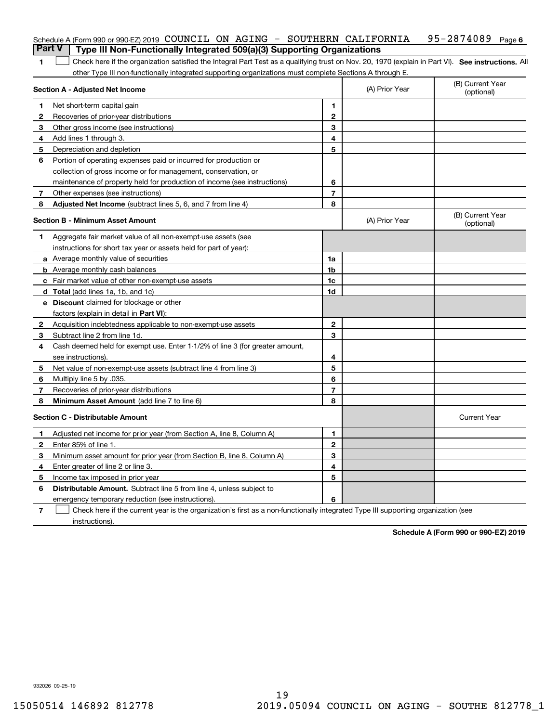|   | Schedule A (Form 990 or 990-EZ) 2019 COUNCIL ON AGING - SOUTHERN CALIFORNIA                                                                       |                |                | 95-2874089<br>Page 6           |
|---|---------------------------------------------------------------------------------------------------------------------------------------------------|----------------|----------------|--------------------------------|
|   | <b>Part V</b><br>Type III Non-Functionally Integrated 509(a)(3) Supporting Organizations                                                          |                |                |                                |
| 1 | Check here if the organization satisfied the Integral Part Test as a qualifying trust on Nov. 20, 1970 (explain in Part VI). See instructions. Al |                |                |                                |
|   | other Type III non-functionally integrated supporting organizations must complete Sections A through E.<br><b>Section A - Adjusted Net Income</b> |                | (A) Prior Year | (B) Current Year<br>(optional) |
| 1 | Net short-term capital gain                                                                                                                       | 1              |                |                                |
| 2 | Recoveries of prior-year distributions                                                                                                            | $\mathbf{2}$   |                |                                |
| З | Other gross income (see instructions)                                                                                                             | 3              |                |                                |
| 4 | Add lines 1 through 3.                                                                                                                            | 4              |                |                                |
| 5 | Depreciation and depletion                                                                                                                        | 5              |                |                                |
| 6 | Portion of operating expenses paid or incurred for production or                                                                                  |                |                |                                |
|   | collection of gross income or for management, conservation, or                                                                                    |                |                |                                |
|   | maintenance of property held for production of income (see instructions)                                                                          | 6              |                |                                |
| 7 | Other expenses (see instructions)                                                                                                                 | $\overline{7}$ |                |                                |
| 8 | Adjusted Net Income (subtract lines 5, 6, and 7 from line 4)                                                                                      | 8              |                |                                |
|   | <b>Section B - Minimum Asset Amount</b>                                                                                                           |                | (A) Prior Year | (B) Current Year<br>(optional) |
| 1 | Aggregate fair market value of all non-exempt-use assets (see                                                                                     |                |                |                                |
|   | instructions for short tax year or assets held for part of year):                                                                                 |                |                |                                |
|   | <b>a</b> Average monthly value of securities                                                                                                      | 1a             |                |                                |
|   | <b>b</b> Average monthly cash balances                                                                                                            | 1b             |                |                                |
|   | <b>c</b> Fair market value of other non-exempt-use assets                                                                                         | 1c             |                |                                |
|   | d Total (add lines 1a, 1b, and 1c)                                                                                                                | 1d             |                |                                |
|   | <b>e</b> Discount claimed for blockage or other                                                                                                   |                |                |                                |
|   | factors (explain in detail in Part VI):                                                                                                           |                |                |                                |
| 2 | Acquisition indebtedness applicable to non-exempt-use assets                                                                                      | $\mathbf{2}$   |                |                                |
| 3 | Subtract line 2 from line 1d.                                                                                                                     | 3              |                |                                |
| 4 | Cash deemed held for exempt use. Enter 1-1/2% of line 3 (for greater amount,                                                                      |                |                |                                |
|   | see instructions).                                                                                                                                | 4              |                |                                |
| 5 | Net value of non-exempt-use assets (subtract line 4 from line 3)                                                                                  | 5              |                |                                |
| 6 | Multiply line 5 by .035.                                                                                                                          | 6              |                |                                |
| 7 | Recoveries of prior-year distributions                                                                                                            | $\overline{7}$ |                |                                |
| 8 | Minimum Asset Amount (add line 7 to line 6)                                                                                                       | 8              |                |                                |
|   | <b>Section C - Distributable Amount</b>                                                                                                           |                |                | <b>Current Year</b>            |
|   | Adjusted net income for prior year (from Section A, line 8, Column A)                                                                             | 1              |                |                                |
|   | Enter 85% of line 1.                                                                                                                              | 2              |                |                                |
| 3 | Minimum asset amount for prior year (from Section B, line 8, Column A)                                                                            | 3              |                |                                |
| 4 | Enter greater of line 2 or line 3.                                                                                                                | 4              |                |                                |
| 5 | Income tax imposed in prior year                                                                                                                  | 5              |                |                                |
| 6 | <b>Distributable Amount.</b> Subtract line 5 from line 4, unless subject to                                                                       |                |                |                                |
|   | emergency temporary reduction (see instructions).                                                                                                 | 6              |                |                                |
| 7 | Check here if the current year is the organization's first as a non-functionally integrated Type III supporting organization (see                 |                |                |                                |

instructions).

**Schedule A (Form 990 or 990-EZ) 2019**

932026 09-25-19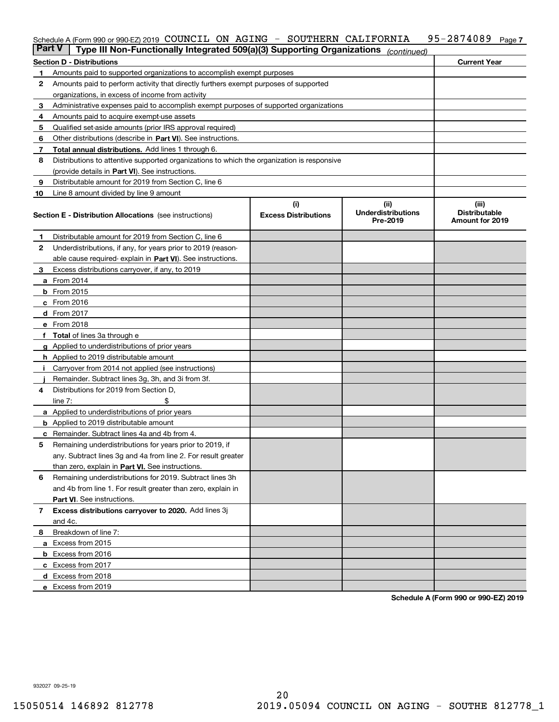#### Schedule A (Form 990 or 990-EZ) 2019 <code>COUNCIL ON AGING – SOUTHERN CALIFORNIA 95–2874089</code> Page <code>7</code>

| <b>Part V</b> | Type III Non-Functionally Integrated 509(a)(3) Supporting Organizations                    |                                    | (continued)                                   |                                                  |
|---------------|--------------------------------------------------------------------------------------------|------------------------------------|-----------------------------------------------|--------------------------------------------------|
|               | <b>Section D - Distributions</b>                                                           |                                    |                                               | <b>Current Year</b>                              |
| 1.            | Amounts paid to supported organizations to accomplish exempt purposes                      |                                    |                                               |                                                  |
| 2             | Amounts paid to perform activity that directly furthers exempt purposes of supported       |                                    |                                               |                                                  |
|               | organizations, in excess of income from activity                                           |                                    |                                               |                                                  |
| 3             | Administrative expenses paid to accomplish exempt purposes of supported organizations      |                                    |                                               |                                                  |
| 4             | Amounts paid to acquire exempt-use assets                                                  |                                    |                                               |                                                  |
| 5             | Qualified set-aside amounts (prior IRS approval required)                                  |                                    |                                               |                                                  |
| 6             | Other distributions (describe in Part VI). See instructions.                               |                                    |                                               |                                                  |
| 7             | <b>Total annual distributions.</b> Add lines 1 through 6.                                  |                                    |                                               |                                                  |
| 8             | Distributions to attentive supported organizations to which the organization is responsive |                                    |                                               |                                                  |
|               | (provide details in Part VI). See instructions.                                            |                                    |                                               |                                                  |
| 9             | Distributable amount for 2019 from Section C, line 6                                       |                                    |                                               |                                                  |
| 10            | Line 8 amount divided by line 9 amount                                                     |                                    |                                               |                                                  |
|               | <b>Section E - Distribution Allocations</b> (see instructions)                             | (i)<br><b>Excess Distributions</b> | (ii)<br><b>Underdistributions</b><br>Pre-2019 | (iii)<br><b>Distributable</b><br>Amount for 2019 |
| 1.            | Distributable amount for 2019 from Section C, line 6                                       |                                    |                                               |                                                  |
| 2             | Underdistributions, if any, for years prior to 2019 (reason-                               |                                    |                                               |                                                  |
|               | able cause required-explain in Part VI). See instructions.                                 |                                    |                                               |                                                  |
| З             | Excess distributions carryover, if any, to 2019                                            |                                    |                                               |                                                  |
|               | <b>a</b> From 2014                                                                         |                                    |                                               |                                                  |
|               | <b>b</b> From 2015                                                                         |                                    |                                               |                                                  |
|               | c From 2016                                                                                |                                    |                                               |                                                  |
|               | d From 2017                                                                                |                                    |                                               |                                                  |
|               | e From 2018                                                                                |                                    |                                               |                                                  |
|               | <b>Total</b> of lines 3a through e                                                         |                                    |                                               |                                                  |
|               | <b>g</b> Applied to underdistributions of prior years                                      |                                    |                                               |                                                  |
|               | <b>h</b> Applied to 2019 distributable amount                                              |                                    |                                               |                                                  |
|               | Carryover from 2014 not applied (see instructions)                                         |                                    |                                               |                                                  |
|               | Remainder. Subtract lines 3g, 3h, and 3i from 3f.                                          |                                    |                                               |                                                  |
| 4             | Distributions for 2019 from Section D,                                                     |                                    |                                               |                                                  |
|               | line $7:$                                                                                  |                                    |                                               |                                                  |
|               | <b>a</b> Applied to underdistributions of prior years                                      |                                    |                                               |                                                  |
|               | <b>b</b> Applied to 2019 distributable amount                                              |                                    |                                               |                                                  |
|               | c Remainder. Subtract lines 4a and 4b from 4.                                              |                                    |                                               |                                                  |
| 5             | Remaining underdistributions for years prior to 2019, if                                   |                                    |                                               |                                                  |
|               | any. Subtract lines 3g and 4a from line 2. For result greater                              |                                    |                                               |                                                  |
|               | than zero, explain in Part VI. See instructions.                                           |                                    |                                               |                                                  |
| 6             | Remaining underdistributions for 2019. Subtract lines 3h                                   |                                    |                                               |                                                  |
|               | and 4b from line 1. For result greater than zero, explain in                               |                                    |                                               |                                                  |
|               | Part VI. See instructions.                                                                 |                                    |                                               |                                                  |
| 7             | Excess distributions carryover to 2020. Add lines 3j                                       |                                    |                                               |                                                  |
|               | and 4c.                                                                                    |                                    |                                               |                                                  |
| 8             | Breakdown of line 7:                                                                       |                                    |                                               |                                                  |
|               | a Excess from 2015                                                                         |                                    |                                               |                                                  |
|               | <b>b</b> Excess from 2016                                                                  |                                    |                                               |                                                  |
|               | c Excess from 2017                                                                         |                                    |                                               |                                                  |
|               | d Excess from 2018                                                                         |                                    |                                               |                                                  |
|               | e Excess from 2019                                                                         |                                    |                                               |                                                  |

**Schedule A (Form 990 or 990-EZ) 2019**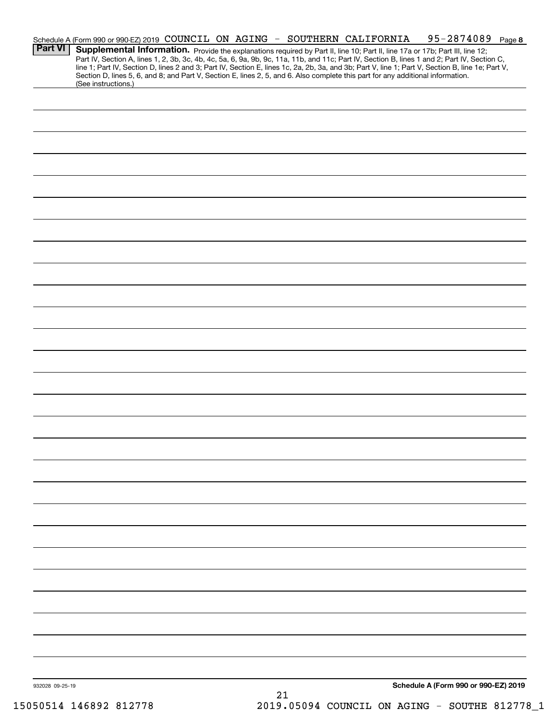|                 | Schedule A (Form 990 or 990-EZ) 2019 COUNCIL ON AGING - SOUTHERN CALIFORNIA                                                                                                                                                                                                                      |  |  |  |  |  |  | 95-2874089 Page 8                    |  |
|-----------------|--------------------------------------------------------------------------------------------------------------------------------------------------------------------------------------------------------------------------------------------------------------------------------------------------|--|--|--|--|--|--|--------------------------------------|--|
| <b>Part VI</b>  | Supplemental Information. Provide the explanations required by Part II, line 10; Part II, line 17a or 17b; Part III, line 12;                                                                                                                                                                    |  |  |  |  |  |  |                                      |  |
|                 | Part IV, Section A, lines 1, 2, 3b, 3c, 4b, 4c, 5a, 6, 9a, 9b, 9c, 11a, 11b, and 11c; Part IV, Section B, lines 1 and 2; Part IV, Section C,<br>line 1; Part IV, Section D, lines 2 and 3; Part IV, Section E, lines 1c, 2a, 2b, 3a, and 3b; Part V, line 1; Part V, Section B, line 1e; Part V, |  |  |  |  |  |  |                                      |  |
|                 | Section D, lines 5, 6, and 8; and Part V, Section E, lines 2, 5, and 6. Also complete this part for any additional information.<br>(See instructions.)                                                                                                                                           |  |  |  |  |  |  |                                      |  |
|                 |                                                                                                                                                                                                                                                                                                  |  |  |  |  |  |  |                                      |  |
|                 |                                                                                                                                                                                                                                                                                                  |  |  |  |  |  |  |                                      |  |
|                 |                                                                                                                                                                                                                                                                                                  |  |  |  |  |  |  |                                      |  |
|                 |                                                                                                                                                                                                                                                                                                  |  |  |  |  |  |  |                                      |  |
|                 |                                                                                                                                                                                                                                                                                                  |  |  |  |  |  |  |                                      |  |
|                 |                                                                                                                                                                                                                                                                                                  |  |  |  |  |  |  |                                      |  |
|                 |                                                                                                                                                                                                                                                                                                  |  |  |  |  |  |  |                                      |  |
|                 |                                                                                                                                                                                                                                                                                                  |  |  |  |  |  |  |                                      |  |
|                 |                                                                                                                                                                                                                                                                                                  |  |  |  |  |  |  |                                      |  |
|                 |                                                                                                                                                                                                                                                                                                  |  |  |  |  |  |  |                                      |  |
|                 |                                                                                                                                                                                                                                                                                                  |  |  |  |  |  |  |                                      |  |
|                 |                                                                                                                                                                                                                                                                                                  |  |  |  |  |  |  |                                      |  |
|                 |                                                                                                                                                                                                                                                                                                  |  |  |  |  |  |  |                                      |  |
|                 |                                                                                                                                                                                                                                                                                                  |  |  |  |  |  |  |                                      |  |
|                 |                                                                                                                                                                                                                                                                                                  |  |  |  |  |  |  |                                      |  |
|                 |                                                                                                                                                                                                                                                                                                  |  |  |  |  |  |  |                                      |  |
|                 |                                                                                                                                                                                                                                                                                                  |  |  |  |  |  |  |                                      |  |
|                 |                                                                                                                                                                                                                                                                                                  |  |  |  |  |  |  |                                      |  |
|                 |                                                                                                                                                                                                                                                                                                  |  |  |  |  |  |  |                                      |  |
|                 |                                                                                                                                                                                                                                                                                                  |  |  |  |  |  |  |                                      |  |
|                 |                                                                                                                                                                                                                                                                                                  |  |  |  |  |  |  |                                      |  |
|                 |                                                                                                                                                                                                                                                                                                  |  |  |  |  |  |  |                                      |  |
|                 |                                                                                                                                                                                                                                                                                                  |  |  |  |  |  |  |                                      |  |
|                 |                                                                                                                                                                                                                                                                                                  |  |  |  |  |  |  |                                      |  |
|                 |                                                                                                                                                                                                                                                                                                  |  |  |  |  |  |  |                                      |  |
|                 |                                                                                                                                                                                                                                                                                                  |  |  |  |  |  |  |                                      |  |
|                 |                                                                                                                                                                                                                                                                                                  |  |  |  |  |  |  |                                      |  |
|                 |                                                                                                                                                                                                                                                                                                  |  |  |  |  |  |  |                                      |  |
|                 |                                                                                                                                                                                                                                                                                                  |  |  |  |  |  |  |                                      |  |
|                 |                                                                                                                                                                                                                                                                                                  |  |  |  |  |  |  |                                      |  |
|                 |                                                                                                                                                                                                                                                                                                  |  |  |  |  |  |  |                                      |  |
|                 |                                                                                                                                                                                                                                                                                                  |  |  |  |  |  |  |                                      |  |
|                 |                                                                                                                                                                                                                                                                                                  |  |  |  |  |  |  |                                      |  |
|                 |                                                                                                                                                                                                                                                                                                  |  |  |  |  |  |  |                                      |  |
|                 |                                                                                                                                                                                                                                                                                                  |  |  |  |  |  |  |                                      |  |
|                 |                                                                                                                                                                                                                                                                                                  |  |  |  |  |  |  |                                      |  |
|                 |                                                                                                                                                                                                                                                                                                  |  |  |  |  |  |  |                                      |  |
|                 |                                                                                                                                                                                                                                                                                                  |  |  |  |  |  |  |                                      |  |
|                 |                                                                                                                                                                                                                                                                                                  |  |  |  |  |  |  |                                      |  |
|                 |                                                                                                                                                                                                                                                                                                  |  |  |  |  |  |  |                                      |  |
|                 |                                                                                                                                                                                                                                                                                                  |  |  |  |  |  |  |                                      |  |
|                 |                                                                                                                                                                                                                                                                                                  |  |  |  |  |  |  |                                      |  |
|                 |                                                                                                                                                                                                                                                                                                  |  |  |  |  |  |  |                                      |  |
|                 |                                                                                                                                                                                                                                                                                                  |  |  |  |  |  |  |                                      |  |
| 932028 09-25-19 |                                                                                                                                                                                                                                                                                                  |  |  |  |  |  |  | Schedule A (Form 990 or 990-EZ) 2019 |  |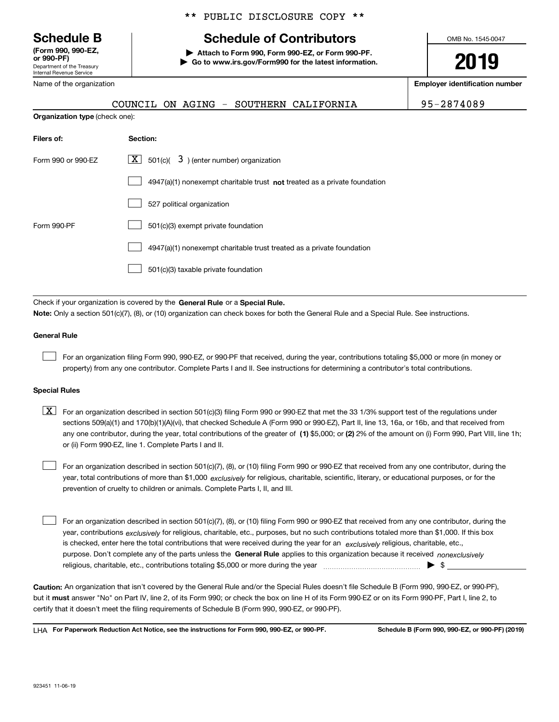Department of the Treasury Internal Revenue Service **(Form 990, 990-EZ, or 990-PF)**

\*\* PUBLIC DISCLOSURE COPY \*\*

### **Schedule B Schedule of Contributors**

**| Attach to Form 990, Form 990-EZ, or Form 990-PF. | Go to www.irs.gov/Form990 for the latest information.** OMB No. 1545-0047

**2019**

**Employer identification number**

|  |  |  |  |  | COUNCIL ON AGING - SOUTHERN CALIFORNIA | 95-2874089 |
|--|--|--|--|--|----------------------------------------|------------|
|--|--|--|--|--|----------------------------------------|------------|

| Name of the organization |  |
|--------------------------|--|
|                          |  |

**Organization type** (check one):

| Filers of:         | Section:                                                                  |
|--------------------|---------------------------------------------------------------------------|
| Form 990 or 990-EZ | $\lfloor x \rfloor$ 501(c)( 3) (enter number) organization                |
|                    | 4947(a)(1) nonexempt charitable trust not treated as a private foundation |
|                    | 527 political organization                                                |
| Form 990-PF        | 501(c)(3) exempt private foundation                                       |
|                    | 4947(a)(1) nonexempt charitable trust treated as a private foundation     |
|                    | 501(c)(3) taxable private foundation                                      |
|                    |                                                                           |

Check if your organization is covered by the **General Rule** or a **Special Rule. Note:**  Only a section 501(c)(7), (8), or (10) organization can check boxes for both the General Rule and a Special Rule. See instructions.

#### **General Rule**

 $\mathcal{L}^{\text{max}}$ 

For an organization filing Form 990, 990-EZ, or 990-PF that received, during the year, contributions totaling \$5,000 or more (in money or property) from any one contributor. Complete Parts I and II. See instructions for determining a contributor's total contributions.

#### **Special Rules**

any one contributor, during the year, total contributions of the greater of  $\,$  (1) \$5,000; or **(2)** 2% of the amount on (i) Form 990, Part VIII, line 1h;  $\boxed{\textbf{X}}$  For an organization described in section 501(c)(3) filing Form 990 or 990-EZ that met the 33 1/3% support test of the regulations under sections 509(a)(1) and 170(b)(1)(A)(vi), that checked Schedule A (Form 990 or 990-EZ), Part II, line 13, 16a, or 16b, and that received from or (ii) Form 990-EZ, line 1. Complete Parts I and II.

year, total contributions of more than \$1,000 *exclusively* for religious, charitable, scientific, literary, or educational purposes, or for the For an organization described in section 501(c)(7), (8), or (10) filing Form 990 or 990-EZ that received from any one contributor, during the prevention of cruelty to children or animals. Complete Parts I, II, and III.  $\mathcal{L}^{\text{max}}$ 

purpose. Don't complete any of the parts unless the **General Rule** applies to this organization because it received *nonexclusively* year, contributions <sub>exclusively</sub> for religious, charitable, etc., purposes, but no such contributions totaled more than \$1,000. If this box is checked, enter here the total contributions that were received during the year for an  $\;$ exclusively religious, charitable, etc., For an organization described in section 501(c)(7), (8), or (10) filing Form 990 or 990-EZ that received from any one contributor, during the religious, charitable, etc., contributions totaling \$5,000 or more during the year  $\Box$ — $\Box$   $\Box$  $\mathcal{L}^{\text{max}}$ 

**Caution:**  An organization that isn't covered by the General Rule and/or the Special Rules doesn't file Schedule B (Form 990, 990-EZ, or 990-PF),  **must** but it answer "No" on Part IV, line 2, of its Form 990; or check the box on line H of its Form 990-EZ or on its Form 990-PF, Part I, line 2, to certify that it doesn't meet the filing requirements of Schedule B (Form 990, 990-EZ, or 990-PF).

**For Paperwork Reduction Act Notice, see the instructions for Form 990, 990-EZ, or 990-PF. Schedule B (Form 990, 990-EZ, or 990-PF) (2019)** LHA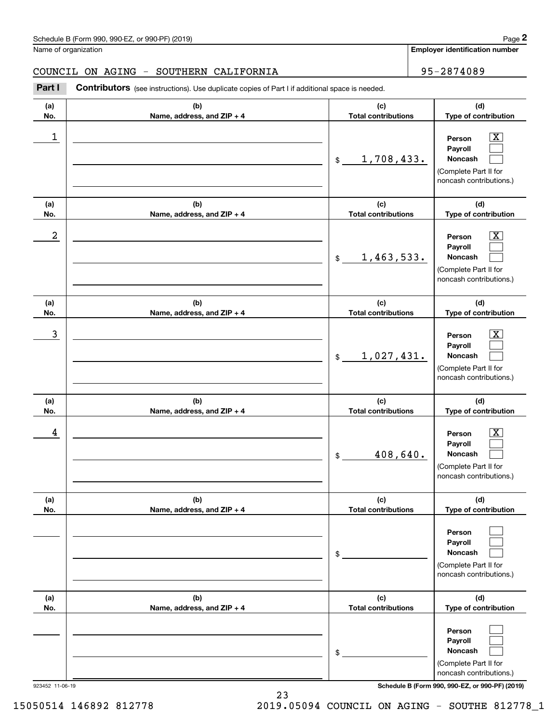**Employer identification number**

#### COUNCIL ON AGING - SOUTHERN CALIFORNIA FORDER RESERVED SUPPORTED A SERVED ASSESSED.

**(a)No.(b)Name, address, and ZIP + 4 (c)Total contributions (d)Type of contribution PersonPayrollNoncash (a)No.(b)Name, address, and ZIP + 4 (c)Total contributions (d)Type of contribution PersonPayrollNoncash (a)No.(b)Name, address, and ZIP + 4 (c)Total contributions (d)Type of contribution PersonPayrollNoncash (a) No.(b)Name, address, and ZIP + 4 (c) Total contributions (d) Type of contribution PersonPayrollNoncash (a) No.(b)Name, address, and ZIP + 4 (c) Total contributions (d) Type of contribution PersonPayrollNoncash(a) No.(b)Name, address, and ZIP + 4 (c) Total contributions (d)Type of contribution PersonPayrollNoncash** Contributors (see instructions). Use duplicate copies of Part I if additional space is needed. \$(Complete Part II for noncash contributions.) \$(Complete Part II for noncash contributions.) \$(Complete Part II for noncash contributions.) \$(Complete Part II for noncash contributions.) \$(Complete Part II for noncash contributions.) \$(Complete Part II for noncash contributions.) Chedule B (Form 990, 990-EZ, or 990-PF) (2019)<br>Iame of organization<br>**2Part I 2Part I Contributors** (see instructions). Use duplicate copies of Part I if additional space is needed.<br>2Part I **Contributors** (see instructi  $|X|$  $\mathcal{L}^{\text{max}}$  $\mathcal{L}^{\text{max}}$  $\boxed{\text{X}}$  $\mathcal{L}^{\text{max}}$  $\mathcal{L}^{\text{max}}$  $|X|$  $\mathcal{L}^{\text{max}}$  $\mathcal{L}^{\text{max}}$  $|X|$  $\mathcal{L}^{\text{max}}$  $\mathcal{L}^{\text{max}}$  $\mathcal{L}^{\text{max}}$  $\mathcal{L}^{\text{max}}$  $\mathcal{L}^{\text{max}}$  $\mathcal{L}^{\text{max}}$  $\mathcal{L}^{\text{max}}$  $\mathcal{L}^{\text{max}}$  $\begin{array}{c|c|c|c|c|c} 1 & \hspace{1.5cm} & \hspace{1.5cm} & \hspace{1.5cm} & \hspace{1.5cm} & \hspace{1.5cm} & \hspace{1.5cm} & \hspace{1.5cm} & \hspace{1.5cm} & \hspace{1.5cm} & \hspace{1.5cm} & \hspace{1.5cm} & \hspace{1.5cm} & \hspace{1.5cm} & \hspace{1.5cm} & \hspace{1.5cm} & \hspace{1.5cm} & \hspace{1.5cm} & \hspace{1.5cm} & \hspace{1.5cm} & \hspace{1.5cm} &$ 1,708,433.  $2$  | Person  $\overline{\text{X}}$ 1,463,533.  $\overline{3}$  | Person  $\overline{X}$ 1,027,431.  $4$  | Person  $\overline{\text{X}}$ 408,640.

923452 11-06-19 **Schedule B (Form 990, 990-EZ, or 990-PF) (2019)**

15050514 146892 812778 2019.05094 COUNCIL ON AGING - SOUTHE 812778\_1

23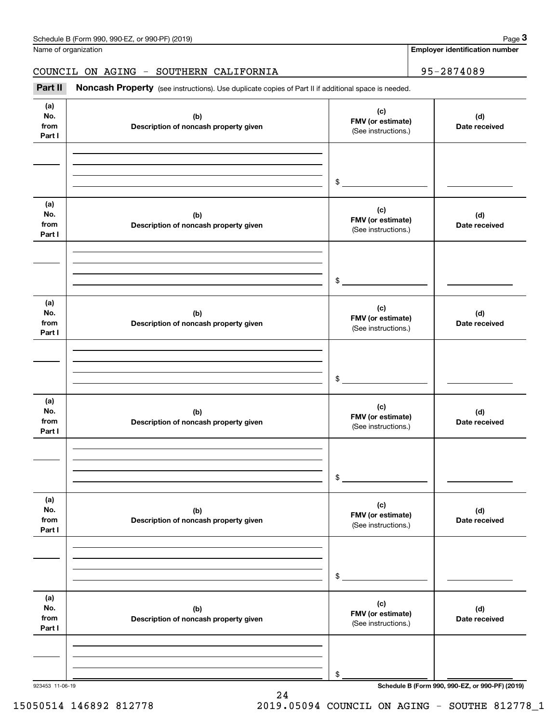Name of organization

**Employer identification number**

### COUNCIL ON AGING - SOUTHERN CALIFORNIA | 95-2874089

Chedule B (Form 990, 990-EZ, or 990-PF) (2019)<br>Iame of organization<br>**2Part II Noncash Property** (see instructions). Use duplicate copies of Part II if additional space is needed.<br>**2Part II Noncash Property** (see instru

| (a)<br>No.<br>from<br>Part I | (b)<br>Description of noncash property given | (c)<br>FMV (or estimate)<br>(See instructions.) | (d)<br>Date received |
|------------------------------|----------------------------------------------|-------------------------------------------------|----------------------|
|                              |                                              | $\frac{1}{2}$                                   |                      |
| (a)<br>No.<br>from<br>Part I | (b)<br>Description of noncash property given | (c)<br>FMV (or estimate)<br>(See instructions.) | (d)<br>Date received |
|                              |                                              | $\frac{1}{2}$                                   |                      |
| (a)<br>No.<br>from<br>Part I | (b)<br>Description of noncash property given | (c)<br>FMV (or estimate)<br>(See instructions.) | (d)<br>Date received |
|                              |                                              | $\frac{1}{2}$                                   |                      |
| (a)<br>No.<br>from<br>Part I | (b)<br>Description of noncash property given | (c)<br>FMV (or estimate)<br>(See instructions.) | (d)<br>Date received |
|                              |                                              | \$                                              |                      |
| (a)<br>No.<br>from<br>Part I | (b)<br>Description of noncash property given | (c)<br>FMV (or estimate)<br>(See instructions.) | (d)<br>Date received |
|                              |                                              | \$                                              |                      |
| (a)<br>No.<br>from<br>Part I | (b)<br>Description of noncash property given | (c)<br>FMV (or estimate)<br>(See instructions.) | (d)<br>Date received |
|                              |                                              | \$                                              |                      |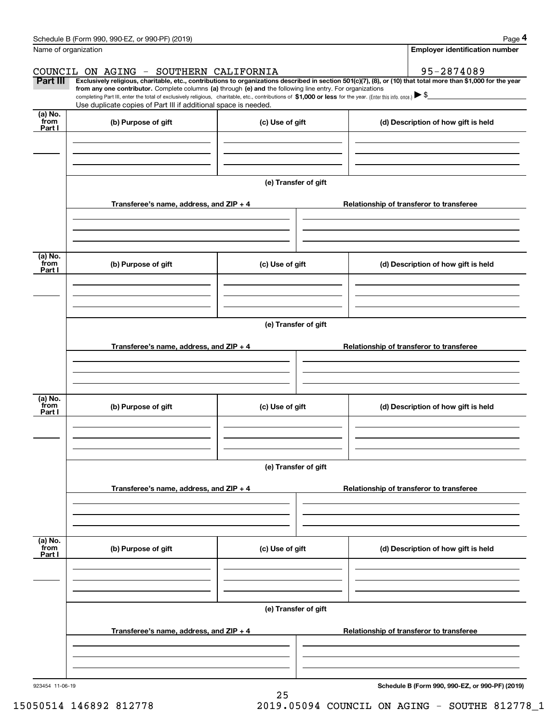|                           | Schedule B (Form 990, 990-EZ, or 990-PF) (2019)                                                                                                                                                                                                                              |                      |                                          | Page 4                                          |  |  |  |  |  |  |
|---------------------------|------------------------------------------------------------------------------------------------------------------------------------------------------------------------------------------------------------------------------------------------------------------------------|----------------------|------------------------------------------|-------------------------------------------------|--|--|--|--|--|--|
|                           | Name of organization                                                                                                                                                                                                                                                         |                      |                                          | <b>Employer identification number</b>           |  |  |  |  |  |  |
|                           | COUNCIL ON AGING - SOUTHERN CALIFORNIA                                                                                                                                                                                                                                       |                      |                                          | 95-2874089                                      |  |  |  |  |  |  |
| Part III                  | Exclusively religious, charitable, etc., contributions to organizations described in section 501(c)(7), (8), or (10) that total more than \$1,000 for the year<br>from any one contributor. Complete columns (a) through (e) and the following line entry. For organizations |                      |                                          |                                                 |  |  |  |  |  |  |
|                           | completing Part III, enter the total of exclusively religious, charitable, etc., contributions of \$1,000 or less for the year. (Enter this info. once.) $\blacktriangleright$ \$<br>Use duplicate copies of Part III if additional space is needed.                         |                      |                                          |                                                 |  |  |  |  |  |  |
| (a) No.<br>from           |                                                                                                                                                                                                                                                                              |                      |                                          |                                                 |  |  |  |  |  |  |
| Part I                    | (b) Purpose of gift                                                                                                                                                                                                                                                          | (c) Use of gift      |                                          | (d) Description of how gift is held             |  |  |  |  |  |  |
|                           |                                                                                                                                                                                                                                                                              |                      |                                          |                                                 |  |  |  |  |  |  |
|                           |                                                                                                                                                                                                                                                                              |                      |                                          |                                                 |  |  |  |  |  |  |
|                           |                                                                                                                                                                                                                                                                              |                      |                                          |                                                 |  |  |  |  |  |  |
|                           |                                                                                                                                                                                                                                                                              | (e) Transfer of gift |                                          |                                                 |  |  |  |  |  |  |
|                           | Transferee's name, address, and ZIP + 4                                                                                                                                                                                                                                      |                      |                                          | Relationship of transferor to transferee        |  |  |  |  |  |  |
|                           |                                                                                                                                                                                                                                                                              |                      |                                          |                                                 |  |  |  |  |  |  |
|                           |                                                                                                                                                                                                                                                                              |                      |                                          |                                                 |  |  |  |  |  |  |
| (a) No.                   |                                                                                                                                                                                                                                                                              |                      |                                          |                                                 |  |  |  |  |  |  |
| from<br>Part I            | (b) Purpose of gift                                                                                                                                                                                                                                                          | (c) Use of gift      |                                          | (d) Description of how gift is held             |  |  |  |  |  |  |
|                           |                                                                                                                                                                                                                                                                              |                      |                                          |                                                 |  |  |  |  |  |  |
|                           |                                                                                                                                                                                                                                                                              |                      |                                          |                                                 |  |  |  |  |  |  |
|                           |                                                                                                                                                                                                                                                                              |                      |                                          |                                                 |  |  |  |  |  |  |
|                           | (e) Transfer of gift                                                                                                                                                                                                                                                         |                      |                                          |                                                 |  |  |  |  |  |  |
|                           | Transferee's name, address, and ZIP + 4                                                                                                                                                                                                                                      |                      | Relationship of transferor to transferee |                                                 |  |  |  |  |  |  |
|                           |                                                                                                                                                                                                                                                                              |                      |                                          |                                                 |  |  |  |  |  |  |
|                           |                                                                                                                                                                                                                                                                              |                      |                                          |                                                 |  |  |  |  |  |  |
| (a) No.                   |                                                                                                                                                                                                                                                                              |                      |                                          |                                                 |  |  |  |  |  |  |
| from<br>Part I            | (b) Purpose of gift                                                                                                                                                                                                                                                          | (c) Use of gift      |                                          | (d) Description of how gift is held             |  |  |  |  |  |  |
|                           |                                                                                                                                                                                                                                                                              |                      |                                          |                                                 |  |  |  |  |  |  |
|                           |                                                                                                                                                                                                                                                                              |                      |                                          |                                                 |  |  |  |  |  |  |
|                           |                                                                                                                                                                                                                                                                              |                      |                                          |                                                 |  |  |  |  |  |  |
|                           |                                                                                                                                                                                                                                                                              | (e) Transfer of gift |                                          |                                                 |  |  |  |  |  |  |
|                           | Transferee's name, address, and ZIP + 4                                                                                                                                                                                                                                      |                      | Relationship of transferor to transferee |                                                 |  |  |  |  |  |  |
|                           |                                                                                                                                                                                                                                                                              |                      |                                          |                                                 |  |  |  |  |  |  |
|                           |                                                                                                                                                                                                                                                                              |                      |                                          |                                                 |  |  |  |  |  |  |
|                           |                                                                                                                                                                                                                                                                              |                      |                                          |                                                 |  |  |  |  |  |  |
| (a) No.<br>from<br>Part I | (b) Purpose of gift                                                                                                                                                                                                                                                          | (c) Use of gift      |                                          | (d) Description of how gift is held             |  |  |  |  |  |  |
|                           |                                                                                                                                                                                                                                                                              |                      |                                          |                                                 |  |  |  |  |  |  |
|                           |                                                                                                                                                                                                                                                                              |                      |                                          |                                                 |  |  |  |  |  |  |
|                           |                                                                                                                                                                                                                                                                              |                      |                                          |                                                 |  |  |  |  |  |  |
|                           | (e) Transfer of gift                                                                                                                                                                                                                                                         |                      |                                          |                                                 |  |  |  |  |  |  |
|                           | Transferee's name, address, and ZIP + 4                                                                                                                                                                                                                                      |                      |                                          | Relationship of transferor to transferee        |  |  |  |  |  |  |
|                           |                                                                                                                                                                                                                                                                              |                      |                                          |                                                 |  |  |  |  |  |  |
|                           |                                                                                                                                                                                                                                                                              |                      |                                          |                                                 |  |  |  |  |  |  |
|                           |                                                                                                                                                                                                                                                                              |                      |                                          |                                                 |  |  |  |  |  |  |
| 923454 11-06-19           |                                                                                                                                                                                                                                                                              | 25                   |                                          | Schedule B (Form 990, 990-EZ, or 990-PF) (2019) |  |  |  |  |  |  |
|                           |                                                                                                                                                                                                                                                                              |                      |                                          |                                                 |  |  |  |  |  |  |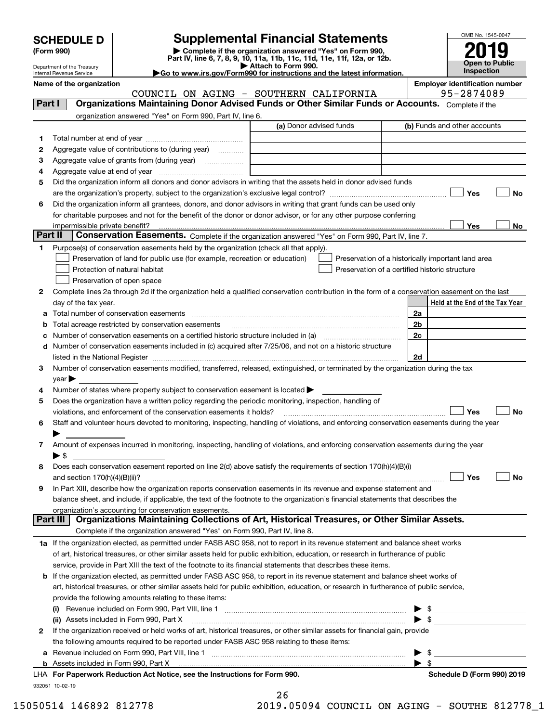| <b>SCHEDULE D</b> |
|-------------------|
|                   |

### **Supplemental Financial Statements**

**(Form 990)** (**Form 990,**<br>Part IV, line 6, 7, 8, 9, 10, 11a, 11b, 11c, 11d, 11e, 11f, 12a, or 12b.<br>Department of the Treasury **and Exercise Connect Connect Connect Connect Connect Connect Connect Connect Connect** 



Department of the Treasury Internal Revenue Service

| $\blacktriangleright$ Allach to Form 330.                              |  |
|------------------------------------------------------------------------|--|
| Go to www.irs.gov/Form990 for instructions and the latest information. |  |

**Name of the organization Employer identification number**

COUNCIL ON AGING - SOUTHERN CALIFORNIA 95-2874089

| Part I  | Organizations Maintaining Donor Advised Funds or Other Similar Funds or Accounts. Complete if the                                              |                                                |                |                                                    |
|---------|------------------------------------------------------------------------------------------------------------------------------------------------|------------------------------------------------|----------------|----------------------------------------------------|
|         | organization answered "Yes" on Form 990, Part IV, line 6.                                                                                      |                                                |                |                                                    |
|         |                                                                                                                                                | (a) Donor advised funds                        |                | (b) Funds and other accounts                       |
| 1       |                                                                                                                                                |                                                |                |                                                    |
| 2       | Aggregate value of contributions to (during year)                                                                                              |                                                |                |                                                    |
| з       | Aggregate value of grants from (during year)                                                                                                   |                                                |                |                                                    |
| 4       |                                                                                                                                                |                                                |                |                                                    |
| 5       | Did the organization inform all donors and donor advisors in writing that the assets held in donor advised funds                               |                                                |                |                                                    |
|         |                                                                                                                                                |                                                |                | Yes<br>No                                          |
| 6       | Did the organization inform all grantees, donors, and donor advisors in writing that grant funds can be used only                              |                                                |                |                                                    |
|         | for charitable purposes and not for the benefit of the donor or donor advisor, or for any other purpose conferring                             |                                                |                |                                                    |
|         |                                                                                                                                                |                                                |                | Yes<br>No                                          |
| Part II | Conservation Easements. Complete if the organization answered "Yes" on Form 990, Part IV, line 7.                                              |                                                |                |                                                    |
| 1.      | Purpose(s) of conservation easements held by the organization (check all that apply).                                                          |                                                |                |                                                    |
|         | Preservation of land for public use (for example, recreation or education)                                                                     |                                                |                | Preservation of a historically important land area |
|         | Protection of natural habitat                                                                                                                  | Preservation of a certified historic structure |                |                                                    |
|         | Preservation of open space                                                                                                                     |                                                |                |                                                    |
| 2       | Complete lines 2a through 2d if the organization held a qualified conservation contribution in the form of a conservation easement on the last |                                                |                |                                                    |
|         | day of the tax year.                                                                                                                           |                                                |                | Held at the End of the Tax Year                    |
| а       | Total number of conservation easements                                                                                                         |                                                | 2a             |                                                    |
| b       | Total acreage restricted by conservation easements                                                                                             |                                                | 2 <sub>b</sub> |                                                    |
| с       | Number of conservation easements on a certified historic structure included in (a) manufacture included in (a)                                 |                                                | 2c             |                                                    |
| d       | Number of conservation easements included in (c) acquired after 7/25/06, and not on a historic structure                                       |                                                |                |                                                    |
|         | listed in the National Register [111] increases the National Property of the National Property of the National                                 |                                                | 2d             |                                                    |
| 3       | Number of conservation easements modified, transferred, released, extinguished, or terminated by the organization during the tax               |                                                |                |                                                    |
|         | year                                                                                                                                           |                                                |                |                                                    |
| 4       | Number of states where property subject to conservation easement is located >                                                                  |                                                |                |                                                    |
| 5       | Does the organization have a written policy regarding the periodic monitoring, inspection, handling of                                         |                                                |                |                                                    |
|         | violations, and enforcement of the conservation easements it holds?                                                                            |                                                |                | Yes<br>No                                          |
| 6       | Staff and volunteer hours devoted to monitoring, inspecting, handling of violations, and enforcing conservation easements during the year      |                                                |                |                                                    |
|         |                                                                                                                                                |                                                |                |                                                    |
| 7       | Amount of expenses incurred in monitoring, inspecting, handling of violations, and enforcing conservation easements during the year            |                                                |                |                                                    |
|         | ► \$                                                                                                                                           |                                                |                |                                                    |
| 8       | Does each conservation easement reported on line 2(d) above satisfy the requirements of section 170(h)(4)(B)(i)                                |                                                |                |                                                    |
|         |                                                                                                                                                |                                                |                | Yes<br>No                                          |
| 9       | In Part XIII, describe how the organization reports conservation easements in its revenue and expense statement and                            |                                                |                |                                                    |
|         | balance sheet, and include, if applicable, the text of the footnote to the organization's financial statements that describes the              |                                                |                |                                                    |
|         | organization's accounting for conservation easements.                                                                                          |                                                |                |                                                    |
|         | Organizations Maintaining Collections of Art, Historical Treasures, or Other Similar Assets.<br>Part III                                       |                                                |                |                                                    |
|         | Complete if the organization answered "Yes" on Form 990, Part IV, line 8.                                                                      |                                                |                |                                                    |
|         | 1a If the organization elected, as permitted under FASB ASC 958, not to report in its revenue statement and balance sheet works                |                                                |                |                                                    |
|         | of art, historical treasures, or other similar assets held for public exhibition, education, or research in furtherance of public              |                                                |                |                                                    |
|         | service, provide in Part XIII the text of the footnote to its financial statements that describes these items.                                 |                                                |                |                                                    |
| b       | If the organization elected, as permitted under FASB ASC 958, to report in its revenue statement and balance sheet works of                    |                                                |                |                                                    |
|         | art, historical treasures, or other similar assets held for public exhibition, education, or research in furtherance of public service,        |                                                |                |                                                    |
|         | provide the following amounts relating to these items:                                                                                         |                                                |                |                                                    |
|         |                                                                                                                                                |                                                |                |                                                    |
|         | (ii) Assets included in Form 990, Part X                                                                                                       |                                                |                |                                                    |
| 2       | If the organization received or held works of art, historical treasures, or other similar assets for financial gain, provide                   |                                                |                |                                                    |
|         | the following amounts required to be reported under FASB ASC 958 relating to these items:                                                      |                                                |                |                                                    |
|         |                                                                                                                                                |                                                |                |                                                    |
|         |                                                                                                                                                |                                                |                | - \$                                               |
|         | LHA For Paperwork Reduction Act Notice, see the Instructions for Form 990.                                                                     |                                                |                | Schedule D (Form 990) 2019                         |
|         | 932051 10-02-19                                                                                                                                |                                                |                |                                                    |

| 26 |     |  |  |
|----|-----|--|--|
|    | . . |  |  |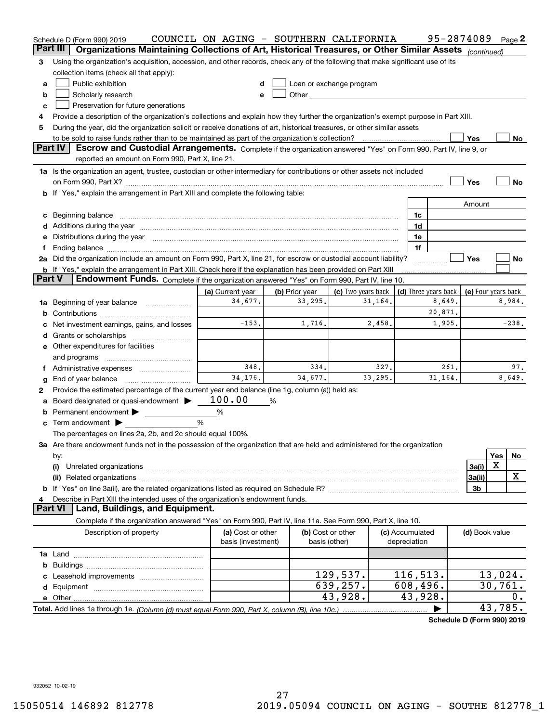|               | Schedule D (Form 990) 2019                                                                                                           | COUNCIL ON AGING - SOUTHERN CALIFORNIA |                                    |                                                                                                                                                                                                                                |                                 | 95-2874089           |                          |          | Page 2  |
|---------------|--------------------------------------------------------------------------------------------------------------------------------------|----------------------------------------|------------------------------------|--------------------------------------------------------------------------------------------------------------------------------------------------------------------------------------------------------------------------------|---------------------------------|----------------------|--------------------------|----------|---------|
|               | Part III<br>Organizations Maintaining Collections of Art, Historical Treasures, or Other Similar Assets (continued)                  |                                        |                                    |                                                                                                                                                                                                                                |                                 |                      |                          |          |         |
| 3             | Using the organization's acquisition, accession, and other records, check any of the following that make significant use of its      |                                        |                                    |                                                                                                                                                                                                                                |                                 |                      |                          |          |         |
|               | collection items (check all that apply):                                                                                             |                                        |                                    |                                                                                                                                                                                                                                |                                 |                      |                          |          |         |
| a             | Public exhibition                                                                                                                    | d                                      |                                    | Loan or exchange program                                                                                                                                                                                                       |                                 |                      |                          |          |         |
| b             | Scholarly research                                                                                                                   | e                                      |                                    | Other the contract of the contract of the contract of the contract of the contract of the contract of the contract of the contract of the contract of the contract of the contract of the contract of the contract of the cont |                                 |                      |                          |          |         |
| c             | Preservation for future generations                                                                                                  |                                        |                                    |                                                                                                                                                                                                                                |                                 |                      |                          |          |         |
| 4             | Provide a description of the organization's collections and explain how they further the organization's exempt purpose in Part XIII. |                                        |                                    |                                                                                                                                                                                                                                |                                 |                      |                          |          |         |
| 5             | During the year, did the organization solicit or receive donations of art, historical treasures, or other similar assets             |                                        |                                    |                                                                                                                                                                                                                                |                                 |                      |                          |          |         |
|               |                                                                                                                                      |                                        |                                    |                                                                                                                                                                                                                                |                                 |                      | Yes                      |          | No      |
|               | <b>Part IV</b><br>Escrow and Custodial Arrangements. Complete if the organization answered "Yes" on Form 990, Part IV, line 9, or    |                                        |                                    |                                                                                                                                                                                                                                |                                 |                      |                          |          |         |
|               | reported an amount on Form 990, Part X, line 21.                                                                                     |                                        |                                    |                                                                                                                                                                                                                                |                                 |                      |                          |          |         |
|               | 1a Is the organization an agent, trustee, custodian or other intermediary for contributions or other assets not included             |                                        |                                    |                                                                                                                                                                                                                                |                                 |                      |                          |          |         |
|               |                                                                                                                                      |                                        |                                    |                                                                                                                                                                                                                                |                                 |                      | Yes                      |          | No      |
|               | b If "Yes," explain the arrangement in Part XIII and complete the following table:                                                   |                                        |                                    |                                                                                                                                                                                                                                |                                 |                      |                          |          |         |
|               |                                                                                                                                      |                                        |                                    |                                                                                                                                                                                                                                |                                 |                      | Amount                   |          |         |
| c             | Beginning balance <b>contract to the contract of the contract of the contract of the contract of the contract of t</b>               |                                        |                                    |                                                                                                                                                                                                                                | 1c                              |                      |                          |          |         |
|               |                                                                                                                                      |                                        |                                    |                                                                                                                                                                                                                                | 1d                              |                      |                          |          |         |
| е             | Distributions during the year measurement contains and all the state of the state of the state of the state of                       |                                        |                                    |                                                                                                                                                                                                                                | 1e                              |                      |                          |          |         |
|               |                                                                                                                                      |                                        |                                    |                                                                                                                                                                                                                                | 1f                              |                      |                          |          |         |
|               | 2a Did the organization include an amount on Form 990, Part X, line 21, for escrow or custodial account liability?                   |                                        |                                    |                                                                                                                                                                                                                                |                                 |                      | <b>Yes</b>               |          | No      |
|               | <b>b</b> If "Yes," explain the arrangement in Part XIII. Check here if the explanation has been provided on Part XIII                |                                        |                                    |                                                                                                                                                                                                                                |                                 |                      |                          |          |         |
| <b>Part V</b> | Endowment Funds. Complete if the organization answered "Yes" on Form 990, Part IV, line 10.                                          |                                        |                                    |                                                                                                                                                                                                                                |                                 |                      |                          |          |         |
|               |                                                                                                                                      | (a) Current year                       | (b) Prior year                     | (c) Two years back                                                                                                                                                                                                             |                                 | (d) Three years back | (e) Four years back      |          |         |
| 1a            | Beginning of year balance                                                                                                            | 34,677.                                | 33,295.                            | 31,164.                                                                                                                                                                                                                        |                                 | 8,649.               |                          |          | 8,984.  |
|               |                                                                                                                                      |                                        |                                    |                                                                                                                                                                                                                                |                                 | 20,871.              |                          |          |         |
|               | Net investment earnings, gains, and losses                                                                                           | $-153.$                                | 1,716.                             | 2,458.                                                                                                                                                                                                                         |                                 | 1,905.               |                          |          | $-238.$ |
| d             |                                                                                                                                      |                                        |                                    |                                                                                                                                                                                                                                |                                 |                      |                          |          |         |
|               | e Other expenditures for facilities                                                                                                  |                                        |                                    |                                                                                                                                                                                                                                |                                 |                      |                          |          |         |
|               | and programs                                                                                                                         |                                        |                                    |                                                                                                                                                                                                                                |                                 |                      |                          |          |         |
| Ť.            |                                                                                                                                      | 348.                                   | 334.                               | 327.                                                                                                                                                                                                                           |                                 | 261.                 |                          |          | 97.     |
| g             | End of year balance                                                                                                                  | 34,176.                                | 34,677.                            | 33,295.                                                                                                                                                                                                                        |                                 | 31,164.              |                          |          | 8,649.  |
| 2             | Provide the estimated percentage of the current year end balance (line 1g, column (a)) held as:                                      |                                        |                                    |                                                                                                                                                                                                                                |                                 |                      |                          |          |         |
|               | Board designated or quasi-endowment $\blacktriangleright$ 100.00                                                                     |                                        | %                                  |                                                                                                                                                                                                                                |                                 |                      |                          |          |         |
| b             | Permanent endowment >                                                                                                                | %                                      |                                    |                                                                                                                                                                                                                                |                                 |                      |                          |          |         |
|               | c Term endowment $\blacktriangleright$                                                                                               | %                                      |                                    |                                                                                                                                                                                                                                |                                 |                      |                          |          |         |
|               | The percentages on lines 2a, 2b, and 2c should equal 100%.                                                                           |                                        |                                    |                                                                                                                                                                                                                                |                                 |                      |                          |          |         |
|               | 3a Are there endowment funds not in the possession of the organization that are held and administered for the organization           |                                        |                                    |                                                                                                                                                                                                                                |                                 |                      |                          |          |         |
|               | by:                                                                                                                                  |                                        |                                    |                                                                                                                                                                                                                                |                                 |                      |                          | Yes<br>Х | No      |
|               | (i)                                                                                                                                  |                                        |                                    |                                                                                                                                                                                                                                |                                 |                      | 3a(i)                    |          | x       |
|               |                                                                                                                                      |                                        |                                    |                                                                                                                                                                                                                                |                                 |                      | 3a(ii)<br>3 <sub>b</sub> |          |         |
| 4             |                                                                                                                                      |                                        |                                    |                                                                                                                                                                                                                                |                                 |                      |                          |          |         |
|               | Describe in Part XIII the intended uses of the organization's endowment funds.<br><b>Part VI</b><br>Land, Buildings, and Equipment.  |                                        |                                    |                                                                                                                                                                                                                                |                                 |                      |                          |          |         |
|               | Complete if the organization answered "Yes" on Form 990, Part IV, line 11a. See Form 990, Part X, line 10.                           |                                        |                                    |                                                                                                                                                                                                                                |                                 |                      |                          |          |         |
|               | Description of property                                                                                                              | (a) Cost or other                      |                                    |                                                                                                                                                                                                                                |                                 |                      |                          |          |         |
|               |                                                                                                                                      | basis (investment)                     | (b) Cost or other<br>basis (other) |                                                                                                                                                                                                                                | (c) Accumulated<br>depreciation |                      | (d) Book value           |          |         |
|               |                                                                                                                                      |                                        |                                    |                                                                                                                                                                                                                                |                                 |                      |                          |          |         |
| b             |                                                                                                                                      |                                        |                                    |                                                                                                                                                                                                                                |                                 |                      |                          |          |         |
|               |                                                                                                                                      |                                        |                                    | 129,537.                                                                                                                                                                                                                       | 116, 513.                       |                      |                          | 13,024.  |         |
|               |                                                                                                                                      |                                        |                                    | 639,257.                                                                                                                                                                                                                       | 608,496.                        |                      |                          | 30,761.  |         |
|               |                                                                                                                                      |                                        |                                    | 43,928.                                                                                                                                                                                                                        | 43,928.                         |                      |                          |          | 0.      |
|               |                                                                                                                                      |                                        |                                    |                                                                                                                                                                                                                                |                                 |                      |                          | 43,785.  |         |
|               |                                                                                                                                      |                                        |                                    |                                                                                                                                                                                                                                |                                 |                      |                          |          |         |

**Schedule D (Form 990) 2019**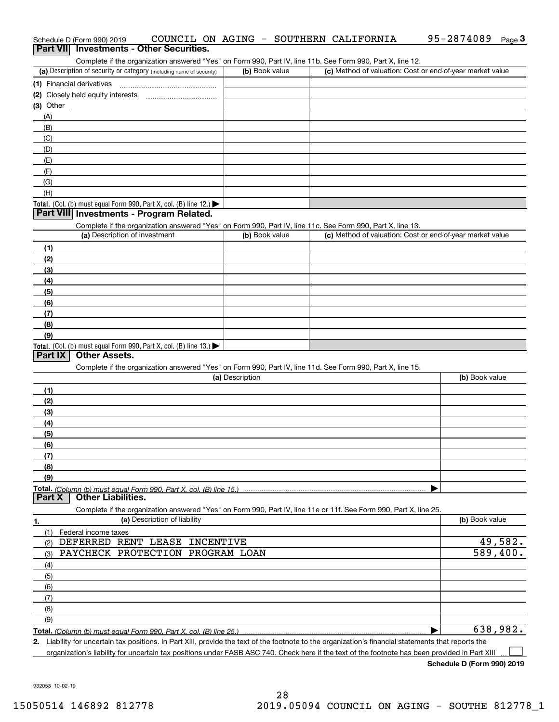| Schedule D (Form 990) 2019                                           |                                                                                                            |  |                |  | COUNCIL ON AGING - SOUTHERN CALIFORNIA | 95-2874089                                                | Page $3$ |
|----------------------------------------------------------------------|------------------------------------------------------------------------------------------------------------|--|----------------|--|----------------------------------------|-----------------------------------------------------------|----------|
| Part VII Investments - Other Securities.                             |                                                                                                            |  |                |  |                                        |                                                           |          |
|                                                                      | Complete if the organization answered "Yes" on Form 990, Part IV, line 11b. See Form 990, Part X, line 12. |  |                |  |                                        |                                                           |          |
| (a) Description of security or category (including name of security) |                                                                                                            |  | (b) Book value |  |                                        | (c) Method of valuation: Cost or end-of-year market value |          |
| (1) Financial derivatives                                            |                                                                                                            |  |                |  |                                        |                                                           |          |

| $\left\{ \right.$ u manoiai uomvaavoo                                                  |  |
|----------------------------------------------------------------------------------------|--|
| (2) Closely held equity interests                                                      |  |
| (3) Other                                                                              |  |
| (A)                                                                                    |  |
| (B)                                                                                    |  |
| (C)                                                                                    |  |
| (D)                                                                                    |  |
| (E)                                                                                    |  |
| (F)                                                                                    |  |
| (G)                                                                                    |  |
| (H)                                                                                    |  |
| Total. (Col. (b) must equal Form 990, Part X, col. (B) line 12.) $\blacktriangleright$ |  |

#### **Part VIII Investments - Program Related.**

Complete if the organization answered "Yes" on Form 990, Part IV, line 11c. See Form 990, Part X, line 13.

| (a) Description of investment                                    | (b) Book value | (c) Method of valuation: Cost or end-of-year market value |
|------------------------------------------------------------------|----------------|-----------------------------------------------------------|
| (1)                                                              |                |                                                           |
| (2)                                                              |                |                                                           |
| $\frac{1}{2}$                                                    |                |                                                           |
| (4)                                                              |                |                                                           |
| $\frac{1}{2}$                                                    |                |                                                           |
| (6)                                                              |                |                                                           |
| (7)                                                              |                |                                                           |
| (8)                                                              |                |                                                           |
| (9)                                                              |                |                                                           |
| Total. (Col. (b) must equal Form 990, Part X, col. (B) line 13.) |                |                                                           |

#### **Part IX Other Assets.**

Complete if the organization answered "Yes" on Form 990, Part IV, line 11d. See Form 990, Part X, line 15.

| (a) Description                                                                                                   | (b) Book value |
|-------------------------------------------------------------------------------------------------------------------|----------------|
| (1)                                                                                                               |                |
| (2)                                                                                                               |                |
| (3)                                                                                                               |                |
| (4)                                                                                                               |                |
| $\frac{1}{2}$ (5)                                                                                                 |                |
| (6)                                                                                                               |                |
|                                                                                                                   |                |
| (8)                                                                                                               |                |
| (9)                                                                                                               |                |
|                                                                                                                   |                |
| <b>Part X</b> Other Liabilities.                                                                                  |                |
| Complete if the organization answered "Yes" on Form 990, Part IV, line 11e or 11f. See Form 990, Part X, line 25. |                |

| 1.                | (a) Description of liability     | (b) Book value |
|-------------------|----------------------------------|----------------|
|                   | Federal income taxes             |                |
| (2)               | DEFERRED RENT LEASE INCENTIVE    | 49,582.        |
| (3)               | PAYCHECK PROTECTION PROGRAM LOAN | 589,400.       |
| (4)               |                                  |                |
| $\frac{1}{2}$ (5) |                                  |                |
| (6)               |                                  |                |
| (7)               |                                  |                |
| (8)               |                                  |                |
| (9)               |                                  |                |
|                   |                                  | 638,982.       |

**2.** Liability for uncertain tax positions. In Part XIII, provide the text of the footnote to the organization's financial statements that reports the organization's liability for uncertain tax positions under FASB ASC 740. Check here if the text of the footnote has been provided in Part XIII  $\mathcal{L}^{\text{max}}$ 

**Schedule D (Form 990) 2019**

932053 10-02-19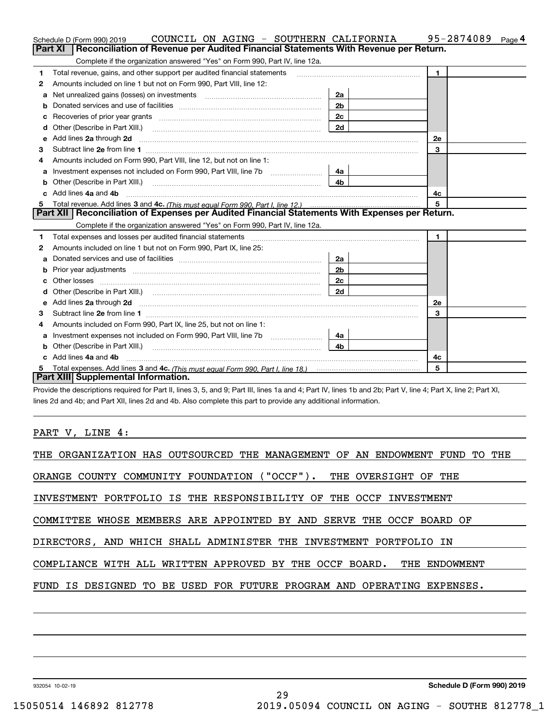|    | COUNCIL ON AGING - SOUTHERN CALIFORNIA<br>Schedule D (Form 990) 2019                                                                                                                                                                |                | 95-2874089<br>Page <sup>4</sup> |
|----|-------------------------------------------------------------------------------------------------------------------------------------------------------------------------------------------------------------------------------------|----------------|---------------------------------|
|    | Reconciliation of Revenue per Audited Financial Statements With Revenue per Return.<br>Part XI                                                                                                                                      |                |                                 |
|    | Complete if the organization answered "Yes" on Form 990, Part IV, line 12a.                                                                                                                                                         |                |                                 |
| 1  | Total revenue, gains, and other support per audited financial statements                                                                                                                                                            |                | $\blacktriangleleft$            |
| 2  | Amounts included on line 1 but not on Form 990, Part VIII, line 12:                                                                                                                                                                 |                |                                 |
| a  |                                                                                                                                                                                                                                     | 2a             |                                 |
|    |                                                                                                                                                                                                                                     | 2 <sub>b</sub> |                                 |
|    | Recoveries of prior year grants [11] matter contracts and prior year grants [11] matter contracts and prior year grants and all the contracts and all the contracts of prior year.                                                  | 2 <sub>c</sub> |                                 |
| d  | Other (Describe in Part XIII.) <b>Construction Construction</b> Chern Construction Chern Chern Chern Chern Chern Chern                                                                                                              | 2d             |                                 |
| е  | Add lines 2a through 2d                                                                                                                                                                                                             |                | 2e                              |
| з  |                                                                                                                                                                                                                                     |                | 3                               |
| 4  | Amounts included on Form 990, Part VIII, line 12, but not on line 1:                                                                                                                                                                |                |                                 |
|    |                                                                                                                                                                                                                                     | 4a             |                                 |
|    |                                                                                                                                                                                                                                     | 4 <sub>b</sub> |                                 |
| c. | Add lines 4a and 4b                                                                                                                                                                                                                 |                | 4с                              |
| 5  |                                                                                                                                                                                                                                     |                | 5                               |
|    | Part XII   Reconciliation of Expenses per Audited Financial Statements With Expenses per Return.                                                                                                                                    |                |                                 |
|    | Complete if the organization answered "Yes" on Form 990, Part IV, line 12a.                                                                                                                                                         |                |                                 |
| 1  |                                                                                                                                                                                                                                     |                | $\blacksquare$                  |
| 2  | Amounts included on line 1 but not on Form 990, Part IX, line 25:                                                                                                                                                                   |                |                                 |
| a  |                                                                                                                                                                                                                                     | 2a             |                                 |
| b  |                                                                                                                                                                                                                                     | 2 <sub>b</sub> |                                 |
|    |                                                                                                                                                                                                                                     | 2c             |                                 |
| d  |                                                                                                                                                                                                                                     | 2d             |                                 |
| е  | Add lines 2a through 2d <b>contained a contained a contained a contained a</b> contained a contained a contained a contained a contained a contained a contained a contained a contained a contained a contained a contained a cont |                | 2e                              |
| з  |                                                                                                                                                                                                                                     |                | 3                               |
| 4  | Amounts included on Form 990, Part IX, line 25, but not on line 1:                                                                                                                                                                  |                |                                 |
| a  |                                                                                                                                                                                                                                     | 4a l           |                                 |
| b  | Other (Describe in Part XIII.)                                                                                                                                                                                                      | 4 <sub>b</sub> |                                 |
|    | c Add lines 4a and 4b                                                                                                                                                                                                               |                | 4c                              |
|    |                                                                                                                                                                                                                                     |                | 5                               |
|    | Part XIII Supplemental Information.                                                                                                                                                                                                 |                |                                 |

Provide the descriptions required for Part II, lines 3, 5, and 9; Part III, lines 1a and 4; Part IV, lines 1b and 2b; Part V, line 4; Part X, line 2; Part XI, lines 2d and 4b; and Part XII, lines 2d and 4b. Also complete this part to provide any additional information.

PART V, LINE 4:

| THE ORGANIZATION HAS OUTSOURCED THE MANAGEMENT OF AN ENDOWMENT FUND TO THE |  |  |  |  |  |  |  |  |
|----------------------------------------------------------------------------|--|--|--|--|--|--|--|--|
| ORANGE COUNTY COMMUNITY FOUNDATION ("OCCF"). THE OVERSIGHT OF THE          |  |  |  |  |  |  |  |  |
| INVESTMENT PORTFOLIO IS THE RESPONSIBILITY OF THE OCCF INVESTMENT          |  |  |  |  |  |  |  |  |
| COMMITTEE WHOSE MEMBERS ARE APPOINTED BY AND SERVE THE OCCF BOARD OF       |  |  |  |  |  |  |  |  |
| DIRECTORS, AND WHICH SHALL ADMINISTER THE INVESTMENT PORTFOLIO IN          |  |  |  |  |  |  |  |  |
| COMPLIANCE WITH ALL WRITTEN APPROVED BY THE OCCF BOARD.<br>THE ENDOWMENT   |  |  |  |  |  |  |  |  |
| FUND IS DESIGNED TO BE USED FOR FUTURE PROGRAM AND OPERATING EXPENSES.     |  |  |  |  |  |  |  |  |
|                                                                            |  |  |  |  |  |  |  |  |

932054 10-02-19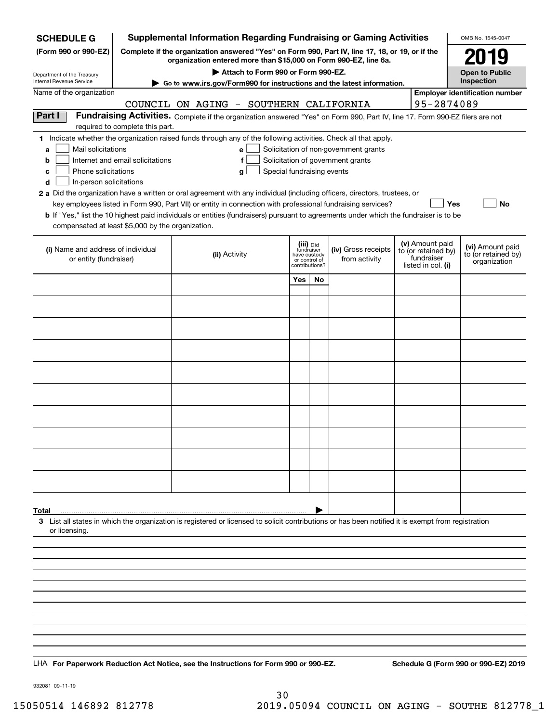| <b>SCHEDULE G</b>                                                                                                                                                                          |                                                                                                                                                                     |                                        |                                                                            |    | <b>Supplemental Information Regarding Fundraising or Gaming Activities</b>                                                    |  |                                                                            | OMB No. 1545-0047                                       |
|--------------------------------------------------------------------------------------------------------------------------------------------------------------------------------------------|---------------------------------------------------------------------------------------------------------------------------------------------------------------------|----------------------------------------|----------------------------------------------------------------------------|----|-------------------------------------------------------------------------------------------------------------------------------|--|----------------------------------------------------------------------------|---------------------------------------------------------|
| (Form 990 or 990-EZ)                                                                                                                                                                       | Complete if the organization answered "Yes" on Form 990, Part IV, line 17, 18, or 19, or if the<br>organization entered more than \$15,000 on Form 990-EZ, line 6a. |                                        | 2019                                                                       |    |                                                                                                                               |  |                                                                            |                                                         |
| Department of the Treasury                                                                                                                                                                 |                                                                                                                                                                     | <b>Open to Public</b>                  |                                                                            |    |                                                                                                                               |  |                                                                            |                                                         |
| Internal Revenue Service                                                                                                                                                                   |                                                                                                                                                                     |                                        |                                                                            |    | ► Go to www.irs.gov/Form990 for instructions and the latest information.                                                      |  |                                                                            | Inspection<br><b>Employer identification number</b>     |
| Name of the organization                                                                                                                                                                   |                                                                                                                                                                     | COUNCIL ON AGING - SOUTHERN CALIFORNIA |                                                                            |    |                                                                                                                               |  | 95-2874089                                                                 |                                                         |
| Part I                                                                                                                                                                                     |                                                                                                                                                                     |                                        |                                                                            |    | Fundraising Activities. Complete if the organization answered "Yes" on Form 990, Part IV, line 17. Form 990-EZ filers are not |  |                                                                            |                                                         |
|                                                                                                                                                                                            | required to complete this part.                                                                                                                                     |                                        |                                                                            |    |                                                                                                                               |  |                                                                            |                                                         |
| 1 Indicate whether the organization raised funds through any of the following activities. Check all that apply.<br>Mail solicitations<br>a<br>b                                            | Internet and email solicitations                                                                                                                                    | e<br>f                                 |                                                                            |    | Solicitation of non-government grants<br>Solicitation of government grants                                                    |  |                                                                            |                                                         |
| Phone solicitations<br>c<br>In-person solicitations<br>d                                                                                                                                   |                                                                                                                                                                     | Special fundraising events<br>g        |                                                                            |    |                                                                                                                               |  |                                                                            |                                                         |
| 2 a Did the organization have a written or oral agreement with any individual (including officers, directors, trustees, or                                                                 |                                                                                                                                                                     |                                        |                                                                            |    |                                                                                                                               |  |                                                                            |                                                         |
|                                                                                                                                                                                            |                                                                                                                                                                     |                                        |                                                                            |    | key employees listed in Form 990, Part VII) or entity in connection with professional fundraising services?                   |  | Yes                                                                        | <b>No</b>                                               |
| b If "Yes," list the 10 highest paid individuals or entities (fundraisers) pursuant to agreements under which the fundraiser is to be<br>compensated at least \$5,000 by the organization. |                                                                                                                                                                     |                                        |                                                                            |    |                                                                                                                               |  |                                                                            |                                                         |
|                                                                                                                                                                                            |                                                                                                                                                                     |                                        |                                                                            |    |                                                                                                                               |  |                                                                            |                                                         |
| (i) Name and address of individual<br>or entity (fundraiser)                                                                                                                               |                                                                                                                                                                     | (ii) Activity                          | (iii) Did<br>fundraiser<br>have custody<br>or control of<br>contributions? |    | (iv) Gross receipts<br>from activity                                                                                          |  | (v) Amount paid<br>to (or retained by)<br>fundraiser<br>listed in col. (i) | (vi) Amount paid<br>to (or retained by)<br>organization |
|                                                                                                                                                                                            |                                                                                                                                                                     |                                        | Yes                                                                        | No |                                                                                                                               |  |                                                                            |                                                         |
|                                                                                                                                                                                            |                                                                                                                                                                     |                                        |                                                                            |    |                                                                                                                               |  |                                                                            |                                                         |
|                                                                                                                                                                                            |                                                                                                                                                                     |                                        |                                                                            |    |                                                                                                                               |  |                                                                            |                                                         |
|                                                                                                                                                                                            |                                                                                                                                                                     |                                        |                                                                            |    |                                                                                                                               |  |                                                                            |                                                         |
|                                                                                                                                                                                            |                                                                                                                                                                     |                                        |                                                                            |    |                                                                                                                               |  |                                                                            |                                                         |
|                                                                                                                                                                                            |                                                                                                                                                                     |                                        |                                                                            |    |                                                                                                                               |  |                                                                            |                                                         |
|                                                                                                                                                                                            |                                                                                                                                                                     |                                        |                                                                            |    |                                                                                                                               |  |                                                                            |                                                         |
|                                                                                                                                                                                            |                                                                                                                                                                     |                                        |                                                                            |    |                                                                                                                               |  |                                                                            |                                                         |
|                                                                                                                                                                                            |                                                                                                                                                                     |                                        |                                                                            |    |                                                                                                                               |  |                                                                            |                                                         |
|                                                                                                                                                                                            |                                                                                                                                                                     |                                        |                                                                            |    |                                                                                                                               |  |                                                                            |                                                         |
|                                                                                                                                                                                            |                                                                                                                                                                     |                                        |                                                                            |    |                                                                                                                               |  |                                                                            |                                                         |
|                                                                                                                                                                                            |                                                                                                                                                                     |                                        |                                                                            |    |                                                                                                                               |  |                                                                            |                                                         |
|                                                                                                                                                                                            |                                                                                                                                                                     |                                        |                                                                            |    |                                                                                                                               |  |                                                                            |                                                         |
|                                                                                                                                                                                            |                                                                                                                                                                     |                                        |                                                                            |    |                                                                                                                               |  |                                                                            |                                                         |
|                                                                                                                                                                                            |                                                                                                                                                                     |                                        |                                                                            |    |                                                                                                                               |  |                                                                            |                                                         |
|                                                                                                                                                                                            |                                                                                                                                                                     |                                        |                                                                            |    |                                                                                                                               |  |                                                                            |                                                         |
| Total                                                                                                                                                                                      |                                                                                                                                                                     |                                        |                                                                            |    |                                                                                                                               |  |                                                                            |                                                         |
| 3 List all states in which the organization is registered or licensed to solicit contributions or has been notified it is exempt from registration                                         |                                                                                                                                                                     |                                        |                                                                            |    |                                                                                                                               |  |                                                                            |                                                         |
| or licensing.                                                                                                                                                                              |                                                                                                                                                                     |                                        |                                                                            |    |                                                                                                                               |  |                                                                            |                                                         |
|                                                                                                                                                                                            |                                                                                                                                                                     |                                        |                                                                            |    |                                                                                                                               |  |                                                                            |                                                         |
|                                                                                                                                                                                            |                                                                                                                                                                     |                                        |                                                                            |    |                                                                                                                               |  |                                                                            |                                                         |
|                                                                                                                                                                                            |                                                                                                                                                                     |                                        |                                                                            |    |                                                                                                                               |  |                                                                            |                                                         |
|                                                                                                                                                                                            |                                                                                                                                                                     |                                        |                                                                            |    |                                                                                                                               |  |                                                                            |                                                         |
|                                                                                                                                                                                            |                                                                                                                                                                     |                                        |                                                                            |    |                                                                                                                               |  |                                                                            |                                                         |
|                                                                                                                                                                                            |                                                                                                                                                                     |                                        |                                                                            |    |                                                                                                                               |  |                                                                            |                                                         |
|                                                                                                                                                                                            |                                                                                                                                                                     |                                        |                                                                            |    |                                                                                                                               |  |                                                                            |                                                         |
|                                                                                                                                                                                            |                                                                                                                                                                     |                                        |                                                                            |    |                                                                                                                               |  |                                                                            |                                                         |
| LHA For Paperwork Reduction Act Notice, see the Instructions for Form 990 or 990-EZ.                                                                                                       |                                                                                                                                                                     |                                        |                                                                            |    |                                                                                                                               |  |                                                                            | Schedule G (Form 990 or 990-EZ) 2019                    |

932081 09-11-19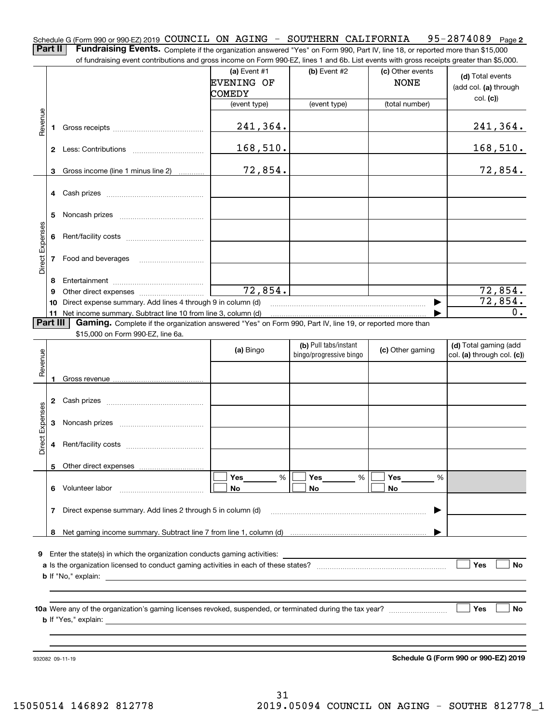Schedule G (Form 990 or 990-EZ) 2019 <code>COUNCIL ON AGING – SOUTHERN CALIFORNIA 95–2874089 Page 2</code>

**Part II** | Fundraising Events. Complete if the organization answered "Yes" on Form 990, Part IV, line 18, or reported more than \$15,000 of fundraising event contributions and gross income on Form 990-EZ, lines 1 and 6b. List events with gross receipts greater than \$5,000.

|                 |          | or iuridraising event contributions and gross income on Form 990-EZ, lines T and 6D. List events with gross receipts greater than \$5,000. |                   |                         |                  |                            |
|-----------------|----------|--------------------------------------------------------------------------------------------------------------------------------------------|-------------------|-------------------------|------------------|----------------------------|
|                 |          |                                                                                                                                            | (a) Event $#1$    | $(b)$ Event #2          | (c) Other events | (d) Total events           |
|                 |          |                                                                                                                                            | <b>EVENING OF</b> |                         | <b>NONE</b>      |                            |
|                 |          |                                                                                                                                            | <b>COMEDY</b>     |                         |                  | (add col. (a) through      |
|                 |          |                                                                                                                                            | (event type)      | (event type)            | (total number)   | col. (c)                   |
|                 |          |                                                                                                                                            |                   |                         |                  |                            |
|                 |          |                                                                                                                                            |                   |                         |                  |                            |
| Revenue         |          |                                                                                                                                            | 241,364.          |                         |                  | 241,364.                   |
|                 |          |                                                                                                                                            |                   |                         |                  |                            |
|                 |          |                                                                                                                                            | 168,510.          |                         |                  | 168,510.                   |
|                 |          |                                                                                                                                            |                   |                         |                  |                            |
|                 | 3        | Gross income (line 1 minus line 2)                                                                                                         | 72,854.           |                         |                  | 72,854.                    |
|                 |          |                                                                                                                                            |                   |                         |                  |                            |
|                 |          |                                                                                                                                            |                   |                         |                  |                            |
|                 |          |                                                                                                                                            |                   |                         |                  |                            |
|                 | 5.       |                                                                                                                                            |                   |                         |                  |                            |
|                 |          |                                                                                                                                            |                   |                         |                  |                            |
|                 |          |                                                                                                                                            |                   |                         |                  |                            |
|                 |          |                                                                                                                                            |                   |                         |                  |                            |
| Direct Expenses |          |                                                                                                                                            |                   |                         |                  |                            |
|                 |          | 7 Food and beverages                                                                                                                       |                   |                         |                  |                            |
|                 |          |                                                                                                                                            |                   |                         |                  |                            |
|                 | 8        |                                                                                                                                            |                   |                         |                  |                            |
|                 | 9        |                                                                                                                                            | 72,854.           |                         |                  | 72,854.                    |
|                 |          | 10 Direct expense summary. Add lines 4 through 9 in column (d)                                                                             |                   |                         |                  | 72,854.                    |
|                 |          | 11 Net income summary. Subtract line 10 from line 3, column (d)                                                                            |                   |                         |                  | 0.                         |
|                 | Part III | Gaming. Complete if the organization answered "Yes" on Form 990, Part IV, line 19, or reported more than                                   |                   |                         |                  |                            |
|                 |          | \$15,000 on Form 990-EZ, line 6a.                                                                                                          |                   |                         |                  |                            |
|                 |          |                                                                                                                                            |                   | (b) Pull tabs/instant   |                  | (d) Total gaming (add      |
|                 |          |                                                                                                                                            | (a) Bingo         | bingo/progressive bingo | (c) Other gaming | col. (a) through col. (c)) |
| Revenue         |          |                                                                                                                                            |                   |                         |                  |                            |
|                 | 1.       |                                                                                                                                            |                   |                         |                  |                            |
|                 |          |                                                                                                                                            |                   |                         |                  |                            |
|                 |          |                                                                                                                                            |                   |                         |                  |                            |
|                 |          |                                                                                                                                            |                   |                         |                  |                            |
|                 |          |                                                                                                                                            |                   |                         |                  |                            |
| Direct Expenses |          |                                                                                                                                            |                   |                         |                  |                            |
|                 |          |                                                                                                                                            |                   |                         |                  |                            |
|                 | 4        |                                                                                                                                            |                   |                         |                  |                            |
|                 |          |                                                                                                                                            |                   |                         |                  |                            |
|                 |          | 5 Other direct expenses                                                                                                                    |                   |                         |                  |                            |
|                 |          |                                                                                                                                            | Yes<br>%          | Yes<br>%                | Yes<br>%         |                            |
|                 | 6        | Volunteer labor                                                                                                                            | No                | No                      | No               |                            |
|                 |          |                                                                                                                                            |                   |                         |                  |                            |
|                 | 7        | Direct expense summary. Add lines 2 through 5 in column (d)                                                                                |                   |                         |                  |                            |
|                 |          |                                                                                                                                            |                   |                         |                  |                            |
|                 | 8        |                                                                                                                                            |                   |                         |                  |                            |
|                 |          |                                                                                                                                            |                   |                         |                  |                            |
|                 |          | 9 Enter the state(s) in which the organization conducts gaming activities:                                                                 |                   |                         |                  |                            |
|                 |          |                                                                                                                                            |                   |                         |                  | Yes<br>No                  |
|                 |          |                                                                                                                                            |                   |                         |                  |                            |
|                 |          | <b>b</b> If "No," explain:                                                                                                                 |                   |                         |                  |                            |
|                 |          |                                                                                                                                            |                   |                         |                  |                            |
|                 |          |                                                                                                                                            |                   |                         |                  |                            |
|                 |          |                                                                                                                                            |                   |                         |                  | Yes<br>No                  |
|                 |          | <b>b</b> If "Yes," explain: <b>b</b> If "Yes," explain:                                                                                    |                   |                         |                  |                            |
|                 |          |                                                                                                                                            |                   |                         |                  |                            |
|                 |          |                                                                                                                                            |                   |                         |                  |                            |
|                 |          |                                                                                                                                            |                   |                         |                  |                            |

932082 09-11-19

**Schedule G (Form 990 or 990-EZ) 2019**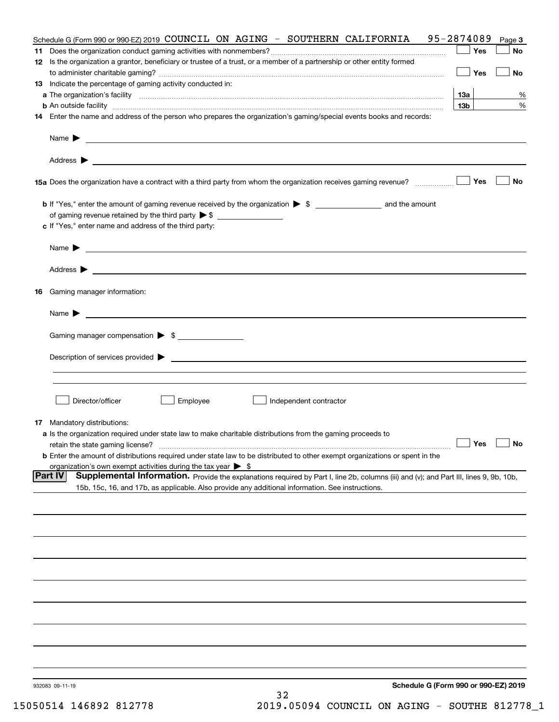| Schedule G (Form 990 or 990-EZ) 2019 COUNCIL ON AGING - SOUTHERN CALIFORNIA                                                                                   | 95-2874089      | Page 3    |
|---------------------------------------------------------------------------------------------------------------------------------------------------------------|-----------------|-----------|
|                                                                                                                                                               | Yes             | No        |
| 12 Is the organization a grantor, beneficiary or trustee of a trust, or a member of a partnership or other entity formed                                      |                 |           |
|                                                                                                                                                               | Yes             | <b>No</b> |
| 13 Indicate the percentage of gaming activity conducted in:                                                                                                   |                 |           |
|                                                                                                                                                               | <u>13a</u>      | %         |
| <b>b</b> An outside facility <i>www.communicality www.communicality.communicality www.communicality www.communicality.communicality www.communicality.com</i> | 13 <sub>b</sub> | %         |
| 14 Enter the name and address of the person who prepares the organization's gaming/special events books and records:                                          |                 |           |
|                                                                                                                                                               |                 |           |
|                                                                                                                                                               |                 |           |
|                                                                                                                                                               |                 |           |
|                                                                                                                                                               |                 |           |
|                                                                                                                                                               |                 |           |
| 15a Does the organization have a contract with a third party from whom the organization receives gaming revenue?                                              | Yes             | No        |
|                                                                                                                                                               |                 |           |
| <b>b</b> If "Yes," enter the amount of gaming revenue received by the organization $\triangleright$ \$ ____________________ and the amount                    |                 |           |
|                                                                                                                                                               |                 |           |
| c If "Yes," enter name and address of the third party:                                                                                                        |                 |           |
|                                                                                                                                                               |                 |           |
|                                                                                                                                                               |                 |           |
| Name $\blacktriangleright$ $\_\_$                                                                                                                             |                 |           |
|                                                                                                                                                               |                 |           |
|                                                                                                                                                               |                 |           |
|                                                                                                                                                               |                 |           |
| 16 Gaming manager information:                                                                                                                                |                 |           |
|                                                                                                                                                               |                 |           |
| Name $\blacktriangleright$ $\frac{1}{\sqrt{1-\frac{1}{2}}\left(1-\frac{1}{2}\right)}$                                                                         |                 |           |
|                                                                                                                                                               |                 |           |
| Gaming manager compensation > \$                                                                                                                              |                 |           |
|                                                                                                                                                               |                 |           |
|                                                                                                                                                               |                 |           |
|                                                                                                                                                               |                 |           |
|                                                                                                                                                               |                 |           |
|                                                                                                                                                               |                 |           |
| Director/officer<br>Employee<br>∫ Independent contractor                                                                                                      |                 |           |
|                                                                                                                                                               |                 |           |
| <b>17</b> Mandatory distributions:                                                                                                                            |                 |           |
| a Is the organization required under state law to make charitable distributions from the gaming proceeds to                                                   |                 |           |
| $\Box$ Yes $\Box$ No<br>retain the state gaming license?                                                                                                      |                 |           |
| <b>b</b> Enter the amount of distributions required under state law to be distributed to other exempt organizations or spent in the                           |                 |           |
| organization's own exempt activities during the tax year $\triangleright$ \$                                                                                  |                 |           |
| <b>Part IV</b><br>Supplemental Information. Provide the explanations required by Part I, line 2b, columns (iii) and (v); and Part III, lines 9, 9b, 10b,      |                 |           |
| 15b, 15c, 16, and 17b, as applicable. Also provide any additional information. See instructions.                                                              |                 |           |
|                                                                                                                                                               |                 |           |
|                                                                                                                                                               |                 |           |
|                                                                                                                                                               |                 |           |
|                                                                                                                                                               |                 |           |
|                                                                                                                                                               |                 |           |
|                                                                                                                                                               |                 |           |
|                                                                                                                                                               |                 |           |
|                                                                                                                                                               |                 |           |
|                                                                                                                                                               |                 |           |
|                                                                                                                                                               |                 |           |
|                                                                                                                                                               |                 |           |
|                                                                                                                                                               |                 |           |
|                                                                                                                                                               |                 |           |
|                                                                                                                                                               |                 |           |
|                                                                                                                                                               |                 |           |
|                                                                                                                                                               |                 |           |
|                                                                                                                                                               |                 |           |
| Schedule G (Form 990 or 990-EZ) 2019<br>932083 09-11-19                                                                                                       |                 |           |
| 32                                                                                                                                                            |                 |           |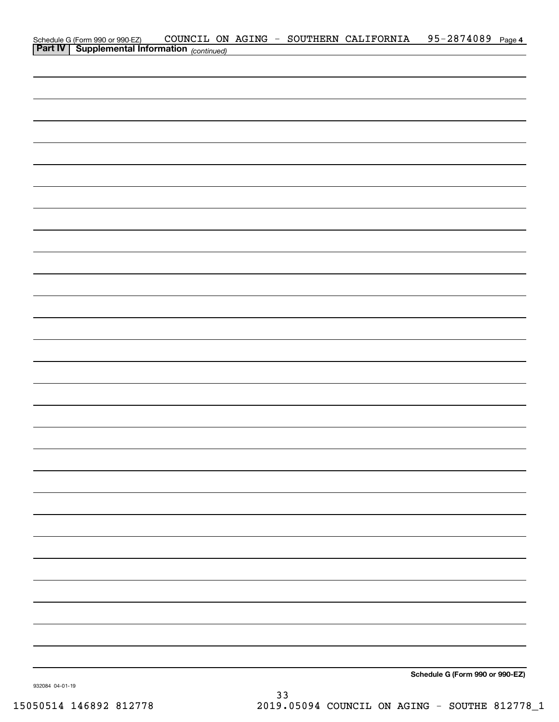|                                                                                            |  | COUNCIL ON AGING - SOUTHERN CALIFORNIA | 95-2874089 Page 4               |  |
|--------------------------------------------------------------------------------------------|--|----------------------------------------|---------------------------------|--|
| Schedule G (Form 990 or 990-EZ) COUNCIL ON<br>Part IV Supplemental Information (continued) |  |                                        |                                 |  |
|                                                                                            |  |                                        |                                 |  |
|                                                                                            |  |                                        |                                 |  |
|                                                                                            |  |                                        |                                 |  |
|                                                                                            |  |                                        |                                 |  |
|                                                                                            |  |                                        |                                 |  |
|                                                                                            |  |                                        |                                 |  |
|                                                                                            |  |                                        |                                 |  |
|                                                                                            |  |                                        |                                 |  |
|                                                                                            |  |                                        |                                 |  |
|                                                                                            |  |                                        |                                 |  |
|                                                                                            |  |                                        |                                 |  |
|                                                                                            |  |                                        |                                 |  |
|                                                                                            |  |                                        |                                 |  |
|                                                                                            |  |                                        |                                 |  |
|                                                                                            |  |                                        |                                 |  |
|                                                                                            |  |                                        |                                 |  |
|                                                                                            |  |                                        |                                 |  |
|                                                                                            |  |                                        |                                 |  |
|                                                                                            |  |                                        |                                 |  |
|                                                                                            |  |                                        |                                 |  |
|                                                                                            |  |                                        |                                 |  |
|                                                                                            |  |                                        |                                 |  |
|                                                                                            |  |                                        |                                 |  |
|                                                                                            |  |                                        |                                 |  |
|                                                                                            |  |                                        |                                 |  |
|                                                                                            |  |                                        |                                 |  |
|                                                                                            |  |                                        |                                 |  |
|                                                                                            |  |                                        |                                 |  |
|                                                                                            |  |                                        |                                 |  |
|                                                                                            |  |                                        |                                 |  |
|                                                                                            |  |                                        |                                 |  |
|                                                                                            |  |                                        |                                 |  |
|                                                                                            |  |                                        |                                 |  |
|                                                                                            |  |                                        |                                 |  |
|                                                                                            |  |                                        |                                 |  |
|                                                                                            |  |                                        |                                 |  |
|                                                                                            |  |                                        |                                 |  |
|                                                                                            |  |                                        |                                 |  |
|                                                                                            |  |                                        |                                 |  |
|                                                                                            |  |                                        |                                 |  |
|                                                                                            |  |                                        |                                 |  |
|                                                                                            |  |                                        |                                 |  |
|                                                                                            |  |                                        |                                 |  |
|                                                                                            |  |                                        |                                 |  |
|                                                                                            |  |                                        |                                 |  |
|                                                                                            |  |                                        |                                 |  |
|                                                                                            |  |                                        |                                 |  |
|                                                                                            |  |                                        | Schedule G (Form 990 or 990-EZ) |  |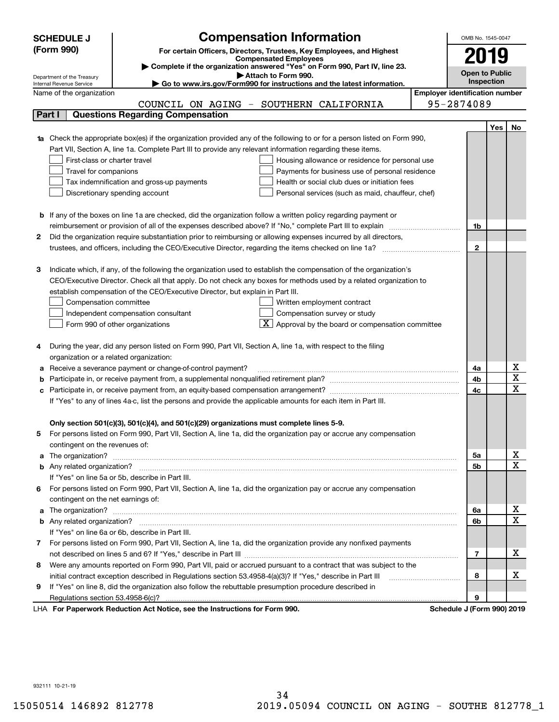|    | <b>SCHEDULE J</b>                                      | <b>Compensation Information</b>                                                                                           |                                       | OMB No. 1545-0047     |     |                                                  |  |  |
|----|--------------------------------------------------------|---------------------------------------------------------------------------------------------------------------------------|---------------------------------------|-----------------------|-----|--------------------------------------------------|--|--|
|    | (Form 990)                                             | For certain Officers, Directors, Trustees, Key Employees, and Highest                                                     |                                       |                       |     |                                                  |  |  |
|    |                                                        | <b>Compensated Employees</b>                                                                                              |                                       |                       |     |                                                  |  |  |
|    |                                                        | Complete if the organization answered "Yes" on Form 990, Part IV, line 23.                                                |                                       | <b>Open to Public</b> |     |                                                  |  |  |
|    | Department of the Treasury<br>Internal Revenue Service | Attach to Form 990.<br>Go to www.irs.gov/Form990 for instructions and the latest information.                             |                                       | Inspection            |     |                                                  |  |  |
|    | Name of the organization                               |                                                                                                                           | <b>Employer identification number</b> |                       |     |                                                  |  |  |
|    |                                                        | COUNCIL ON AGING - SOUTHERN CALIFORNIA                                                                                    |                                       | 95-2874089            |     |                                                  |  |  |
|    | Part I                                                 | <b>Questions Regarding Compensation</b>                                                                                   |                                       |                       |     |                                                  |  |  |
|    |                                                        |                                                                                                                           |                                       |                       | Yes | No                                               |  |  |
|    |                                                        | 1a Check the appropriate box(es) if the organization provided any of the following to or for a person listed on Form 990, |                                       |                       |     |                                                  |  |  |
|    |                                                        | Part VII, Section A, line 1a. Complete Part III to provide any relevant information regarding these items.                |                                       |                       |     |                                                  |  |  |
|    | First-class or charter travel                          | Housing allowance or residence for personal use                                                                           |                                       |                       |     |                                                  |  |  |
|    | Travel for companions                                  | Payments for business use of personal residence                                                                           |                                       |                       |     |                                                  |  |  |
|    |                                                        | Tax indemnification and gross-up payments<br>Health or social club dues or initiation fees                                |                                       |                       |     |                                                  |  |  |
|    |                                                        | Discretionary spending account<br>Personal services (such as maid, chauffeur, chef)                                       |                                       |                       |     |                                                  |  |  |
|    |                                                        |                                                                                                                           |                                       |                       |     |                                                  |  |  |
|    |                                                        | <b>b</b> If any of the boxes on line 1a are checked, did the organization follow a written policy regarding payment or    |                                       |                       |     |                                                  |  |  |
|    |                                                        | reimbursement or provision of all of the expenses described above? If "No," complete Part III to explain                  |                                       | 1b                    |     |                                                  |  |  |
| 2  |                                                        | Did the organization require substantiation prior to reimbursing or allowing expenses incurred by all directors,          |                                       |                       |     |                                                  |  |  |
|    |                                                        |                                                                                                                           |                                       | $\mathbf{2}$          |     |                                                  |  |  |
|    |                                                        |                                                                                                                           |                                       |                       |     |                                                  |  |  |
| з  |                                                        | Indicate which, if any, of the following the organization used to establish the compensation of the organization's        |                                       |                       |     |                                                  |  |  |
|    |                                                        | CEO/Executive Director. Check all that apply. Do not check any boxes for methods used by a related organization to        |                                       |                       |     |                                                  |  |  |
|    |                                                        | establish compensation of the CEO/Executive Director, but explain in Part III.                                            |                                       |                       |     |                                                  |  |  |
|    | Compensation committee                                 | Written employment contract                                                                                               |                                       |                       |     |                                                  |  |  |
|    |                                                        | Compensation survey or study<br>Independent compensation consultant                                                       |                                       |                       |     |                                                  |  |  |
|    |                                                        | Approval by the board or compensation committee<br>Form 990 of other organizations                                        |                                       |                       |     |                                                  |  |  |
|    |                                                        |                                                                                                                           |                                       |                       |     |                                                  |  |  |
|    |                                                        | During the year, did any person listed on Form 990, Part VII, Section A, line 1a, with respect to the filing              |                                       |                       |     |                                                  |  |  |
|    | organization or a related organization:                |                                                                                                                           |                                       |                       |     |                                                  |  |  |
|    |                                                        | Receive a severance payment or change-of-control payment?                                                                 |                                       | 4a                    |     | $\overline{\mathbf{x}}$                          |  |  |
|    |                                                        |                                                                                                                           |                                       | 4b                    |     | $\overline{\mathtt{x}}$                          |  |  |
|    |                                                        |                                                                                                                           |                                       | 4c                    |     | $\overline{\text{x}}$                            |  |  |
|    |                                                        | If "Yes" to any of lines 4a-c, list the persons and provide the applicable amounts for each item in Part III.             |                                       |                       |     |                                                  |  |  |
|    |                                                        |                                                                                                                           |                                       |                       |     |                                                  |  |  |
|    |                                                        | Only section 501(c)(3), 501(c)(4), and 501(c)(29) organizations must complete lines 5-9.                                  |                                       |                       |     |                                                  |  |  |
| 5  |                                                        | For persons listed on Form 990, Part VII, Section A, line 1a, did the organization pay or accrue any compensation         |                                       |                       |     |                                                  |  |  |
|    | contingent on the revenues of:                         |                                                                                                                           |                                       |                       |     |                                                  |  |  |
|    |                                                        |                                                                                                                           |                                       | 5a                    |     | <u>x</u><br>$\overline{\text{x}}$                |  |  |
|    |                                                        |                                                                                                                           |                                       | 5b                    |     |                                                  |  |  |
|    |                                                        | If "Yes" on line 5a or 5b, describe in Part III.                                                                          |                                       |                       |     |                                                  |  |  |
| 6. |                                                        | For persons listed on Form 990, Part VII, Section A, line 1a, did the organization pay or accrue any compensation         |                                       |                       |     |                                                  |  |  |
|    | contingent on the net earnings of:                     |                                                                                                                           |                                       |                       |     |                                                  |  |  |
|    |                                                        |                                                                                                                           |                                       | 6a                    |     | $\overline{\mathbf{x}}$<br>$\overline{\text{x}}$ |  |  |
|    |                                                        |                                                                                                                           |                                       | 6b                    |     |                                                  |  |  |
|    |                                                        | If "Yes" on line 6a or 6b, describe in Part III.                                                                          |                                       |                       |     |                                                  |  |  |
|    |                                                        | 7 For persons listed on Form 990, Part VII, Section A, line 1a, did the organization provide any nonfixed payments        |                                       |                       |     | x                                                |  |  |
|    |                                                        |                                                                                                                           |                                       | 7                     |     |                                                  |  |  |
| 8  |                                                        | Were any amounts reported on Form 990, Part VII, paid or accrued pursuant to a contract that was subject to the           |                                       |                       |     |                                                  |  |  |
|    |                                                        | initial contract exception described in Regulations section 53.4958-4(a)(3)? If "Yes," describe in Part III               |                                       | 8                     |     | x                                                |  |  |
| 9  |                                                        | If "Yes" on line 8, did the organization also follow the rebuttable presumption procedure described in                    |                                       |                       |     |                                                  |  |  |
|    | Regulations section 53.4958-6(c)?                      | ruerk Reduction Act Notice, can the Instructions for Form 000                                                             | Schodule, UEssen 0001.2010            | 9                     |     |                                                  |  |  |

LHA For Paperwork Reduction Act Notice, see the Instructions for Form 990. Schedule J (Form 990) 2019

932111 10-21-19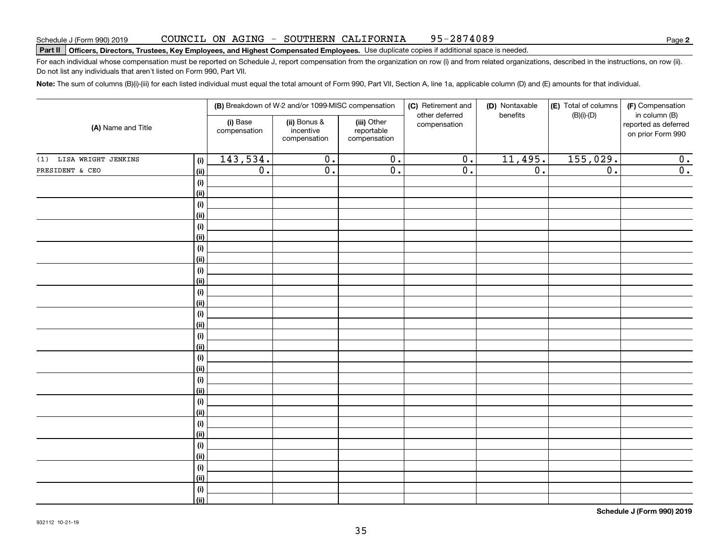# **Part II Officers, Directors, Trustees, Key Employees, and Highest Compensated Employees.**  Schedule J (Form 990) 2019 Page Use duplicate copies if additional space is needed.

For each individual whose compensation must be reported on Schedule J, report compensation from the organization on row (i) and from related organizations, described in the instructions, on row (ii). Do not list any individuals that aren't listed on Form 990, Part VII.

**Note:**  The sum of columns (B)(i)-(iii) for each listed individual must equal the total amount of Form 990, Part VII, Section A, line 1a, applicable column (D) and (E) amounts for that individual.

| (A) Name and Title      |                    |                          | (B) Breakdown of W-2 and/or 1099-MISC compensation |                                           | (C) Retirement and<br>other deferred | (D) Nontaxable<br>benefits | (E) Total of columns | (F) Compensation<br>in column (B)         |  |
|-------------------------|--------------------|--------------------------|----------------------------------------------------|-------------------------------------------|--------------------------------------|----------------------------|----------------------|-------------------------------------------|--|
|                         |                    | (i) Base<br>compensation | (ii) Bonus &<br>incentive<br>compensation          | (iii) Other<br>reportable<br>compensation | compensation                         |                            | $(B)(i)$ - $(D)$     | reported as deferred<br>on prior Form 990 |  |
| (1) LISA WRIGHT JENKINS | (i)                | 143,534.                 | $\overline{0}$ .                                   | $\overline{0}$ .                          | $\overline{0}$ .                     | 11,495.                    | 155,029.             | $\mathbf 0$ .                             |  |
| PRESIDENT & CEO         | (ii)               | $\overline{0}$ .         | $\overline{0}$ .                                   | $\overline{0}$ .                          | $\overline{0}$ .                     | $\overline{0}$ .           | $\overline{0}$ .     | $\overline{\mathbf{0}}$ .                 |  |
|                         | $(\sf{i})$         |                          |                                                    |                                           |                                      |                            |                      |                                           |  |
|                         | (ii)               |                          |                                                    |                                           |                                      |                            |                      |                                           |  |
|                         | (i)                |                          |                                                    |                                           |                                      |                            |                      |                                           |  |
|                         | (ii)               |                          |                                                    |                                           |                                      |                            |                      |                                           |  |
|                         | $(\sf{i})$         |                          |                                                    |                                           |                                      |                            |                      |                                           |  |
|                         | (ii)               |                          |                                                    |                                           |                                      |                            |                      |                                           |  |
|                         | $(\sf{i})$         |                          |                                                    |                                           |                                      |                            |                      |                                           |  |
|                         | (ii)               |                          |                                                    |                                           |                                      |                            |                      |                                           |  |
|                         | $(\sf{i})$         |                          |                                                    |                                           |                                      |                            |                      |                                           |  |
|                         | (ii)               |                          |                                                    |                                           |                                      |                            |                      |                                           |  |
|                         | $(\sf{i})$         |                          |                                                    |                                           |                                      |                            |                      |                                           |  |
|                         | (ii)               |                          |                                                    |                                           |                                      |                            |                      |                                           |  |
|                         | (i)                |                          |                                                    |                                           |                                      |                            |                      |                                           |  |
|                         | (ii)               |                          |                                                    |                                           |                                      |                            |                      |                                           |  |
|                         | $(\sf{i})$<br>(ii) |                          |                                                    |                                           |                                      |                            |                      |                                           |  |
|                         | $(\sf{i})$         |                          |                                                    |                                           |                                      |                            |                      |                                           |  |
|                         | (ii)               |                          |                                                    |                                           |                                      |                            |                      |                                           |  |
|                         | $(\sf{i})$         |                          |                                                    |                                           |                                      |                            |                      |                                           |  |
|                         | (ii)               |                          |                                                    |                                           |                                      |                            |                      |                                           |  |
|                         | (i)                |                          |                                                    |                                           |                                      |                            |                      |                                           |  |
|                         | (ii)               |                          |                                                    |                                           |                                      |                            |                      |                                           |  |
|                         | (i)                |                          |                                                    |                                           |                                      |                            |                      |                                           |  |
|                         | (ii)               |                          |                                                    |                                           |                                      |                            |                      |                                           |  |
|                         | (i)                |                          |                                                    |                                           |                                      |                            |                      |                                           |  |
|                         | (ii)               |                          |                                                    |                                           |                                      |                            |                      |                                           |  |
|                         | (i)                |                          |                                                    |                                           |                                      |                            |                      |                                           |  |
|                         | (ii)               |                          |                                                    |                                           |                                      |                            |                      |                                           |  |
|                         | $(\sf{i})$         |                          |                                                    |                                           |                                      |                            |                      |                                           |  |
|                         | (ii)               |                          |                                                    |                                           |                                      |                            |                      |                                           |  |

**Schedule J (Form 990) 2019**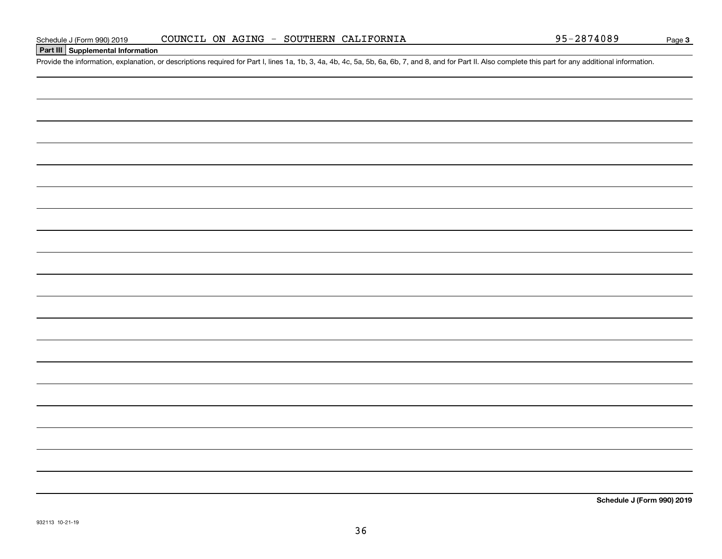**Part III Supplemental Information**

## Schedule J (Form 990) 2019 COUNCIL ON AGING - SOUTHERN CALIFORNIA<br>Part III Supplemental Information<br>Provide the information, explanation, or descriptions required for Part I, lines 1a, 1b, 3, 4a, 4b, 4c, 5a, 5b, 6a, 6b, 7, COUNCIL ON AGING - SOUTHERN CALIFORNIA

36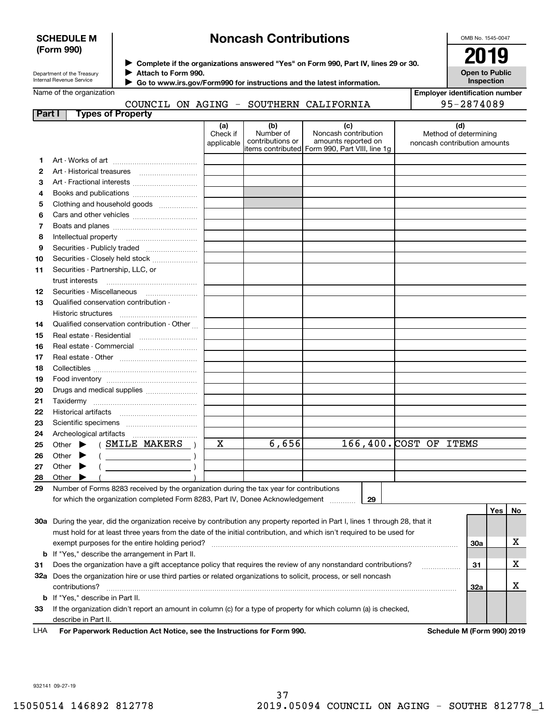#### **SCHEDULE M (Form 990)**

### **Noncash Contributions**

OMB No. 1545-0047

| Department of the Treasury |
|----------------------------|
| Internal Revenue Service   |

**Complete if the organizations answered "Yes" on Form 990, Part IV, lines 29 or 30.** <sup>J</sup>**2019 Attach to Form 990.** J

**Open to Public Inspection**

| Name of the organization |  |  |
|--------------------------|--|--|

 **Go to www.irs.gov/Form990 for instructions and the latest information.** J

| <b>Employer identification number</b> |
|---------------------------------------|
| AE SOTIAOO                            |

|        | COUNCIL ON AGING - SOUTHERN CALIFORNIA                                                                                                                                                                                                                                                                                                                                                                                                       |                               |                                      |                                                                                                       |                                                              | 95-2874089 |     |     |
|--------|----------------------------------------------------------------------------------------------------------------------------------------------------------------------------------------------------------------------------------------------------------------------------------------------------------------------------------------------------------------------------------------------------------------------------------------------|-------------------------------|--------------------------------------|-------------------------------------------------------------------------------------------------------|--------------------------------------------------------------|------------|-----|-----|
| Part I | <b>Types of Property</b>                                                                                                                                                                                                                                                                                                                                                                                                                     |                               |                                      |                                                                                                       |                                                              |            |     |     |
|        |                                                                                                                                                                                                                                                                                                                                                                                                                                              | (a)<br>Check if<br>applicable | (b)<br>Number of<br>contributions or | (c)<br>Noncash contribution<br>amounts reported on<br>litems contributed Form 990, Part VIII, line 1g | (d)<br>Method of determining<br>noncash contribution amounts |            |     |     |
| 1.     |                                                                                                                                                                                                                                                                                                                                                                                                                                              |                               |                                      |                                                                                                       |                                                              |            |     |     |
| 2      |                                                                                                                                                                                                                                                                                                                                                                                                                                              |                               |                                      |                                                                                                       |                                                              |            |     |     |
| 3      | Art - Fractional interests                                                                                                                                                                                                                                                                                                                                                                                                                   |                               |                                      |                                                                                                       |                                                              |            |     |     |
| 4      |                                                                                                                                                                                                                                                                                                                                                                                                                                              |                               |                                      |                                                                                                       |                                                              |            |     |     |
| 5      | Clothing and household goods                                                                                                                                                                                                                                                                                                                                                                                                                 |                               |                                      |                                                                                                       |                                                              |            |     |     |
| 6      |                                                                                                                                                                                                                                                                                                                                                                                                                                              |                               |                                      |                                                                                                       |                                                              |            |     |     |
| 7      |                                                                                                                                                                                                                                                                                                                                                                                                                                              |                               |                                      |                                                                                                       |                                                              |            |     |     |
| 8      |                                                                                                                                                                                                                                                                                                                                                                                                                                              |                               |                                      |                                                                                                       |                                                              |            |     |     |
| 9      | Securities - Publicly traded                                                                                                                                                                                                                                                                                                                                                                                                                 |                               |                                      |                                                                                                       |                                                              |            |     |     |
| 10     | Securities - Closely held stock                                                                                                                                                                                                                                                                                                                                                                                                              |                               |                                      |                                                                                                       |                                                              |            |     |     |
| 11     | Securities - Partnership, LLC, or<br>trust interests                                                                                                                                                                                                                                                                                                                                                                                         |                               |                                      |                                                                                                       |                                                              |            |     |     |
| 12     |                                                                                                                                                                                                                                                                                                                                                                                                                                              |                               |                                      |                                                                                                       |                                                              |            |     |     |
| 13     | Qualified conservation contribution -                                                                                                                                                                                                                                                                                                                                                                                                        |                               |                                      |                                                                                                       |                                                              |            |     |     |
|        | Historic structures                                                                                                                                                                                                                                                                                                                                                                                                                          |                               |                                      |                                                                                                       |                                                              |            |     |     |
| 14     | Qualified conservation contribution - Other                                                                                                                                                                                                                                                                                                                                                                                                  |                               |                                      |                                                                                                       |                                                              |            |     |     |
| 15     | Real estate - Residential                                                                                                                                                                                                                                                                                                                                                                                                                    |                               |                                      |                                                                                                       |                                                              |            |     |     |
| 16     | Real estate - Commercial                                                                                                                                                                                                                                                                                                                                                                                                                     |                               |                                      |                                                                                                       |                                                              |            |     |     |
| 17     |                                                                                                                                                                                                                                                                                                                                                                                                                                              |                               |                                      |                                                                                                       |                                                              |            |     |     |
| 18     |                                                                                                                                                                                                                                                                                                                                                                                                                                              |                               |                                      |                                                                                                       |                                                              |            |     |     |
| 19     |                                                                                                                                                                                                                                                                                                                                                                                                                                              |                               |                                      |                                                                                                       |                                                              |            |     |     |
| 20     | Drugs and medical supplies                                                                                                                                                                                                                                                                                                                                                                                                                   |                               |                                      |                                                                                                       |                                                              |            |     |     |
| 21     |                                                                                                                                                                                                                                                                                                                                                                                                                                              |                               |                                      |                                                                                                       |                                                              |            |     |     |
| 22     |                                                                                                                                                                                                                                                                                                                                                                                                                                              |                               |                                      |                                                                                                       |                                                              |            |     |     |
| 23     |                                                                                                                                                                                                                                                                                                                                                                                                                                              |                               |                                      |                                                                                                       |                                                              |            |     |     |
| 24     |                                                                                                                                                                                                                                                                                                                                                                                                                                              |                               |                                      |                                                                                                       |                                                              |            |     |     |
| 25     | Other $\blacktriangleright$ (SMILE MAKERS)                                                                                                                                                                                                                                                                                                                                                                                                   | $\mathbf X$                   | 6,656                                |                                                                                                       | 166,400. COST OF ITEMS                                       |            |     |     |
| 26     | $\left(\begin{array}{ccc}\n\frac{1}{2} & \frac{1}{2} & \frac{1}{2} & \frac{1}{2} & \frac{1}{2} & \frac{1}{2} & \frac{1}{2} & \frac{1}{2} & \frac{1}{2} & \frac{1}{2} & \frac{1}{2} & \frac{1}{2} & \frac{1}{2} & \frac{1}{2} & \frac{1}{2} & \frac{1}{2} & \frac{1}{2} & \frac{1}{2} & \frac{1}{2} & \frac{1}{2} & \frac{1}{2} & \frac{1}{2} & \frac{1}{2} & \frac{1}{2} & \frac{1}{2} & \frac{1}{2} & \frac$<br>Other $\blacktriangleright$ |                               |                                      |                                                                                                       |                                                              |            |     |     |
| 27     | Other $\blacktriangleright$<br>$\overline{a}$                                                                                                                                                                                                                                                                                                                                                                                                |                               |                                      |                                                                                                       |                                                              |            |     |     |
| 28     | Other $\blacktriangleright$                                                                                                                                                                                                                                                                                                                                                                                                                  |                               |                                      |                                                                                                       |                                                              |            |     |     |
| 29     | Number of Forms 8283 received by the organization during the tax year for contributions                                                                                                                                                                                                                                                                                                                                                      |                               |                                      |                                                                                                       |                                                              |            |     |     |
|        | for which the organization completed Form 8283, Part IV, Donee Acknowledgement                                                                                                                                                                                                                                                                                                                                                               |                               |                                      | 29                                                                                                    |                                                              |            |     |     |
|        |                                                                                                                                                                                                                                                                                                                                                                                                                                              |                               |                                      |                                                                                                       |                                                              |            | Yes | No. |
|        | 30a During the year, did the organization receive by contribution any property reported in Part I, lines 1 through 28, that it                                                                                                                                                                                                                                                                                                               |                               |                                      |                                                                                                       |                                                              |            |     |     |
|        | must hold for at least three years from the date of the initial contribution, and which isn't required to be used for                                                                                                                                                                                                                                                                                                                        |                               |                                      |                                                                                                       |                                                              |            |     |     |
|        | exempt purposes for the entire holding period?                                                                                                                                                                                                                                                                                                                                                                                               |                               |                                      |                                                                                                       |                                                              | 30a        |     | X   |
|        | <b>b</b> If "Yes," describe the arrangement in Part II.                                                                                                                                                                                                                                                                                                                                                                                      |                               |                                      |                                                                                                       |                                                              |            |     |     |
| 31     | Does the organization have a gift acceptance policy that requires the review of any nonstandard contributions?                                                                                                                                                                                                                                                                                                                               |                               |                                      |                                                                                                       | .                                                            | 31         |     | х   |
|        | 32a Does the organization hire or use third parties or related organizations to solicit, process, or sell noncash                                                                                                                                                                                                                                                                                                                            |                               |                                      |                                                                                                       |                                                              |            |     |     |
|        | contributions?                                                                                                                                                                                                                                                                                                                                                                                                                               |                               |                                      |                                                                                                       |                                                              | 32a        |     | X   |

contributions? ~~~~~~~~~~~~~~~~~~~~~~~~~~~~~~~~~~~~~~~~~~~~~~~~~~~~~~

**33**If the organization didn't report an amount in column (c) for a type of property for which column (a) is checked, describe in Part II.

**b**If "Yes," describe in Part II.

**For Paperwork Reduction Act Notice, see the Instructions for Form 990. Schedule M (Form 990) 2019** LHA

**32a**

932141 09-27-19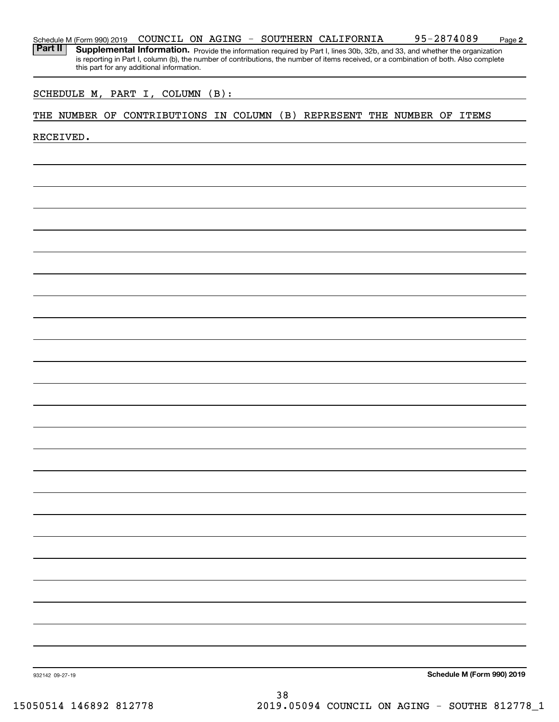| Schedule M (Form 990) 2019 | COUNCIL ON | AGING | SOUTHERN CALIFORNIA | 2874089 | Page 2 |
|----------------------------|------------|-------|---------------------|---------|--------|
|                            |            |       |                     |         |        |

Part II | Supplemental Information. Provide the information required by Part I, lines 30b, 32b, and 33, and whether the organization is reporting in Part I, column (b), the number of contributions, the number of items received, or a combination of both. Also complete this part for any additional information.

#### SCHEDULE M, PART I, COLUMN (B):

#### THE NUMBER OF CONTRIBUTIONS IN COLUMN (B) REPRESENT THE NUMBER OF ITEMS

RECEIVED.

**Schedule M (Form 990) 2019**

932142 09-27-19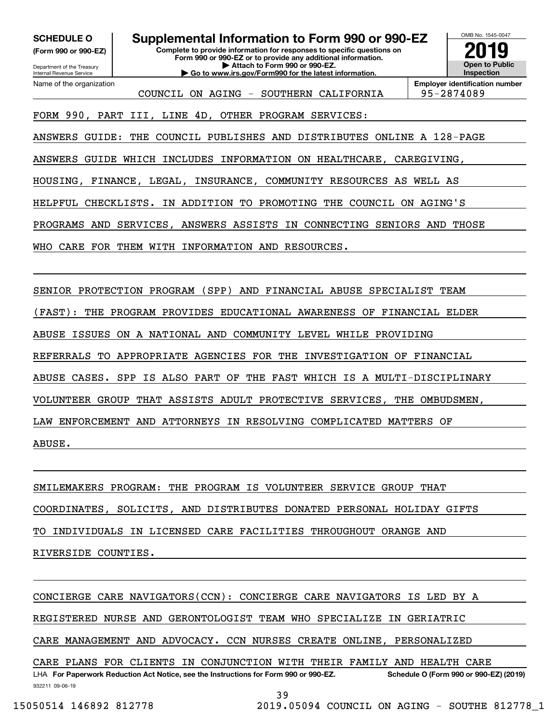**(Form 990 or 990-EZ)**

Department of the Treasury Internal Revenue Service Name of the organization

### **SCHEDULE O Supplemental Information to Form 990 or 990-EZ**

**Complete to provide information for responses to specific questions on Form 990 or 990-EZ or to provide any additional information. | Attach to Form 990 or 990-EZ. | Go to www.irs.gov/Form990 for the latest information.**



COUNCIL ON AGING - SOUTHERN CALIFORNIA | 95-2874089

**Employer identification number**

FORM 990, PART III, LINE 4D, OTHER PROGRAM SERVICES:

ANSWERS GUIDE: THE COUNCIL PUBLISHES AND DISTRIBUTES ONLINE A 128-PAGE

ANSWERS GUIDE WHICH INCLUDES INFORMATION ON HEALTHCARE, CAREGIVING,

HOUSING, FINANCE, LEGAL, INSURANCE, COMMUNITY RESOURCES AS WELL AS

HELPFUL CHECKLISTS. IN ADDITION TO PROMOTING THE COUNCIL ON AGING'S

PROGRAMS AND SERVICES, ANSWERS ASSISTS IN CONNECTING SENIORS AND THOSE

WHO CARE FOR THEM WITH INFORMATION AND RESOURCES.

SENIOR PROTECTION PROGRAM (SPP) AND FINANCIAL ABUSE SPECIALIST TEAM

(FAST): THE PROGRAM PROVIDES EDUCATIONAL AWARENESS OF FINANCIAL ELDER

ABUSE ISSUES ON A NATIONAL AND COMMUNITY LEVEL WHILE PROVIDING

REFERRALS TO APPROPRIATE AGENCIES FOR THE INVESTIGATION OF FINANCIAL

ABUSE CASES. SPP IS ALSO PART OF THE FAST WHICH IS A MULTI-DISCIPLINARY

VOLUNTEER GROUP THAT ASSISTS ADULT PROTECTIVE SERVICES, THE OMBUDSMEN,

LAW ENFORCEMENT AND ATTORNEYS IN RESOLVING COMPLICATED MATTERS OF

ABUSE.

SMILEMAKERS PROGRAM: THE PROGRAM IS VOLUNTEER SERVICE GROUP THAT

COORDINATES, SOLICITS, AND DISTRIBUTES DONATED PERSONAL HOLIDAY GIFTS

TO INDIVIDUALS IN LICENSED CARE FACILITIES THROUGHOUT ORANGE AND

RIVERSIDE COUNTIES.

CONCIERGE CARE NAVIGATORS(CCN): CONCIERGE CARE NAVIGATORS IS LED BY A

REGISTERED NURSE AND GERONTOLOGIST TEAM WHO SPECIALIZE IN GERIATRIC

CARE MANAGEMENT AND ADVOCACY. CCN NURSES CREATE ONLINE, PERSONALIZED

LHA For Paperwork Reduction Act Notice, see the Instructions for Form 990 or 990-EZ. Schedule O (Form 990 or 990-EZ) (2019) CARE PLANS FOR CLIENTS IN CONJUNCTION WITH THEIR FAMILY AND HEALTH CARE

932211 09-06-19

39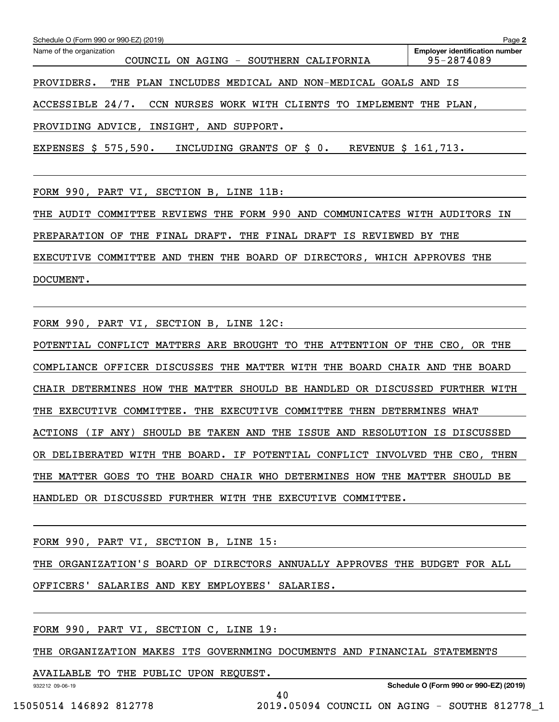| Schedule O (Form 990 or 990-EZ) (2019)                                | Page 2                                              |  |  |  |  |  |
|-----------------------------------------------------------------------|-----------------------------------------------------|--|--|--|--|--|
| Name of the organization<br>ON AGING - SOUTHERN CALIFORNIA<br>COUNCIL | <b>Employer identification number</b><br>95-2874089 |  |  |  |  |  |
| PROVIDERS.<br>THE PLAN INCLUDES MEDICAL AND NON-MEDICAL GOALS AND IS  |                                                     |  |  |  |  |  |
| ACCESSIBLE 24/7. CCN NURSES WORK WITH CLIENTS TO IMPLEMENT THE PLAN,  |                                                     |  |  |  |  |  |
| PROVIDING ADVICE, INSIGHT, AND SUPPORT.                               |                                                     |  |  |  |  |  |
| EXPENSES \$ 575,590. INCLUDING GRANTS OF \$ 0.<br>REVENUE \$ 161,713. |                                                     |  |  |  |  |  |
|                                                                       |                                                     |  |  |  |  |  |
| FORM 990, PART VI, SECTION B, LINE 11B:                               |                                                     |  |  |  |  |  |

THE AUDIT COMMITTEE REVIEWS THE FORM 990 AND COMMUNICATES WITH AUDITORS IN PREPARATION OF THE FINAL DRAFT. THE FINAL DRAFT IS REVIEWED BY THE EXECUTIVE COMMITTEE AND THEN THE BOARD OF DIRECTORS, WHICH APPROVES THE DOCUMENT.

FORM 990, PART VI, SECTION B, LINE 12C:

POTENTIAL CONFLICT MATTERS ARE BROUGHT TO THE ATTENTION OF THE CEO, OR THE COMPLIANCE OFFICER DISCUSSES THE MATTER WITH THE BOARD CHAIR AND THE BOARD CHAIR DETERMINES HOW THE MATTER SHOULD BE HANDLED OR DISCUSSED FURTHER WITH THE EXECUTIVE COMMITTEE. THE EXECUTIVE COMMITTEE THEN DETERMINES WHAT ACTIONS (IF ANY) SHOULD BE TAKEN AND THE ISSUE AND RESOLUTION IS DISCUSSED OR DELIBERATED WITH THE BOARD. IF POTENTIAL CONFLICT INVOLVED THE CEO, THEN THE MATTER GOES TO THE BOARD CHAIR WHO DETERMINES HOW THE MATTER SHOULD BE HANDLED OR DISCUSSED FURTHER WITH THE EXECUTIVE COMMITTEE.

FORM 990, PART VI, SECTION B, LINE 15:

THE ORGANIZATION'S BOARD OF DIRECTORS ANNUALLY APPROVES THE BUDGET FOR ALL

OFFICERS' SALARIES AND KEY EMPLOYEES' SALARIES.

FORM 990, PART VI, SECTION C, LINE 19:

THE ORGANIZATION MAKES ITS GOVERNMING DOCUMENTS AND FINANCIAL STATEMENTS

40

AVAILABLE TO THE PUBLIC UPON REQUEST.

932212 09-06-19